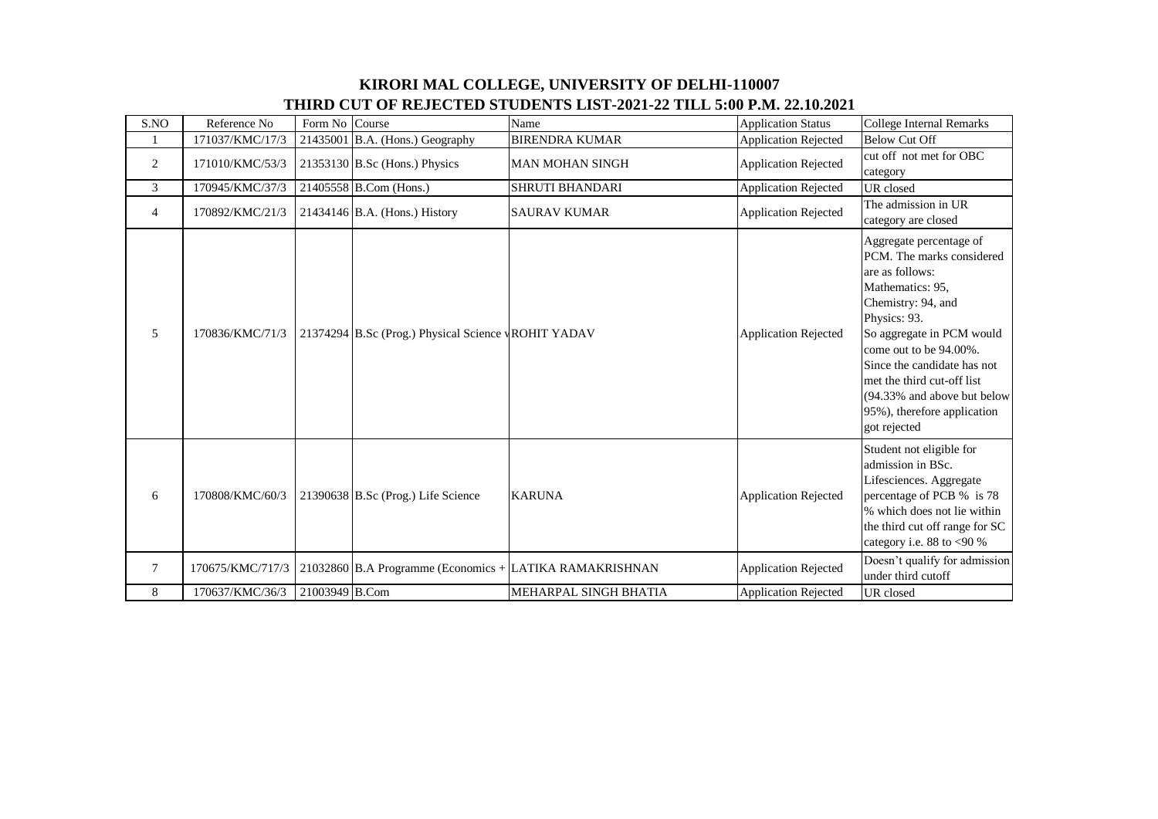## **KIRORI MAL COLLEGE, UNIVERSITY OF DELHI-110007 THIRD CUT OF REJECTED STUDENTS LIST-2021-22 TILL 5:00 P.M. 22.10.2021**

| S.NO            | Reference No     | Form No Course |                                                         | Name                   | <b>Application Status</b>   | <b>College Internal Remarks</b>                                                                                                                                                                                                                                                                                                     |
|-----------------|------------------|----------------|---------------------------------------------------------|------------------------|-----------------------------|-------------------------------------------------------------------------------------------------------------------------------------------------------------------------------------------------------------------------------------------------------------------------------------------------------------------------------------|
|                 | 171037/KMC/17/3  |                | $21435001$ B.A. (Hons.) Geography                       | <b>BIRENDRA KUMAR</b>  | <b>Application Rejected</b> | <b>Below Cut Off</b>                                                                                                                                                                                                                                                                                                                |
| $\overline{2}$  | 171010/KMC/53/3  |                | $21353130$ B.Sc (Hons.) Physics                         | <b>MAN MOHAN SINGH</b> | <b>Application Rejected</b> | cut off not met for OBC<br>category                                                                                                                                                                                                                                                                                                 |
| 3               | 170945/KMC/37/3  |                | 21405558 B.Com (Hons.)                                  | <b>SHRUTI BHANDARI</b> | <b>Application Rejected</b> | UR closed                                                                                                                                                                                                                                                                                                                           |
| $\overline{4}$  | 170892/KMC/21/3  |                | 21434146 B.A. (Hons.) History                           | <b>SAURAV KUMAR</b>    | <b>Application Rejected</b> | The admission in UR<br>category are closed                                                                                                                                                                                                                                                                                          |
| 5               | 170836/KMC/71/3  |                | 21374294 B.Sc (Prog.) Physical Science vROHIT YADAV     |                        | <b>Application Rejected</b> | Aggregate percentage of<br>PCM. The marks considered<br>are as follows:<br>Mathematics: 95,<br>Chemistry: 94, and<br>Physics: 93.<br>So aggregate in PCM would<br>come out to be 94.00%.<br>Since the candidate has not<br>met the third cut-off list<br>(94.33% and above but below<br>95%), therefore application<br>got rejected |
| 6               | 170808/KMC/60/3  |                | 21390638 B.Sc (Prog.) Life Science                      | <b>KARUNA</b>          | <b>Application Rejected</b> | Student not eligible for<br>admission in BSc.<br>Lifesciences. Aggregate<br>percentage of PCB % is 78<br>% which does not lie within<br>the third cut off range for SC<br>category i.e. $88$ to <90 %                                                                                                                               |
| $7\phantom{.0}$ | 170675/KMC/717/3 |                | 21032860 B.A Programme (Economics + LATIKA RAMAKRISHNAN |                        | <b>Application Rejected</b> | Doesn't qualify for admission<br>under third cutoff                                                                                                                                                                                                                                                                                 |
| 8               | 170637/KMC/36/3  | 21003949 B.Com |                                                         | MEHARPAL SINGH BHATIA  | <b>Application Rejected</b> | UR closed                                                                                                                                                                                                                                                                                                                           |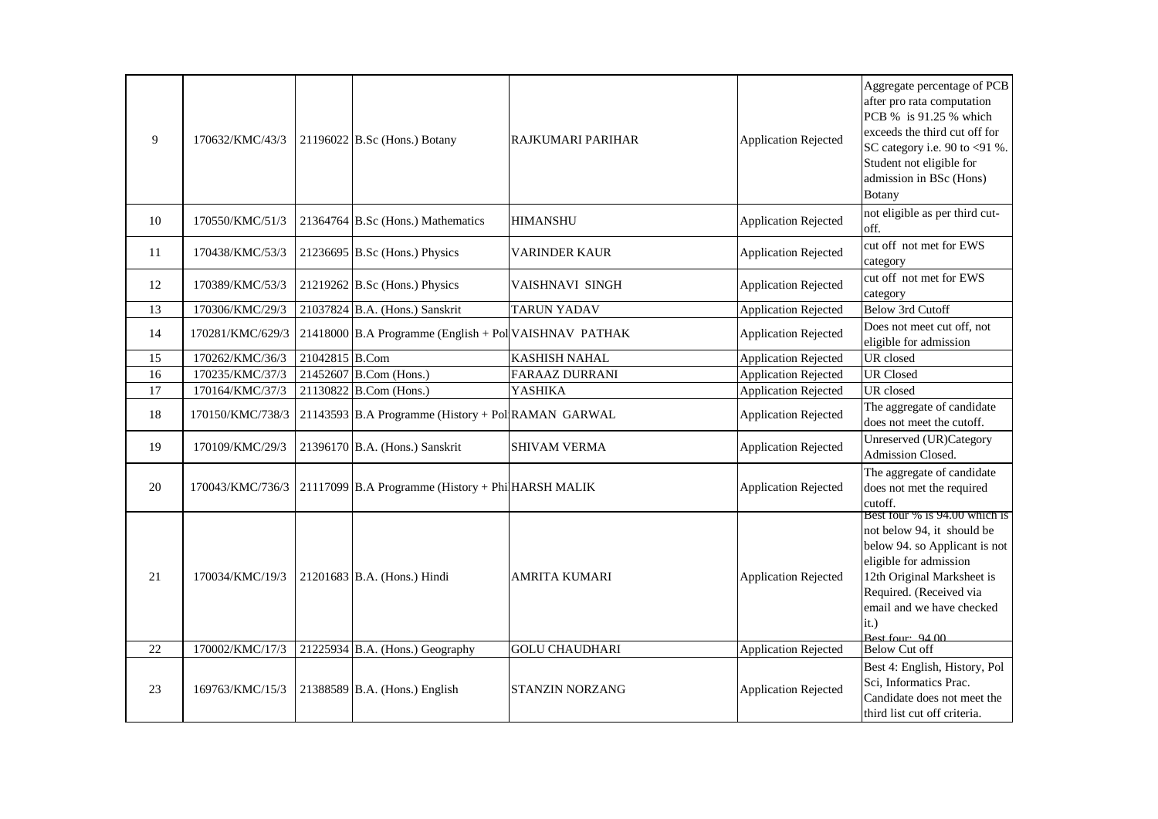| 9  | 170632/KMC/43/3  |                | 21196022 B.Sc (Hons.) Botany                          | RAJKUMARI PARIHAR      | <b>Application Rejected</b> | Aggregate percentage of PCB<br>after pro rata computation<br>PCB % is 91.25 % which<br>exceeds the third cut off for<br>SC category i.e. 90 to $<91$ %.<br>Student not eligible for<br>admission in BSc (Hons)<br><b>Botany</b>             |
|----|------------------|----------------|-------------------------------------------------------|------------------------|-----------------------------|---------------------------------------------------------------------------------------------------------------------------------------------------------------------------------------------------------------------------------------------|
| 10 | 170550/KMC/51/3  |                | 21364764 B.Sc (Hons.) Mathematics                     | <b>HIMANSHU</b>        | <b>Application Rejected</b> | not eligible as per third cut-<br>off.                                                                                                                                                                                                      |
| 11 | 170438/KMC/53/3  |                | 21236695 B.Sc (Hons.) Physics                         | VARINDER KAUR          | <b>Application Rejected</b> | cut off not met for EWS<br>category                                                                                                                                                                                                         |
| 12 | 170389/KMC/53/3  |                | 21219262 B.Sc (Hons.) Physics                         | VAISHNAVI SINGH        | <b>Application Rejected</b> | cut off not met for EWS<br>category                                                                                                                                                                                                         |
| 13 | 170306/KMC/29/3  |                | 21037824 B.A. (Hons.) Sanskrit                        | <b>TARUN YADAV</b>     | <b>Application Rejected</b> | <b>Below 3rd Cutoff</b>                                                                                                                                                                                                                     |
| 14 | 170281/KMC/629/3 |                | 21418000 B.A Programme (English + Pol VAISHNAV PATHAK |                        | <b>Application Rejected</b> | Does not meet cut off, not<br>eligible for admission                                                                                                                                                                                        |
| 15 | 170262/KMC/36/3  | 21042815 B.Com |                                                       | <b>KASHISH NAHAL</b>   | <b>Application Rejected</b> | UR closed                                                                                                                                                                                                                                   |
| 16 | 170235/KMC/37/3  |                | 21452607 B.Com (Hons.)                                | FARAAZ DURRANI         | <b>Application Rejected</b> | <b>UR Closed</b>                                                                                                                                                                                                                            |
| 17 | 170164/KMC/37/3  |                | 21130822 B.Com (Hons.)                                | <b>YASHIKA</b>         | <b>Application Rejected</b> | UR closed                                                                                                                                                                                                                                   |
| 18 | 170150/KMC/738/3 |                | 21143593 B.A Programme (History + Pol RAMAN GARWAL    |                        | <b>Application Rejected</b> | The aggregate of candidate<br>does not meet the cutoff.                                                                                                                                                                                     |
| 19 | 170109/KMC/29/3  |                | 21396170 B.A. (Hons.) Sanskrit                        | <b>SHIVAM VERMA</b>    | <b>Application Rejected</b> | Unreserved (UR)Category<br>Admission Closed.                                                                                                                                                                                                |
| 20 | 170043/KMC/736/3 |                | 21117099 B.A Programme (History + Phi HARSH MALIK     |                        | <b>Application Rejected</b> | The aggregate of candidate<br>does not met the required<br>cutoff.                                                                                                                                                                          |
| 21 | 170034/KMC/19/3  |                | 21201683 B.A. (Hons.) Hindi                           | AMRITA KUMARI          | <b>Application Rejected</b> | Best four $\%$ is 94.00 which is<br>not below 94, it should be<br>below 94. so Applicant is not<br>eligible for admission<br>12th Original Marksheet is<br>Required. (Received via<br>email and we have checked<br>it.)<br>Best four: 94.00 |
| 22 | 170002/KMC/17/3  |                | 21225934 B.A. (Hons.) Geography                       | <b>GOLU CHAUDHARI</b>  | <b>Application Rejected</b> | <b>Below Cut off</b>                                                                                                                                                                                                                        |
| 23 | 169763/KMC/15/3  |                | 21388589 B.A. (Hons.) English                         | <b>STANZIN NORZANG</b> | <b>Application Rejected</b> | Best 4: English, History, Pol<br>Sci, Informatics Prac.<br>Candidate does not meet the<br>third list cut off criteria.                                                                                                                      |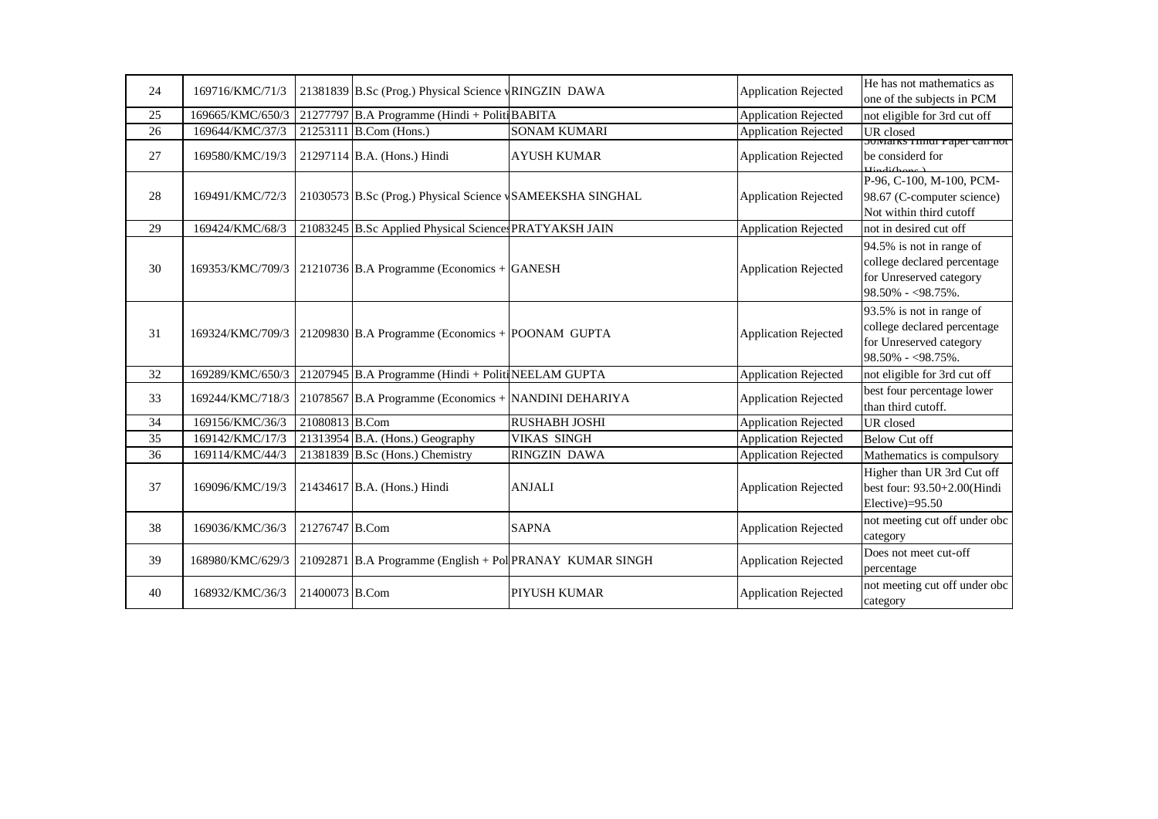| 24 | 169716/KMC/71/3  |                | 21381839 B.Sc (Prog.) Physical Science vRINGZIN DAWA            |                      | <b>Application Rejected</b> | He has not mathematics as<br>one of the subjects in PCM                                                     |
|----|------------------|----------------|-----------------------------------------------------------------|----------------------|-----------------------------|-------------------------------------------------------------------------------------------------------------|
| 25 | 169665/KMC/650/3 |                | 21277797 B.A Programme (Hindi + Politi BABITA                   |                      | <b>Application Rejected</b> | not eligible for 3rd cut off                                                                                |
| 26 | 169644/KMC/37/3  |                | 21253111 B.Com (Hons.)                                          | <b>SONAM KUMARI</b>  | <b>Application Rejected</b> | UR closed                                                                                                   |
|    |                  |                |                                                                 |                      |                             | <b>SUMAIKS FINGI Paper can not</b>                                                                          |
| 27 | 169580/KMC/19/3  |                | 21297114 B.A. (Hons.) Hindi                                     | <b>AYUSH KUMAR</b>   | <b>Application Rejected</b> | be considerd for<br>$\mathbf{H}$ indi $\mathbf{h}$ .                                                        |
| 28 | 169491/KMC/72/3  |                | 21030573 B.Sc (Prog.) Physical Science <b>SAMEEKSHA SINGHAL</b> |                      | <b>Application Rejected</b> | P-96, C-100, M-100, PCM-<br>98.67 (C-computer science)<br>Not within third cutoff                           |
| 29 | 169424/KMC/68/3  |                | 21083245 B.Sc Applied Physical Sciences PRATYAKSH JAIN          |                      | <b>Application Rejected</b> | not in desired cut off                                                                                      |
| 30 | 169353/KMC/709/3 |                | 21210736 B.A Programme (Economics + GANESH                      |                      | <b>Application Rejected</b> | 94.5% is not in range of<br>college declared percentage<br>for Unreserved category<br>$98.50\% - 98.75\%$ . |
| 31 | 169324/KMC/709/3 |                | 21209830 B.A Programme (Economics + POONAM GUPTA                |                      | <b>Application Rejected</b> | 93.5% is not in range of<br>college declared percentage<br>for Unreserved category<br>$98.50\% - 98.75\%$ . |
| 32 | 169289/KMC/650/3 |                | 21207945 B.A Programme (Hindi + Politi NEELAM GUPTA             |                      | <b>Application Rejected</b> | not eligible for 3rd cut off                                                                                |
| 33 | 169244/KMC/718/3 |                | 21078567 B.A Programme (Economics + NANDINI DEHARIYA            |                      | <b>Application Rejected</b> | best four percentage lower<br>than third cutoff.                                                            |
| 34 | 169156/KMC/36/3  | 21080813 B.Com |                                                                 | <b>RUSHABH JOSHI</b> | <b>Application Rejected</b> | UR closed                                                                                                   |
| 35 | 169142/KMC/17/3  |                | 21313954 B.A. (Hons.) Geography                                 | <b>VIKAS SINGH</b>   | <b>Application Rejected</b> | <b>Below Cut off</b>                                                                                        |
| 36 | 169114/KMC/44/3  |                | 21381839 B.Sc (Hons.) Chemistry                                 | <b>RINGZIN DAWA</b>  | Application Rejected        | Mathematics is compulsory                                                                                   |
| 37 | 169096/KMC/19/3  |                | 21434617 B.A. (Hons.) Hindi                                     | <b>ANJALI</b>        | <b>Application Rejected</b> | Higher than UR 3rd Cut off<br>best four: 93.50+2.00(Hindi<br>Elective)=95.50                                |
| 38 | 169036/KMC/36/3  | 21276747 B.Com |                                                                 | <b>SAPNA</b>         | <b>Application Rejected</b> | not meeting cut off under obc<br>category                                                                   |
| 39 | 168980/KMC/629/3 |                | $21092871$ B.A Programme (English + Pol PRANAY KUMAR SINGH)     |                      | <b>Application Rejected</b> | Does not meet cut-off<br>percentage                                                                         |
| 40 | 168932/KMC/36/3  | 21400073 B.Com |                                                                 | <b>PIYUSH KUMAR</b>  | <b>Application Rejected</b> | not meeting cut off under obc<br>category                                                                   |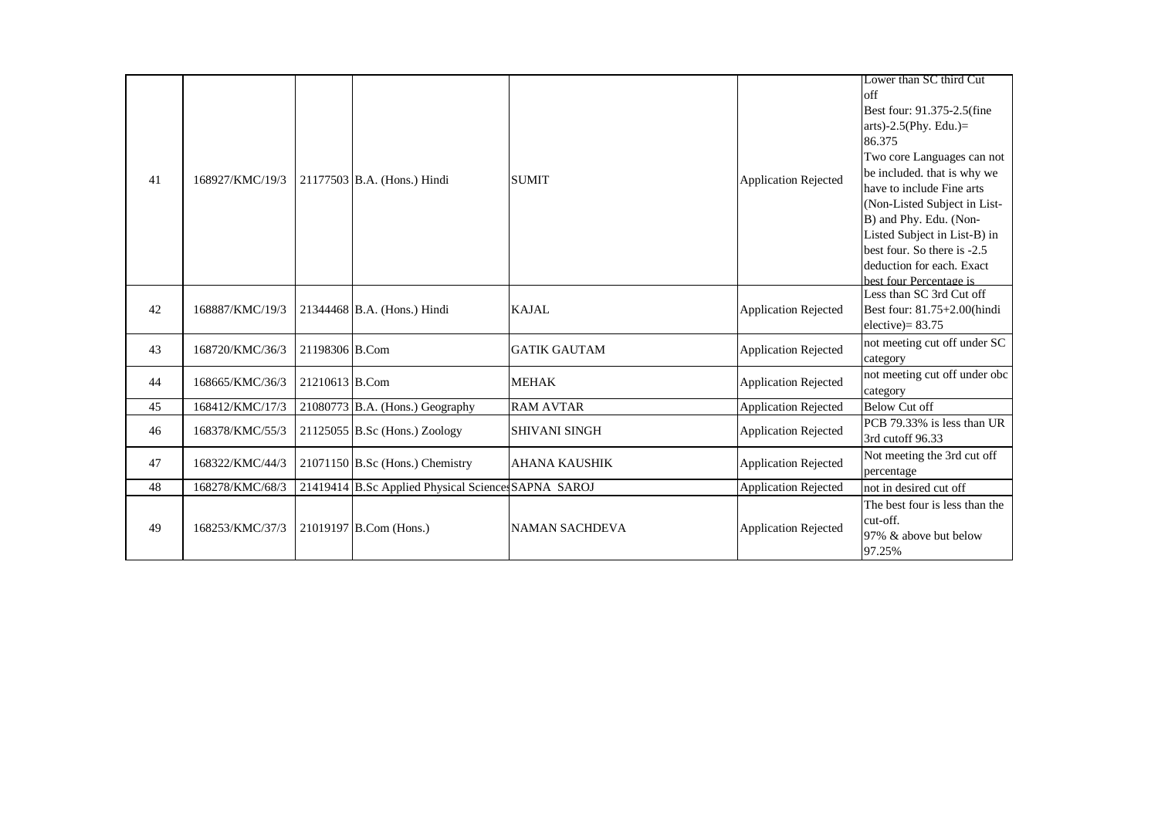| 41 | 168927/KMC/19/3 |                | 21177503 B.A. (Hons.) Hindi                         | <b>SUMIT</b>          | <b>Application Rejected</b> | Lower than SC third Cut<br>off<br>Best four: 91.375-2.5(fine<br>arts)-2.5(Phy. Edu.)=<br>86.375<br>Two core Languages can not<br>be included, that is why we<br>have to include Fine arts<br>(Non-Listed Subject in List-<br>B) and Phy. Edu. (Non-<br>Listed Subject in List-B) in<br>best four. So there is -2.5<br>deduction for each. Exact<br>best four Percentage is |
|----|-----------------|----------------|-----------------------------------------------------|-----------------------|-----------------------------|----------------------------------------------------------------------------------------------------------------------------------------------------------------------------------------------------------------------------------------------------------------------------------------------------------------------------------------------------------------------------|
| 42 | 168887/KMC/19/3 |                | 21344468 B.A. (Hons.) Hindi                         | <b>KAJAL</b>          | <b>Application Rejected</b> | Less than SC 3rd Cut off<br>Best four: 81.75+2.00(hindi<br>elective) = $83.75$                                                                                                                                                                                                                                                                                             |
| 43 | 168720/KMC/36/3 | 21198306 B.Com |                                                     | <b>GATIK GAUTAM</b>   | <b>Application Rejected</b> | not meeting cut off under SC<br>category                                                                                                                                                                                                                                                                                                                                   |
| 44 | 168665/KMC/36/3 | 21210613 B.Com |                                                     | <b>MEHAK</b>          | <b>Application Rejected</b> | not meeting cut off under obc<br>category                                                                                                                                                                                                                                                                                                                                  |
| 45 | 168412/KMC/17/3 |                | 21080773 B.A. (Hons.) Geography                     | <b>RAM AVTAR</b>      | <b>Application Rejected</b> | <b>Below Cut off</b>                                                                                                                                                                                                                                                                                                                                                       |
| 46 | 168378/KMC/55/3 |                | $21125055$ B.Sc (Hons.) Zoology                     | <b>SHIVANI SINGH</b>  | <b>Application Rejected</b> | PCB 79.33% is less than UR<br>3rd cutoff 96.33                                                                                                                                                                                                                                                                                                                             |
| 47 | 168322/KMC/44/3 |                | $21071150$ B.Sc (Hons.) Chemistry                   | <b>AHANA KAUSHIK</b>  | <b>Application Rejected</b> | Not meeting the 3rd cut off<br>percentage                                                                                                                                                                                                                                                                                                                                  |
| 48 | 168278/KMC/68/3 |                | 21419414 B.Sc Applied Physical Sciences SAPNA SAROJ |                       | <b>Application Rejected</b> | not in desired cut off                                                                                                                                                                                                                                                                                                                                                     |
| 49 | 168253/KMC/37/3 |                | 21019197 B.Com (Hons.)                              | <b>NAMAN SACHDEVA</b> | <b>Application Rejected</b> | The best four is less than the<br>cut-off.<br>97% & above but below<br>97.25%                                                                                                                                                                                                                                                                                              |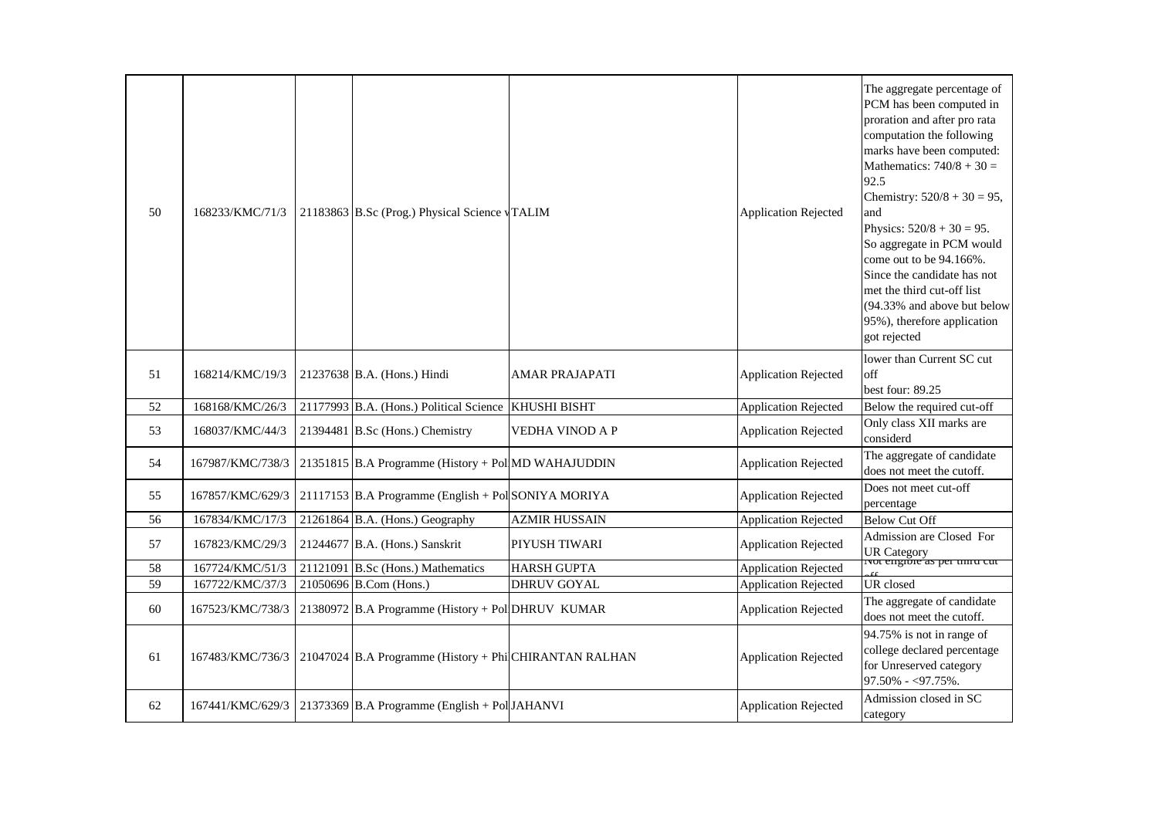| 50 | 168233/KMC/71/3  | 21183863 B.Sc (Prog.) Physical Science vTALIM                  |                       | <b>Application Rejected</b> | The aggregate percentage of<br>PCM has been computed in<br>proration and after pro rata<br>computation the following<br>marks have been computed:<br>Mathematics: $740/8 + 30 =$<br>92.5<br>Chemistry: $520/8 + 30 = 95$ ,<br>and<br>Physics: $520/8 + 30 = 95$ .<br>So aggregate in PCM would<br>come out to be 94.166%.<br>Since the candidate has not<br>met the third cut-off list<br>(94.33% and above but below<br>95%), therefore application<br>got rejected |
|----|------------------|----------------------------------------------------------------|-----------------------|-----------------------------|----------------------------------------------------------------------------------------------------------------------------------------------------------------------------------------------------------------------------------------------------------------------------------------------------------------------------------------------------------------------------------------------------------------------------------------------------------------------|
| 51 | 168214/KMC/19/3  | 21237638 B.A. (Hons.) Hindi                                    | <b>AMAR PRAJAPATI</b> | <b>Application Rejected</b> | lower than Current SC cut<br>off<br>best four: $89.25$                                                                                                                                                                                                                                                                                                                                                                                                               |
| 52 | 168168/KMC/26/3  | 21177993 B.A. (Hons.) Political Science                        | <b>KHUSHI BISHT</b>   | <b>Application Rejected</b> | Below the required cut-off                                                                                                                                                                                                                                                                                                                                                                                                                                           |
| 53 | 168037/KMC/44/3  | 21394481 B.Sc (Hons.) Chemistry                                | VEDHA VINOD A P       | <b>Application Rejected</b> | Only class XII marks are<br>considerd                                                                                                                                                                                                                                                                                                                                                                                                                                |
| 54 | 167987/KMC/738/3 | 21351815 B.A Programme (History + Pol MD WAHAJUDDIN            |                       | <b>Application Rejected</b> | The aggregate of candidate<br>does not meet the cutoff.                                                                                                                                                                                                                                                                                                                                                                                                              |
| 55 | 167857/KMC/629/3 | 21117153 B.A Programme (English + Pol SONIYA MORIYA            |                       | <b>Application Rejected</b> | Does not meet cut-off<br>percentage                                                                                                                                                                                                                                                                                                                                                                                                                                  |
| 56 | 167834/KMC/17/3  | 21261864 B.A. (Hons.) Geography                                | <b>AZMIR HUSSAIN</b>  | <b>Application Rejected</b> | <b>Below Cut Off</b>                                                                                                                                                                                                                                                                                                                                                                                                                                                 |
| 57 | 167823/KMC/29/3  | 21244677 B.A. (Hons.) Sanskrit                                 | PIYUSH TIWARI         | <b>Application Rejected</b> | Admission are Closed For<br>UR Category<br>Not engible as per uniu cut                                                                                                                                                                                                                                                                                                                                                                                               |
| 58 | 167724/KMC/51/3  | $21121091$ B.Sc (Hons.) Mathematics                            | <b>HARSH GUPTA</b>    | <b>Application Rejected</b> |                                                                                                                                                                                                                                                                                                                                                                                                                                                                      |
| 59 | 167722/KMC/37/3  | 21050696 B.Com (Hons.)                                         | DHRUV GOYAL           | <b>Application Rejected</b> | UR closed                                                                                                                                                                                                                                                                                                                                                                                                                                                            |
| 60 | 167523/KMC/738/3 | 21380972 B.A Programme (History + Pol DHRUV KUMAR              |                       | <b>Application Rejected</b> | The aggregate of candidate<br>does not meet the cutoff.                                                                                                                                                                                                                                                                                                                                                                                                              |
| 61 | 167483/KMC/736/3 | 21047024 B.A Programme (History + Phi CHIRANTAN RALHAN         |                       | <b>Application Rejected</b> | 94.75% is not in range of<br>college declared percentage<br>for Unreserved category<br>$97.50\% - 97.75\%$ .                                                                                                                                                                                                                                                                                                                                                         |
| 62 |                  | 167441/KMC/629/3 21373369 B.A Programme (English + Pol JAHANVI |                       | <b>Application Rejected</b> | Admission closed in SC<br>category                                                                                                                                                                                                                                                                                                                                                                                                                                   |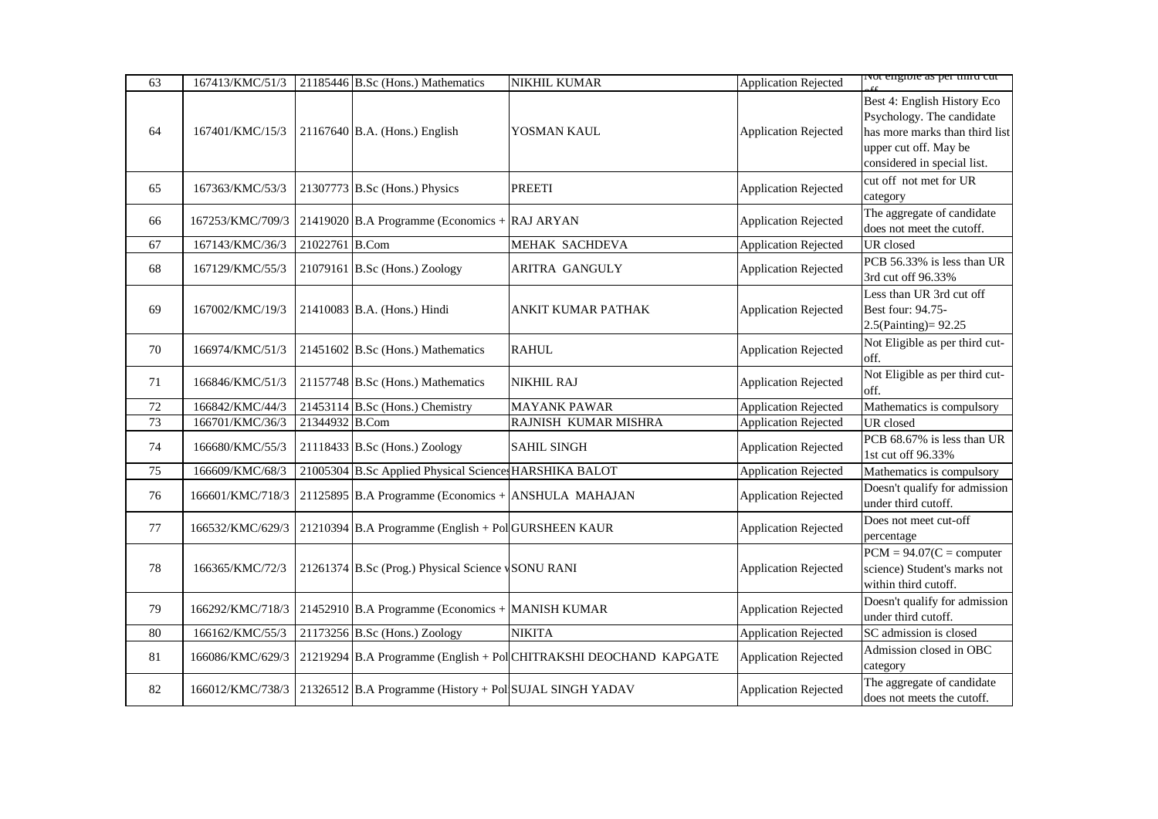| 63 | 167413/KMC/51/3  |                | 21185446 B.Sc (Hons.) Mathematics                       | <b>NIKHIL KUMAR</b>                                               | <b>Application Rejected</b> | ivot engioie as per unita cut                                                                                                                      |
|----|------------------|----------------|---------------------------------------------------------|-------------------------------------------------------------------|-----------------------------|----------------------------------------------------------------------------------------------------------------------------------------------------|
| 64 | 167401/KMC/15/3  |                | $21167640$ B.A. (Hons.) English                         | YOSMAN KAUL                                                       | <b>Application Rejected</b> | Best 4: English History Eco<br>Psychology. The candidate<br>has more marks than third list<br>upper cut off. May be<br>considered in special list. |
| 65 | 167363/KMC/53/3  |                | 21307773 B.Sc (Hons.) Physics                           | <b>PREETI</b>                                                     | <b>Application Rejected</b> | cut off not met for UR<br>category                                                                                                                 |
| 66 | 167253/KMC/709/3 |                | 21419020 B.A Programme (Economics + RAJ ARYAN           |                                                                   | <b>Application Rejected</b> | The aggregate of candidate<br>does not meet the cutoff.                                                                                            |
| 67 | 167143/KMC/36/3  | 21022761 B.Com |                                                         | MEHAK SACHDEVA                                                    | <b>Application Rejected</b> | UR closed                                                                                                                                          |
| 68 | 167129/KMC/55/3  |                | $21079161$ B.Sc (Hons.) Zoology                         | ARITRA GANGULY                                                    | <b>Application Rejected</b> | PCB 56.33% is less than UR<br>3rd cut off 96.33%                                                                                                   |
| 69 | 167002/KMC/19/3  |                | 21410083 B.A. (Hons.) Hindi                             | ANKIT KUMAR PATHAK                                                | <b>Application Rejected</b> | Less than UR 3rd cut off<br>Best four: 94.75-<br>2.5(Painting)= 92.25                                                                              |
| 70 | 166974/KMC/51/3  |                | 21451602 B.Sc (Hons.) Mathematics                       | <b>RAHUL</b>                                                      | <b>Application Rejected</b> | Not Eligible as per third cut-<br>off.                                                                                                             |
| 71 | 166846/KMC/51/3  |                | 21157748 B.Sc (Hons.) Mathematics                       | <b>NIKHIL RAJ</b>                                                 | <b>Application Rejected</b> | Not Eligible as per third cut-<br>off.                                                                                                             |
| 72 | 166842/KMC/44/3  |                | 21453114 B.Sc (Hons.) Chemistry                         | <b>MAYANK PAWAR</b>                                               | <b>Application Rejected</b> | Mathematics is compulsory                                                                                                                          |
| 73 | 166701/KMC/36/3  | 21344932 B.Com |                                                         | RAJNISH KUMAR MISHRA                                              | <b>Application Rejected</b> | UR closed                                                                                                                                          |
| 74 | 166680/KMC/55/3  |                | $21118433$ B.Sc (Hons.) Zoology                         | <b>SAHIL SINGH</b>                                                | <b>Application Rejected</b> | PCB 68.67% is less than UR<br>1st cut off 96.33%                                                                                                   |
| 75 | 166609/KMC/68/3  |                | 21005304 B.Sc Applied Physical Science HARSHIKA BALOT   |                                                                   | <b>Application Rejected</b> | Mathematics is compulsory                                                                                                                          |
| 76 | 166601/KMC/718/3 |                | 21125895 B.A Programme (Economics + ANSHULA MAHAJAN     |                                                                   | <b>Application Rejected</b> | Doesn't qualify for admission<br>under third cutoff.                                                                                               |
| 77 | 166532/KMC/629/3 |                | 21210394 B.A Programme (English + Pol GURSHEEN KAUR     |                                                                   | <b>Application Rejected</b> | Does not meet cut-off<br>percentage                                                                                                                |
| 78 | 166365/KMC/72/3  |                | 21261374 B.Sc (Prog.) Physical Science vSONU RANI       |                                                                   | <b>Application Rejected</b> | $PCM = 94.07(C = computer$<br>science) Student's marks not<br>within third cutoff.                                                                 |
| 79 | 166292/KMC/718/3 |                | 21452910 B.A Programme (Economics + MANISH KUMAR        |                                                                   | <b>Application Rejected</b> | Doesn't qualify for admission<br>under third cutoff.                                                                                               |
| 80 | 166162/KMC/55/3  |                | 21173256 B.Sc (Hons.) Zoology                           | <b>NIKITA</b>                                                     | <b>Application Rejected</b> | SC admission is closed                                                                                                                             |
| 81 | 166086/KMC/629/3 |                |                                                         | 21219294 B.A Programme (English + Pol CHITRAKSHI DEOCHAND KAPGATE | <b>Application Rejected</b> | Admission closed in OBC<br>category                                                                                                                |
| 82 | 166012/KMC/738/3 |                | 21326512 B.A Programme (History + Pol SUJAL SINGH YADAV |                                                                   | <b>Application Rejected</b> | The aggregate of candidate<br>does not meets the cutoff.                                                                                           |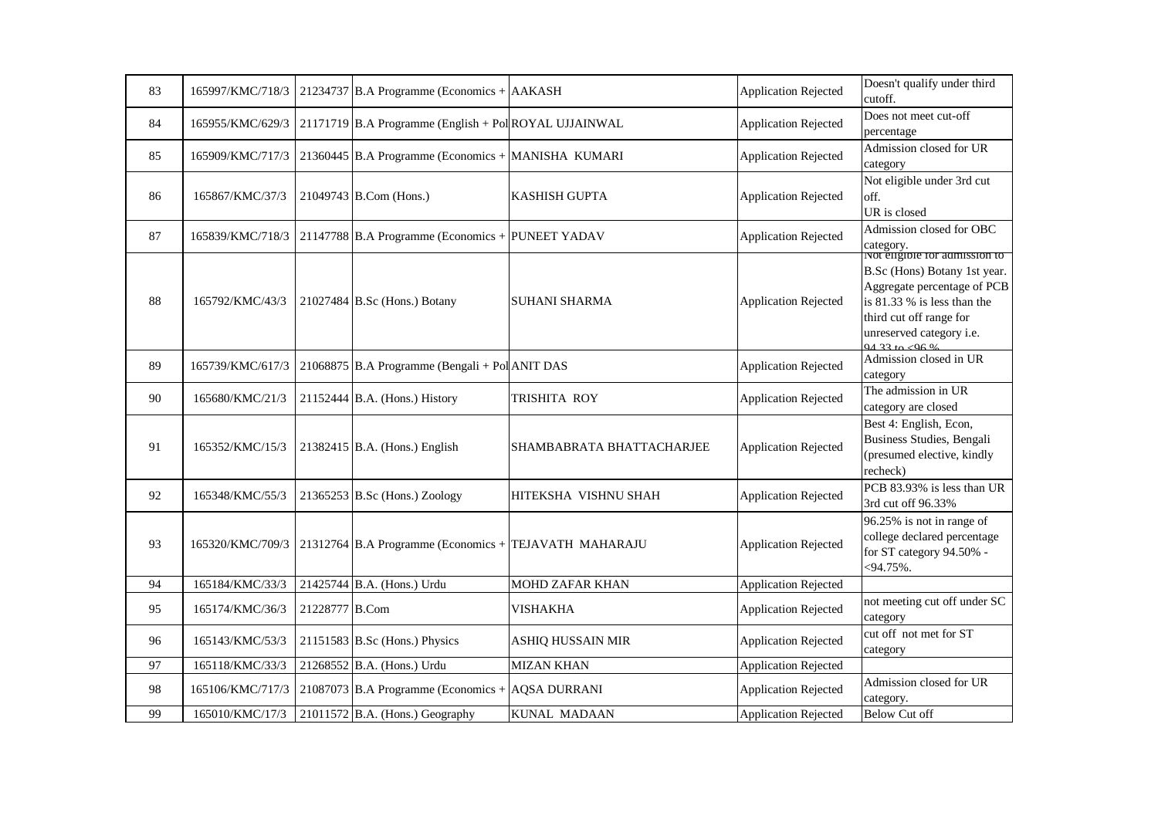| 83 | 165997/KMC/718/3 |                | 21234737 B.A Programme (Economics + $AAKASH$          |                           | <b>Application Rejected</b> | Doesn't qualify under third<br>cutoff.                                                                                                                                                               |
|----|------------------|----------------|-------------------------------------------------------|---------------------------|-----------------------------|------------------------------------------------------------------------------------------------------------------------------------------------------------------------------------------------------|
| 84 | 165955/KMC/629/3 |                | 21171719 B.A Programme (English + Pol ROYAL UJJAINWAL |                           | <b>Application Rejected</b> | Does not meet cut-off<br>percentage                                                                                                                                                                  |
| 85 | 165909/KMC/717/3 |                | 21360445 B.A Programme (Economics + MANISHA KUMARI    |                           | <b>Application Rejected</b> | Admission closed for UR<br>category                                                                                                                                                                  |
| 86 | 165867/KMC/37/3  |                | 21049743 B.Com (Hons.)                                | <b>KASHISH GUPTA</b>      | <b>Application Rejected</b> | Not eligible under 3rd cut<br>off.<br>UR is closed                                                                                                                                                   |
| 87 | 165839/KMC/718/3 |                | 21147788 B.A Programme (Economics + PUNEET YADAV      |                           | <b>Application Rejected</b> | Admission closed for OBC<br>category.                                                                                                                                                                |
| 88 | 165792/KMC/43/3  |                | 21027484 B.Sc (Hons.) Botany                          | <b>SUHANI SHARMA</b>      | <b>Application Rejected</b> | Not eligible for admission to<br>B.Sc (Hons) Botany 1st year.<br>Aggregate percentage of PCB<br>is 81.33 % is less than the<br>third cut off range for<br>unreserved category i.e.<br>$0/133 + 0.06$ |
| 89 | 165739/KMC/617/3 |                | 21068875 B.A Programme (Bengali + Pol ANIT DAS        |                           | <b>Application Rejected</b> | Admission closed in UR<br>category                                                                                                                                                                   |
| 90 | 165680/KMC/21/3  |                | $21152444$ B.A. (Hons.) History                       | <b>TRISHITA ROY</b>       | <b>Application Rejected</b> | The admission in UR<br>category are closed                                                                                                                                                           |
| 91 | 165352/KMC/15/3  |                | $21382415$ B.A. (Hons.) English                       | SHAMBABRATA BHATTACHARJEE | <b>Application Rejected</b> | Best 4: English, Econ,<br>Business Studies, Bengali<br>(presumed elective, kindly<br>recheck)                                                                                                        |
| 92 | 165348/KMC/55/3  |                | $21365253$ B.Sc (Hons.) Zoology                       | HITEKSHA VISHNU SHAH      | <b>Application Rejected</b> | PCB 83.93% is less than UR<br>3rd cut off 96.33%                                                                                                                                                     |
| 93 | 165320/KMC/709/3 |                | 21312764 B.A Programme (Economics + TEJAVATH MAHARAJU |                           | <b>Application Rejected</b> | 96.25% is not in range of<br>college declared percentage<br>for ST category 94.50% -<br>$<$ 94.75%.                                                                                                  |
| 94 | 165184/KMC/33/3  |                | 21425744 B.A. (Hons.) Urdu                            | <b>MOHD ZAFAR KHAN</b>    | <b>Application Rejected</b> |                                                                                                                                                                                                      |
| 95 | 165174/KMC/36/3  | 21228777 B.Com |                                                       | <b>VISHAKHA</b>           | <b>Application Rejected</b> | not meeting cut off under SC<br>category                                                                                                                                                             |
| 96 | 165143/KMC/53/3  |                | $21151583$ B.Sc (Hons.) Physics                       | ASHIQ HUSSAIN MIR         | <b>Application Rejected</b> | cut off not met for ST<br>category                                                                                                                                                                   |
| 97 | 165118/KMC/33/3  |                | 21268552 B.A. (Hons.) Urdu                            | <b>MIZAN KHAN</b>         | <b>Application Rejected</b> |                                                                                                                                                                                                      |
| 98 | 165106/KMC/717/3 |                | 21087073 B.A Programme (Economics + $AQSA DURRANI$    |                           | <b>Application Rejected</b> | Admission closed for UR<br>category.                                                                                                                                                                 |
| 99 | 165010/KMC/17/3  |                | $21011572$ B.A. (Hons.) Geography                     | <b>KUNAL MADAAN</b>       | <b>Application Rejected</b> | <b>Below Cut off</b>                                                                                                                                                                                 |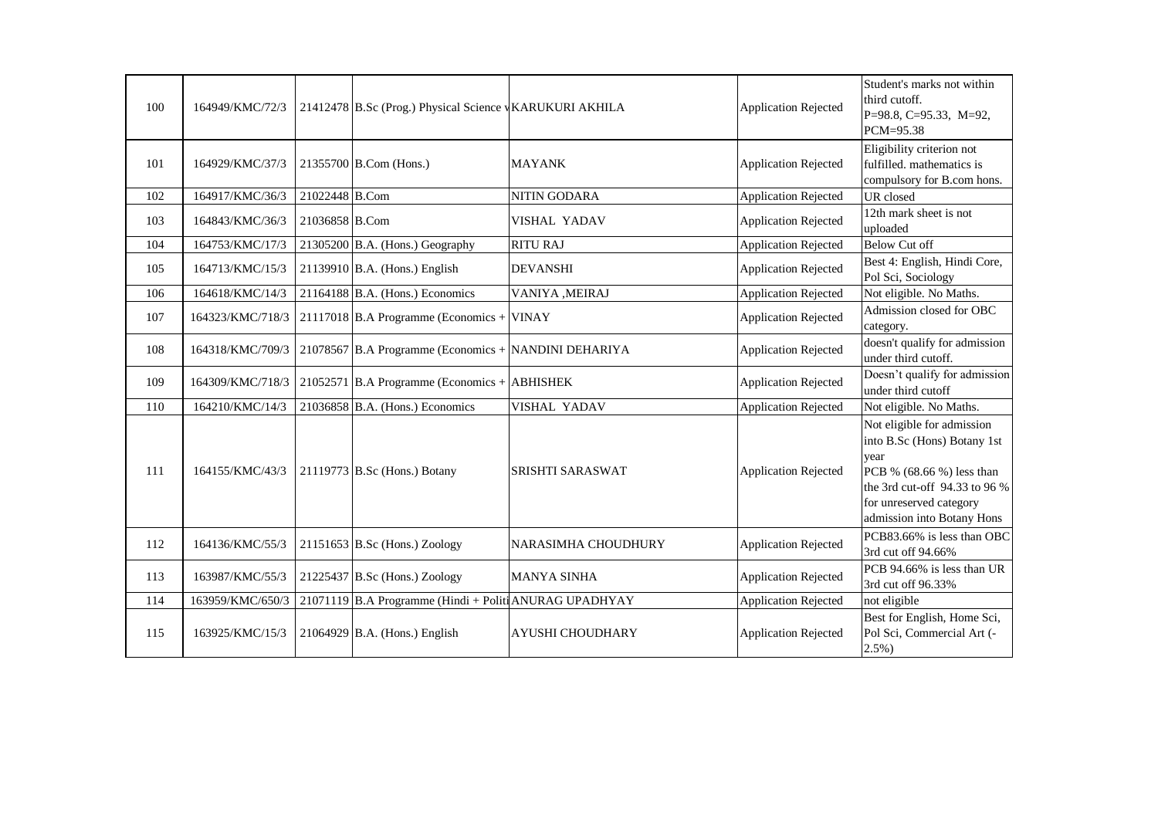| 100 | 164949/KMC/72/3  |                | 21412478 B.Sc (Prog.) Physical Science vKARUKURI AKHILA |                            | <b>Application Rejected</b> | Student's marks not within<br>third cutoff.<br>P=98.8, C=95.33, M=92,<br>PCM=95.38                                                                                                       |
|-----|------------------|----------------|---------------------------------------------------------|----------------------------|-----------------------------|------------------------------------------------------------------------------------------------------------------------------------------------------------------------------------------|
| 101 | 164929/KMC/37/3  |                | 21355700 B.Com (Hons.)                                  | <b>MAYANK</b>              | <b>Application Rejected</b> | Eligibility criterion not<br>fulfilled. mathematics is<br>compulsory for B.com hons.                                                                                                     |
| 102 | 164917/KMC/36/3  | 21022448 B.Com |                                                         | NITIN GODARA               | <b>Application Rejected</b> | UR closed                                                                                                                                                                                |
| 103 | 164843/KMC/36/3  | 21036858 B.Com |                                                         | VISHAL YADAV               | <b>Application Rejected</b> | 12th mark sheet is not<br>uploaded                                                                                                                                                       |
| 104 | 164753/KMC/17/3  |                | 21305200 B.A. (Hons.) Geography                         | <b>RITU RAJ</b>            | <b>Application Rejected</b> | <b>Below Cut off</b>                                                                                                                                                                     |
| 105 | 164713/KMC/15/3  |                | 21139910 B.A. (Hons.) English                           | <b>DEVANSHI</b>            | <b>Application Rejected</b> | Best 4: English, Hindi Core,<br>Pol Sci, Sociology                                                                                                                                       |
| 106 | 164618/KMC/14/3  |                | 21164188 B.A. (Hons.) Economics                         | VANIYA , MEIRAJ            | <b>Application Rejected</b> | Not eligible. No Maths.                                                                                                                                                                  |
| 107 | 164323/KMC/718/3 |                | 21117018 B.A Programme (Economics + VINAY               |                            | <b>Application Rejected</b> | Admission closed for OBC<br>category.                                                                                                                                                    |
| 108 | 164318/KMC/709/3 |                | 21078567 B.A Programme (Economics + NANDINI DEHARIYA    |                            | <b>Application Rejected</b> | doesn't qualify for admission<br>under third cutoff.                                                                                                                                     |
| 109 | 164309/KMC/718/3 |                | 21052571 B.A Programme (Economics + ABHISHEK            |                            | <b>Application Rejected</b> | Doesn't qualify for admission<br>under third cutoff                                                                                                                                      |
| 110 | 164210/KMC/14/3  |                | 21036858 B.A. (Hons.) Economics                         | VISHAL YADAV               | <b>Application Rejected</b> | Not eligible. No Maths.                                                                                                                                                                  |
| 111 | 164155/KMC/43/3  |                | 21119773 B.Sc (Hons.) Botany                            | SRISHTI SARASWAT           | <b>Application Rejected</b> | Not eligible for admission<br>into B.Sc (Hons) Botany 1st<br>year<br>PCB % (68.66 %) less than<br>the 3rd cut-off 94.33 to 96 %<br>for unreserved category<br>admission into Botany Hons |
| 112 | 164136/KMC/55/3  |                | 21151653 B.Sc (Hons.) Zoology                           | <b>NARASIMHA CHOUDHURY</b> | <b>Application Rejected</b> | PCB83.66% is less than OBC<br>3rd cut off 94.66%                                                                                                                                         |
| 113 | 163987/KMC/55/3  |                | 21225437 B.Sc (Hons.) Zoology                           | <b>MANYA SINHA</b>         | <b>Application Rejected</b> | PCB 94.66% is less than UR<br>3rd cut off 96.33%                                                                                                                                         |
| 114 | 163959/KMC/650/3 |                | 21071119 B.A Programme (Hindi + Politi ANURAG UPADHYAY  |                            | <b>Application Rejected</b> | not eligible                                                                                                                                                                             |
| 115 | 163925/KMC/15/3  |                | 21064929 B.A. (Hons.) English                           | AYUSHI CHOUDHARY           | <b>Application Rejected</b> | Best for English, Home Sci,<br>Pol Sci, Commercial Art (-<br>$2.5\%$ )                                                                                                                   |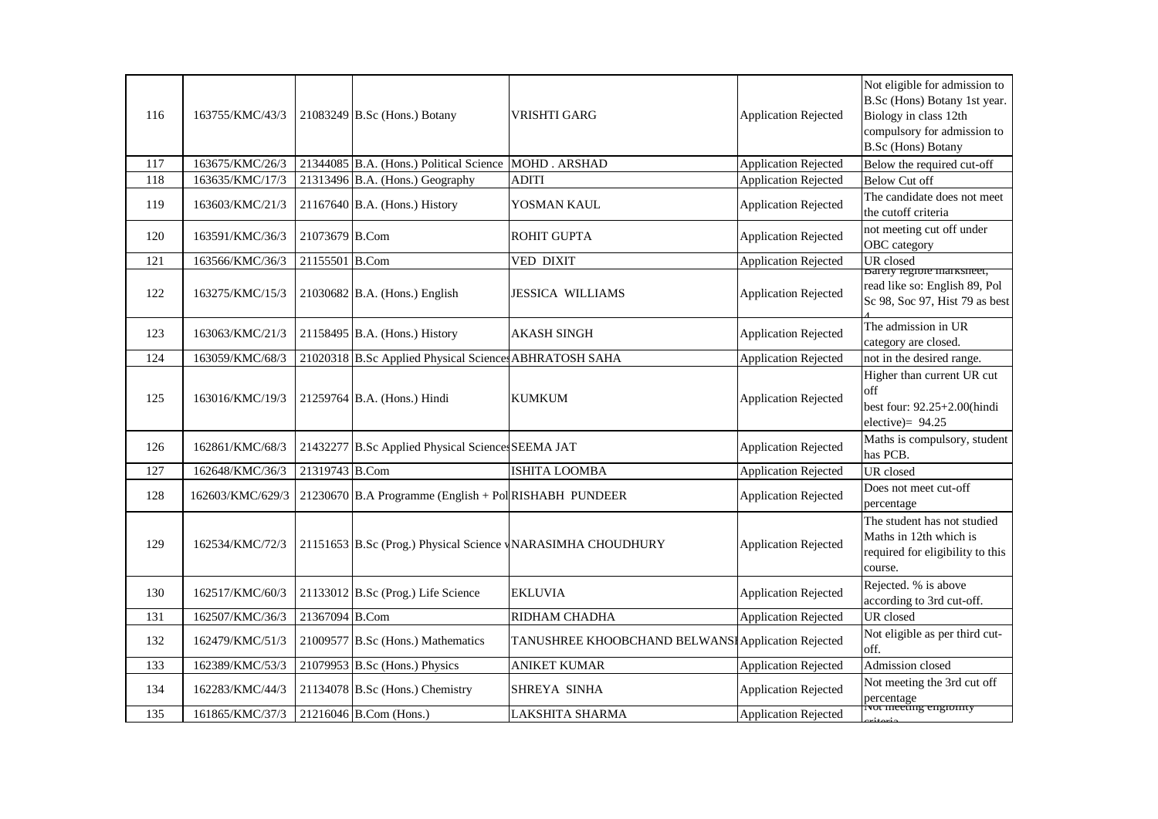| 116 | 163755/KMC/43/3  |                | 21083249 B.Sc (Hons.) Botany                            | VRISHTI GARG                                               | <b>Application Rejected</b> | Not eligible for admission to<br>B.Sc (Hons) Botany 1st year.<br>Biology in class 12th<br>compulsory for admission to<br><b>B.Sc</b> (Hons) Botany |
|-----|------------------|----------------|---------------------------------------------------------|------------------------------------------------------------|-----------------------------|----------------------------------------------------------------------------------------------------------------------------------------------------|
| 117 | 163675/KMC/26/3  |                | 21344085 B.A. (Hons.) Political Science                 | <b>MOHD. ARSHAD</b>                                        | <b>Application Rejected</b> | Below the required cut-off                                                                                                                         |
| 118 | 163635/KMC/17/3  |                | 21313496 B.A. (Hons.) Geography                         | <b>ADITI</b>                                               | <b>Application Rejected</b> | <b>Below Cut off</b>                                                                                                                               |
| 119 | 163603/KMC/21/3  |                | $21167640$ B.A. (Hons.) History                         | YOSMAN KAUL                                                | <b>Application Rejected</b> | The candidate does not meet<br>the cutoff criteria                                                                                                 |
| 120 | 163591/KMC/36/3  | 21073679 B.Com |                                                         | <b>ROHIT GUPTA</b>                                         | <b>Application Rejected</b> | not meeting cut off under<br>OBC category                                                                                                          |
| 121 | 163566/KMC/36/3  | 21155501 B.Com |                                                         | VED DIXIT                                                  | <b>Application Rejected</b> | UR closed                                                                                                                                          |
| 122 | 163275/KMC/15/3  |                | 21030682 B.A. (Hons.) English                           | <b>JESSICA WILLIAMS</b>                                    | <b>Application Rejected</b> | <b>Barely legiole marksheet</b> ,<br>read like so: English 89, Pol<br>Sc 98, Soc 97, Hist 79 as best                                               |
| 123 | 163063/KMC/21/3  |                | 21158495 B.A. (Hons.) History                           | <b>AKASH SINGH</b>                                         | <b>Application Rejected</b> | The admission in UR<br>category are closed.                                                                                                        |
| 124 | 163059/KMC/68/3  |                | 21020318 B.Sc Applied Physical Science ABHRATOSH SAHA   |                                                            | <b>Application Rejected</b> | not in the desired range.                                                                                                                          |
| 125 | 163016/KMC/19/3  |                | 21259764 B.A. (Hons.) Hindi                             | <b>KUMKUM</b>                                              | <b>Application Rejected</b> | Higher than current UR cut<br>off<br>best four: 92.25+2.00(hindi<br>elective) = $94.25$                                                            |
| 126 | 162861/KMC/68/3  |                | 21432277 B.Sc Applied Physical Sciences SEEMA JAT       |                                                            | <b>Application Rejected</b> | Maths is compulsory, student<br>has PCB.                                                                                                           |
| 127 | 162648/KMC/36/3  | 21319743 B.Com |                                                         | <b>ISHITA LOOMBA</b>                                       | <b>Application Rejected</b> | UR closed                                                                                                                                          |
| 128 | 162603/KMC/629/3 |                | $21230670$ B.A Programme (English + Pol RISHABH PUNDEER |                                                            | <b>Application Rejected</b> | Does not meet cut-off<br>percentage                                                                                                                |
| 129 | 162534/KMC/72/3  |                |                                                         | 21151653 B.Sc (Prog.) Physical Science WARASIMHA CHOUDHURY | <b>Application Rejected</b> | The student has not studied<br>Maths in 12th which is<br>required for eligibility to this<br>course.                                               |
| 130 | 162517/KMC/60/3  |                | 21133012 B.Sc (Prog.) Life Science                      | <b>EKLUVIA</b>                                             | <b>Application Rejected</b> | Rejected. % is above<br>according to 3rd cut-off.                                                                                                  |
| 131 | 162507/KMC/36/3  | 21367094 B.Com |                                                         | RIDHAM CHADHA                                              | <b>Application Rejected</b> | UR closed                                                                                                                                          |
| 132 | 162479/KMC/51/3  |                | 21009577 B.Sc (Hons.) Mathematics                       | TANUSHREE KHOOBCHAND BELWANSI Application Rejected         |                             | Not eligible as per third cut-<br>off.                                                                                                             |
| 133 | 162389/KMC/53/3  |                | 21079953 B.Sc (Hons.) Physics                           | <b>ANIKET KUMAR</b>                                        | <b>Application Rejected</b> | Admission closed                                                                                                                                   |
| 134 | 162283/KMC/44/3  |                | 21134078 B.Sc (Hons.) Chemistry                         | SHREYA SINHA                                               | <b>Application Rejected</b> | Not meeting the 3rd cut off<br>percentage<br>Tvot meeting engromty                                                                                 |
| 135 | 161865/KMC/37/3  |                | 21216046 B.Com (Hons.)                                  | LAKSHITA SHARMA                                            | <b>Application Rejected</b> |                                                                                                                                                    |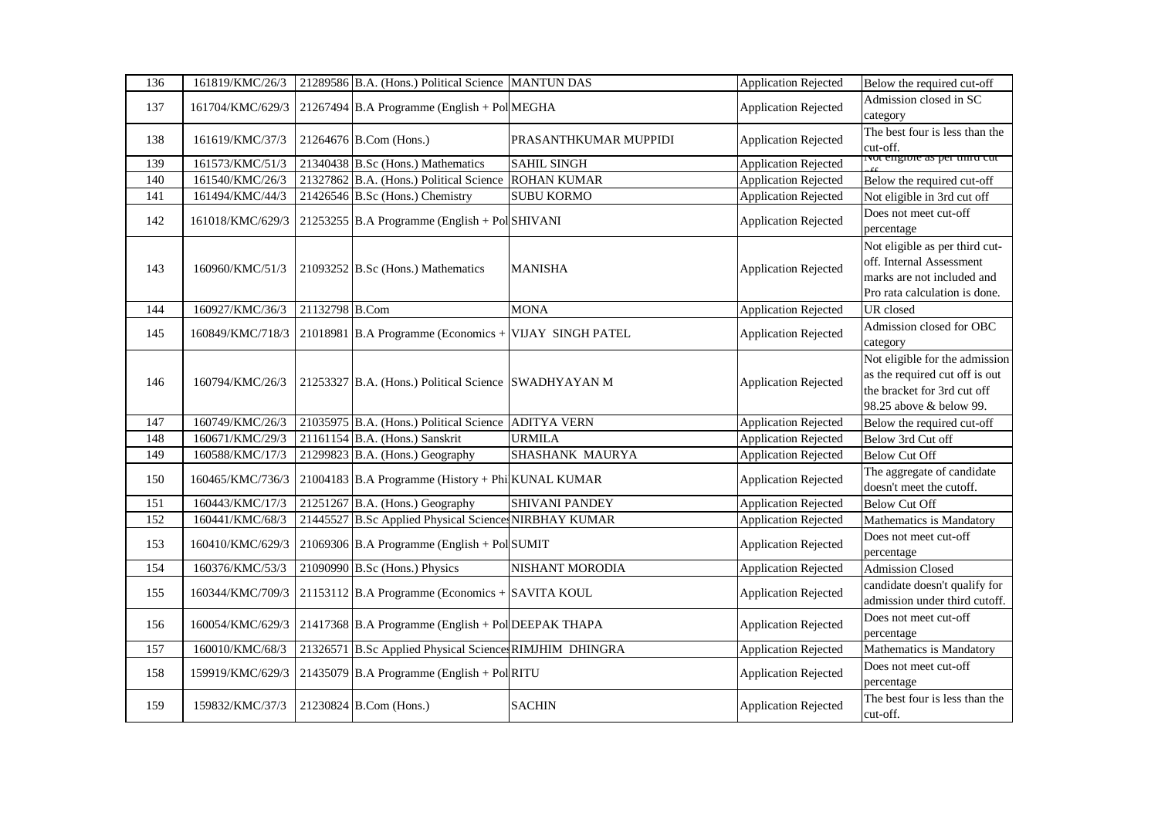| 136 | 161819/KMC/26/3  |                | 21289586 B.A. (Hons.) Political Science MANTUN DAS     |                       | <b>Application Rejected</b> | Below the required cut-off                                                                                                 |
|-----|------------------|----------------|--------------------------------------------------------|-----------------------|-----------------------------|----------------------------------------------------------------------------------------------------------------------------|
| 137 | 161704/KMC/629/3 |                | 21267494 B.A Programme (English + Pol MEGHA            |                       | <b>Application Rejected</b> | Admission closed in SC<br>category                                                                                         |
| 138 | 161619/KMC/37/3  |                | 21264676 B.Com (Hons.)                                 | PRASANTHKUMAR MUPPIDI | <b>Application Rejected</b> | The best four is less than the<br>cut-off.                                                                                 |
| 139 | 161573/KMC/51/3  |                | 21340438 B.Sc (Hons.) Mathematics                      | <b>SAHIL SINGH</b>    | <b>Application Rejected</b> | <u>ivot engible as per unita cut</u>                                                                                       |
| 140 | 161540/KMC/26/3  |                | 21327862 B.A. (Hons.) Political Science                | <b>ROHAN KUMAR</b>    | <b>Application Rejected</b> | Below the required cut-off                                                                                                 |
| 141 | 161494/KMC/44/3  |                | 21426546 B.Sc (Hons.) Chemistry                        | <b>SUBU KORMO</b>     | <b>Application Rejected</b> | Not eligible in 3rd cut off                                                                                                |
| 142 | 161018/KMC/629/3 |                | $21253255$ B.A Programme (English + Pol SHIVANI        |                       | <b>Application Rejected</b> | Does not meet cut-off<br>percentage                                                                                        |
| 143 | 160960/KMC/51/3  |                | 21093252 B.Sc (Hons.) Mathematics                      | <b>MANISHA</b>        | <b>Application Rejected</b> | Not eligible as per third cut-<br>off. Internal Assessment<br>marks are not included and<br>Pro rata calculation is done.  |
| 144 | 160927/KMC/36/3  | 21132798 B.Com |                                                        | <b>MONA</b>           | <b>Application Rejected</b> | UR closed                                                                                                                  |
| 145 | 160849/KMC/718/3 |                | 21018981 B.A Programme (Economics + VIJAY SINGH PATEL  |                       | <b>Application Rejected</b> | Admission closed for OBC<br>category                                                                                       |
| 146 | 160794/KMC/26/3  |                | 21253327 B.A. (Hons.) Political Science SWADHYAYAN M   |                       | <b>Application Rejected</b> | Not eligible for the admission<br>as the required cut off is out<br>the bracket for 3rd cut off<br>98.25 above & below 99. |
| 147 | 160749/KMC/26/3  |                | 21035975 B.A. (Hons.) Political Science                | <b>ADITYA VERN</b>    | <b>Application Rejected</b> | Below the required cut-off                                                                                                 |
| 148 | 160671/KMC/29/3  |                | 21161154 B.A. (Hons.) Sanskrit                         | <b>URMILA</b>         | <b>Application Rejected</b> | Below 3rd Cut off                                                                                                          |
| 149 | 160588/KMC/17/3  |                | 21299823 B.A. (Hons.) Geography                        | SHASHANK MAURYA       | <b>Application Rejected</b> | <b>Below Cut Off</b>                                                                                                       |
| 150 | 160465/KMC/736/3 |                | 21004183 B.A Programme (History + Phi KUNAL KUMAR      |                       | <b>Application Rejected</b> | The aggregate of candidate<br>doesn't meet the cutoff.                                                                     |
| 151 | 160443/KMC/17/3  |                | $21251267$ B.A. (Hons.) Geography                      | <b>SHIVANI PANDEY</b> | <b>Application Rejected</b> | <b>Below Cut Off</b>                                                                                                       |
| 152 | 160441/KMC/68/3  |                | 21445527 B.Sc Applied Physical Sciences NIRBHAY KUMAR  |                       | <b>Application Rejected</b> | Mathematics is Mandatory                                                                                                   |
| 153 | 160410/KMC/629/3 |                | 21069306 B.A Programme (English + Pol SUMIT            |                       | <b>Application Rejected</b> | Does not meet cut-off<br>percentage                                                                                        |
| 154 | 160376/KMC/53/3  |                | 21090990 B.Sc (Hons.) Physics                          | NISHANT MORODIA       | <b>Application Rejected</b> | <b>Admission Closed</b>                                                                                                    |
| 155 | 160344/KMC/709/3 |                | 21153112 B.A Programme (Economics + SAVITA KOUL        |                       | <b>Application Rejected</b> | candidate doesn't qualify for<br>admission under third cutoff.                                                             |
| 156 | 160054/KMC/629/3 |                | 21417368 B.A Programme (English + Pol DEEPAK THAPA     |                       | <b>Application Rejected</b> | Does not meet cut-off<br>percentage                                                                                        |
| 157 | 160010/KMC/68/3  |                | 21326571 B.Sc Applied Physical Science RIMJHIM DHINGRA |                       | <b>Application Rejected</b> | Mathematics is Mandatory                                                                                                   |
| 158 | 159919/KMC/629/3 |                | 21435079 B.A Programme (English + Pol RITU             |                       | <b>Application Rejected</b> | Does not meet cut-off<br>percentage                                                                                        |
| 159 | 159832/KMC/37/3  |                | 21230824 B.Com (Hons.)                                 | <b>SACHIN</b>         | <b>Application Rejected</b> | The best four is less than the<br>cut-off.                                                                                 |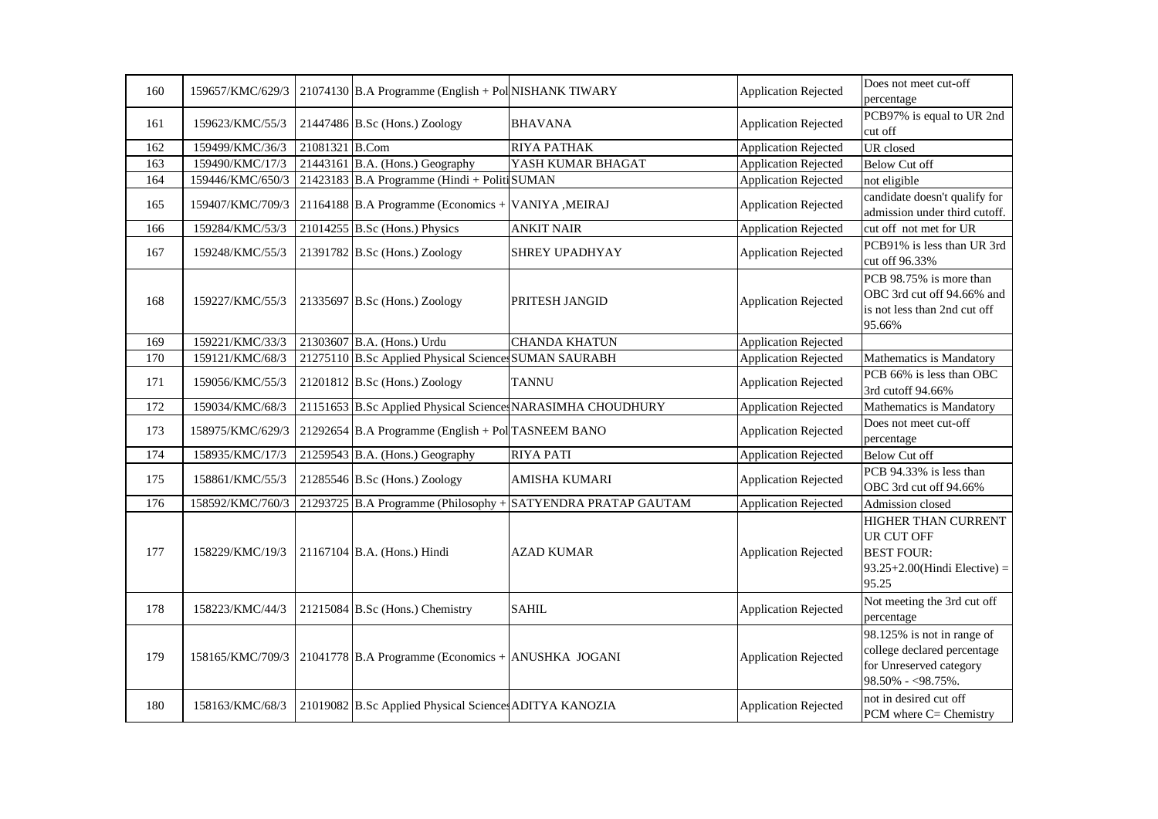| 160 | 159657/KMC/629/3 |                | $21074130$ B.A Programme (English + Pol NISHANK TIWARY |                                                              | <b>Application Rejected</b> | Does not meet cut-off<br>percentage                                                                       |
|-----|------------------|----------------|--------------------------------------------------------|--------------------------------------------------------------|-----------------------------|-----------------------------------------------------------------------------------------------------------|
| 161 | 159623/KMC/55/3  |                | $21447486$ B.Sc (Hons.) Zoology                        | <b>BHAVANA</b>                                               | <b>Application Rejected</b> | PCB97% is equal to UR 2nd<br>cut off                                                                      |
| 162 | 159499/KMC/36/3  | 21081321 B.Com |                                                        | RIYA PATHAK                                                  | <b>Application Rejected</b> | UR closed                                                                                                 |
| 163 | 159490/KMC/17/3  |                | 21443161 B.A. (Hons.) Geography                        | YASH KUMAR BHAGAT                                            | <b>Application Rejected</b> | <b>Below Cut off</b>                                                                                      |
| 164 | 159446/KMC/650/3 |                | 21423183 B.A Programme (Hindi + Politi SUMAN           |                                                              | <b>Application Rejected</b> | not eligible                                                                                              |
| 165 | 159407/KMC/709/3 |                | 21164188 B.A Programme (Economics + VANIYA , MEIRAJ    |                                                              | <b>Application Rejected</b> | candidate doesn't qualify for<br>admission under third cutoff.                                            |
| 166 | 159284/KMC/53/3  |                | $21014255$ B.Sc (Hons.) Physics                        | <b>ANKIT NAIR</b>                                            | <b>Application Rejected</b> | cut off not met for UR                                                                                    |
| 167 | 159248/KMC/55/3  |                | 21391782 B.Sc (Hons.) Zoology                          | <b>SHREY UPADHYAY</b>                                        | <b>Application Rejected</b> | PCB91% is less than UR 3rd<br>cut off 96.33%                                                              |
| 168 | 159227/KMC/55/3  |                | 21335697 B.Sc (Hons.) Zoology                          | PRITESH JANGID                                               | <b>Application Rejected</b> | PCB 98.75% is more than<br>OBC 3rd cut off 94.66% and<br>is not less than 2nd cut off<br>95.66%           |
| 169 | 159221/KMC/33/3  |                | 21303607 B.A. (Hons.) Urdu                             | <b>CHANDA KHATUN</b>                                         | <b>Application Rejected</b> |                                                                                                           |
| 170 | 159121/KMC/68/3  |                | 21275110 B.Sc Applied Physical Sciences SUMAN SAURABH  |                                                              | <b>Application Rejected</b> | Mathematics is Mandatory                                                                                  |
| 171 | 159056/KMC/55/3  |                | $21201812$ B.Sc (Hons.) Zoology                        | <b>TANNU</b>                                                 | <b>Application Rejected</b> | PCB 66% is less than OBC<br>3rd cutoff 94.66%                                                             |
| 172 | 159034/KMC/68/3  |                |                                                        | 21151653 B.Sc Applied Physical Science NARASIMHA CHOUDHURY   | <b>Application Rejected</b> | Mathematics is Mandatory                                                                                  |
| 173 | 158975/KMC/629/3 |                | 21292654 B.A Programme (English + Pol TASNEEM BANO     |                                                              | <b>Application Rejected</b> | Does not meet cut-off<br>percentage                                                                       |
| 174 | 158935/KMC/17/3  |                | 21259543 B.A. (Hons.) Geography                        | <b>RIYA PATI</b>                                             | <b>Application Rejected</b> | <b>Below Cut off</b>                                                                                      |
| 175 | 158861/KMC/55/3  |                | $21285546$ B.Sc (Hons.) Zoology                        | <b>AMISHA KUMARI</b>                                         | <b>Application Rejected</b> | PCB 94.33% is less than<br>OBC 3rd cut off 94.66%                                                         |
| 176 | 158592/KMC/760/3 |                |                                                        | 21293725 B.A Programme (Philosophy + SATYENDRA PRATAP GAUTAM | <b>Application Rejected</b> | Admission closed                                                                                          |
| 177 | 158229/KMC/19/3  |                | 21167104 B.A. (Hons.) Hindi                            | AZAD KUMAR                                                   | <b>Application Rejected</b> | HIGHER THAN CURRENT<br><b>UR CUT OFF</b><br><b>BEST FOUR:</b><br>$93.25+2.00$ (Hindi Elective) =<br>95.25 |
| 178 | 158223/KMC/44/3  |                | 21215084 B.Sc (Hons.) Chemistry                        | <b>SAHIL</b>                                                 | <b>Application Rejected</b> | Not meeting the 3rd cut off<br>percentage                                                                 |
| 179 | 158165/KMC/709/3 |                | $21041778$ B.A Programme (Economics + ANUSHKA JOGANI   |                                                              | <b>Application Rejected</b> | 98.125% is not in range of<br>college declared percentage<br>for Unreserved category<br>98.50% - <98.75%. |
| 180 | 158163/KMC/68/3  |                | 21019082 B.Sc Applied Physical Sciences ADITYA KANOZIA |                                                              | <b>Application Rejected</b> | not in desired cut off<br>PCM where $C =$ Chemistry                                                       |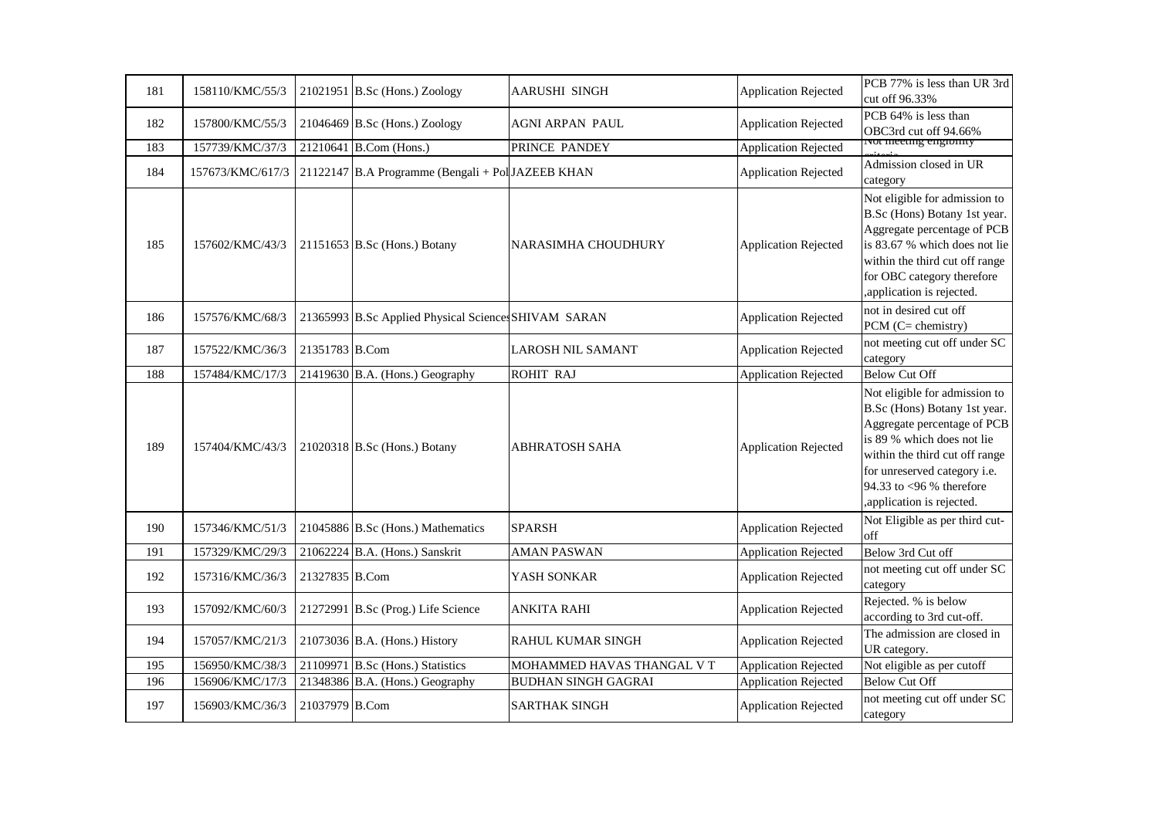| 181 | 158110/KMC/55/3  |                | 21021951 B.Sc (Hons.) Zoology                        | <b>AARUSHI SINGH</b>       | <b>Application Rejected</b> | PCB 77% is less than UR 3rd<br>cut off 96.33%                                                                                                                                                                                                          |
|-----|------------------|----------------|------------------------------------------------------|----------------------------|-----------------------------|--------------------------------------------------------------------------------------------------------------------------------------------------------------------------------------------------------------------------------------------------------|
| 182 | 157800/KMC/55/3  |                | $21046469$ B.Sc (Hons.) Zoology                      | AGNI ARPAN PAUL            | <b>Application Rejected</b> | PCB 64% is less than<br>OBC3rd cut off 94.66%                                                                                                                                                                                                          |
| 183 | 157739/KMC/37/3  |                | 21210641 B.Com (Hons.)                               | PRINCE PANDEY              | <b>Application Rejected</b> | <u>ivot meeting engromty</u>                                                                                                                                                                                                                           |
| 184 | 157673/KMC/617/3 |                | 21122147 B.A Programme (Bengali + Pol JAZEEB KHAN    |                            | <b>Application Rejected</b> | Admission closed in UR<br>category                                                                                                                                                                                                                     |
| 185 | 157602/KMC/43/3  |                | 21151653 B.Sc (Hons.) Botany                         | NARASIMHA CHOUDHURY        | <b>Application Rejected</b> | Not eligible for admission to<br>B.Sc (Hons) Botany 1st year.<br>Aggregate percentage of PCB<br>is 83.67 % which does not lie<br>within the third cut off range<br>for OBC category therefore<br>, application is rejected.                            |
| 186 | 157576/KMC/68/3  |                | 21365993 B.Sc Applied Physical Sciences SHIVAM SARAN |                            | <b>Application Rejected</b> | not in desired cut off<br>PCM (C= chemistry)                                                                                                                                                                                                           |
| 187 | 157522/KMC/36/3  | 21351783 B.Com |                                                      | <b>LAROSH NIL SAMANT</b>   | <b>Application Rejected</b> | not meeting cut off under SC<br>category                                                                                                                                                                                                               |
| 188 | 157484/KMC/17/3  |                | 21419630 B.A. (Hons.) Geography                      | <b>ROHIT RAJ</b>           | <b>Application Rejected</b> | <b>Below Cut Off</b>                                                                                                                                                                                                                                   |
| 189 | 157404/KMC/43/3  |                | 21020318 B.Sc (Hons.) Botany                         | ABHRATOSH SAHA             | <b>Application Rejected</b> | Not eligible for admission to<br>B.Sc (Hons) Botany 1st year.<br>Aggregate percentage of PCB<br>is 89 % which does not lie<br>within the third cut off range<br>for unreserved category i.e.<br>94.33 to <96 % therefore<br>, application is rejected. |
| 190 | 157346/KMC/51/3  |                | 21045886 B.Sc (Hons.) Mathematics                    | <b>SPARSH</b>              | <b>Application Rejected</b> | Not Eligible as per third cut-<br>off                                                                                                                                                                                                                  |
| 191 | 157329/KMC/29/3  |                | 21062224 B.A. (Hons.) Sanskrit                       | <b>AMAN PASWAN</b>         | <b>Application Rejected</b> | Below 3rd Cut off                                                                                                                                                                                                                                      |
| 192 | 157316/KMC/36/3  | 21327835 B.Com |                                                      | YASH SONKAR                | <b>Application Rejected</b> | not meeting cut off under SC<br>category                                                                                                                                                                                                               |
| 193 | 157092/KMC/60/3  |                | 21272991 B.Sc (Prog.) Life Science                   | <b>ANKITA RAHI</b>         | <b>Application Rejected</b> | Rejected. % is below<br>according to 3rd cut-off.                                                                                                                                                                                                      |
| 194 | 157057/KMC/21/3  |                | 21073036 B.A. (Hons.) History                        | RAHUL KUMAR SINGH          | <b>Application Rejected</b> | The admission are closed in<br>UR category.                                                                                                                                                                                                            |
| 195 | 156950/KMC/38/3  |                | 21109971 B.Sc (Hons.) Statistics                     | MOHAMMED HAVAS THANGAL V T | <b>Application Rejected</b> | Not eligible as per cutoff                                                                                                                                                                                                                             |
| 196 | 156906/KMC/17/3  |                | 21348386 B.A. (Hons.) Geography                      | <b>BUDHAN SINGH GAGRAI</b> | <b>Application Rejected</b> | <b>Below Cut Off</b>                                                                                                                                                                                                                                   |
| 197 | 156903/KMC/36/3  | 21037979 B.Com |                                                      | <b>SARTHAK SINGH</b>       | <b>Application Rejected</b> | not meeting cut off under SC<br>category                                                                                                                                                                                                               |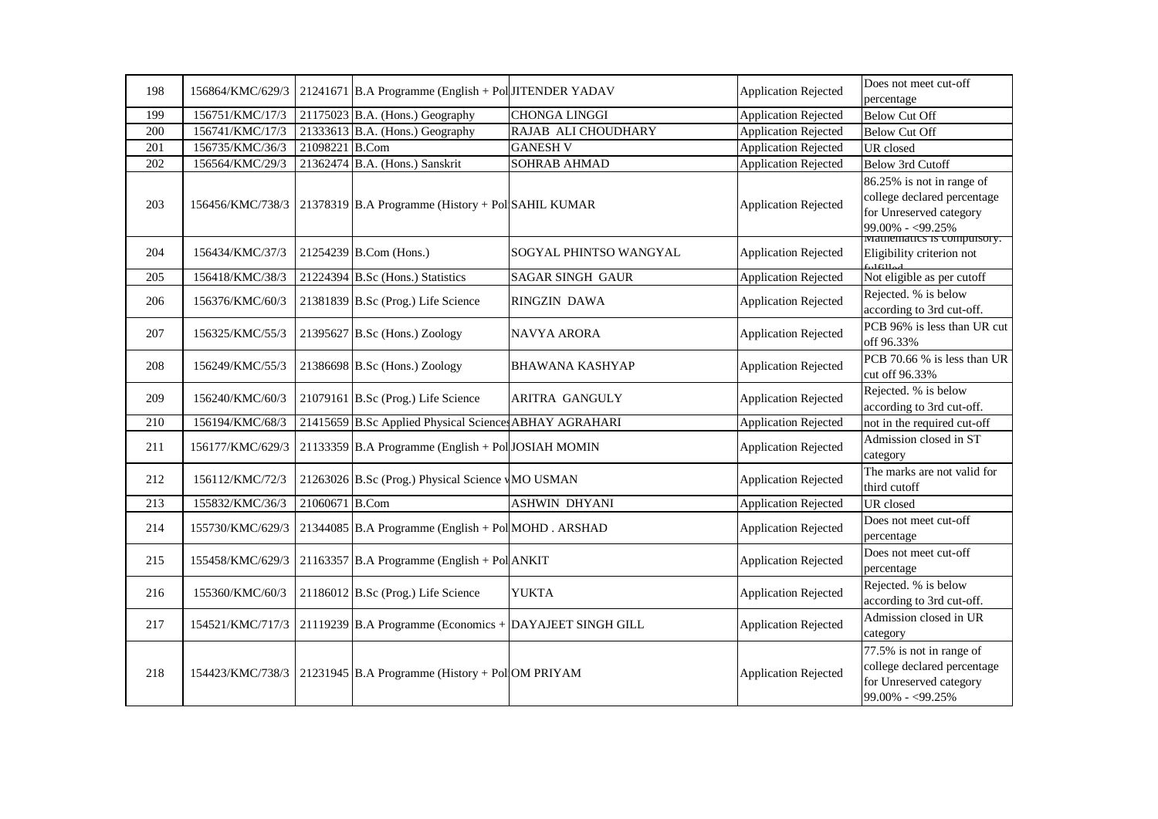| 198 | 156864/KMC/629/3 |                | 21241671 B.A Programme (English + Pol JITENDER YADAV    |                        | <b>Application Rejected</b> | Does not meet cut-off                                                                                                                         |
|-----|------------------|----------------|---------------------------------------------------------|------------------------|-----------------------------|-----------------------------------------------------------------------------------------------------------------------------------------------|
|     |                  |                |                                                         |                        |                             | percentage                                                                                                                                    |
| 199 | 156751/KMC/17/3  |                | $21175023$ B.A. (Hons.) Geography                       | <b>CHONGA LINGGI</b>   | <b>Application Rejected</b> | <b>Below Cut Off</b>                                                                                                                          |
| 200 | 156741/KMC/17/3  |                | 21333613 B.A. (Hons.) Geography                         | RAJAB ALI CHOUDHARY    | <b>Application Rejected</b> | <b>Below Cut Off</b>                                                                                                                          |
| 201 | 156735/KMC/36/3  | 21098221 B.Com |                                                         | <b>GANESH V</b>        | <b>Application Rejected</b> | UR closed                                                                                                                                     |
| 202 | 156564/KMC/29/3  |                | 21362474 B.A. (Hons.) Sanskrit                          | SOHRAB AHMAD           | <b>Application Rejected</b> | Below 3rd Cutoff                                                                                                                              |
| 203 | 156456/KMC/738/3 |                | 21378319 B.A Programme (History + Pol SAHIL KUMAR       |                        | <b>Application Rejected</b> | 86.25% is not in range of<br>college declared percentage<br>for Unreserved category<br>99.00% - <99.25%<br><b>Mathematics is computently.</b> |
| 204 | 156434/KMC/37/3  |                | 21254239 B.Com (Hons.)                                  | SOGYAL PHINTSO WANGYAL | <b>Application Rejected</b> | Eligibility criterion not<br>65161154                                                                                                         |
| 205 | 156418/KMC/38/3  |                | 21224394 B.Sc (Hons.) Statistics                        | SAGAR SINGH GAUR       | <b>Application Rejected</b> | Not eligible as per cutoff                                                                                                                    |
| 206 | 156376/KMC/60/3  |                | 21381839 B.Sc (Prog.) Life Science                      | <b>RINGZIN DAWA</b>    | <b>Application Rejected</b> | Rejected. % is below<br>according to 3rd cut-off.                                                                                             |
| 207 | 156325/KMC/55/3  |                | 21395627 B.Sc (Hons.) Zoology                           | <b>NAVYA ARORA</b>     | <b>Application Rejected</b> | PCB 96% is less than UR cut<br>off 96.33%                                                                                                     |
| 208 | 156249/KMC/55/3  |                | 21386698 B.Sc (Hons.) Zoology                           | <b>BHAWANA KASHYAP</b> | <b>Application Rejected</b> | PCB 70.66 % is less than UR<br>cut off 96.33%                                                                                                 |
| 209 | 156240/KMC/60/3  |                | 21079161 B.Sc (Prog.) Life Science                      | ARITRA GANGULY         | <b>Application Rejected</b> | Rejected. % is below<br>according to 3rd cut-off.                                                                                             |
| 210 | 156194/KMC/68/3  |                | 21415659 B.Sc Applied Physical Science ABHAY AGRAHARI   |                        | <b>Application Rejected</b> | not in the required cut-off                                                                                                                   |
| 211 | 156177/KMC/629/3 |                | 21133359 B.A Programme (English + Pol JOSIAH MOMIN      |                        | <b>Application Rejected</b> | Admission closed in ST<br>category                                                                                                            |
| 212 | 156112/KMC/72/3  |                | 21263026 B.Sc (Prog.) Physical Science vMO USMAN        |                        | <b>Application Rejected</b> | The marks are not valid for<br>third cutoff                                                                                                   |
| 213 | 155832/KMC/36/3  | 21060671 B.Com |                                                         | <b>ASHWIN DHYANI</b>   | <b>Application Rejected</b> | UR closed                                                                                                                                     |
| 214 | 155730/KMC/629/3 |                | 21344085 B.A Programme (English + Pol MOHD . ARSHAD     |                        | <b>Application Rejected</b> | Does not meet cut-off<br>percentage                                                                                                           |
| 215 | 155458/KMC/629/3 |                | 21163357 B.A Programme (English + Pol ANKIT             |                        | <b>Application Rejected</b> | Does not meet cut-off<br>percentage                                                                                                           |
| 216 | 155360/KMC/60/3  |                | $21186012$ B.Sc (Prog.) Life Science                    | <b>YUKTA</b>           | <b>Application Rejected</b> | Rejected. % is below<br>according to 3rd cut-off.                                                                                             |
| 217 | 154521/KMC/717/3 |                | 21119239 B.A Programme (Economics + DAYAJEET SINGH GILL |                        | <b>Application Rejected</b> | Admission closed in UR<br>category                                                                                                            |
| 218 | 154423/KMC/738/3 |                | 21231945 B.A Programme (History + Pol OM PRIYAM         |                        | <b>Application Rejected</b> | 77.5% is not in range of<br>college declared percentage<br>for Unreserved category<br>99.00% - <99.25%                                        |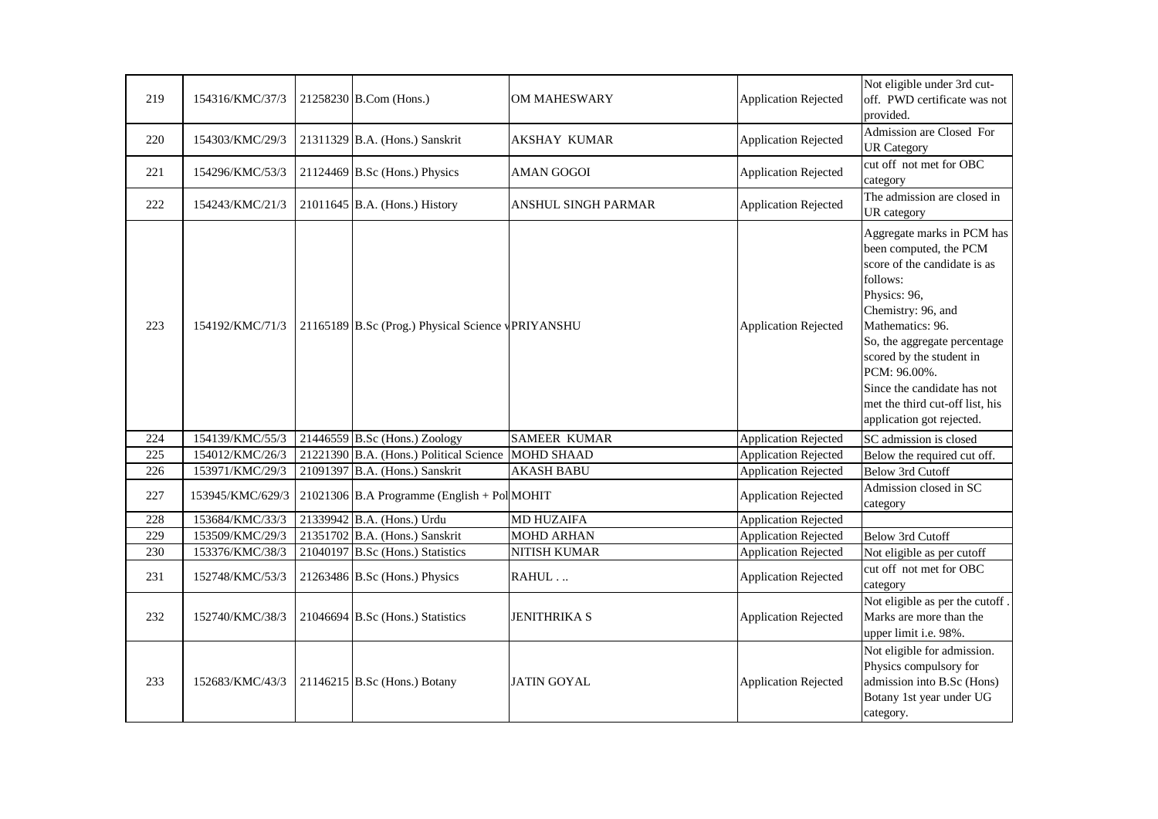| 219 | 154316/KMC/37/3  | 21258230 B.Com (Hons.)                            | <b>OM MAHESWARY</b> | <b>Application Rejected</b> | Not eligible under 3rd cut-<br>off. PWD certificate was not<br>provided.                                                                                                                                                                                                                                                              |
|-----|------------------|---------------------------------------------------|---------------------|-----------------------------|---------------------------------------------------------------------------------------------------------------------------------------------------------------------------------------------------------------------------------------------------------------------------------------------------------------------------------------|
| 220 | 154303/KMC/29/3  | 21311329 B.A. (Hons.) Sanskrit                    | <b>AKSHAY KUMAR</b> | <b>Application Rejected</b> | Admission are Closed For<br><b>UR Category</b>                                                                                                                                                                                                                                                                                        |
| 221 | 154296/KMC/53/3  | $21124469$ B.Sc (Hons.) Physics                   | <b>AMAN GOGOI</b>   | <b>Application Rejected</b> | cut off not met for OBC<br>category                                                                                                                                                                                                                                                                                                   |
| 222 | 154243/KMC/21/3  | $21011645$ B.A. (Hons.) History                   | ANSHUL SINGH PARMAR | <b>Application Rejected</b> | The admission are closed in<br>UR category                                                                                                                                                                                                                                                                                            |
| 223 | 154192/KMC/71/3  | 21165189 B.Sc (Prog.) Physical Science VPRIYANSHU |                     | <b>Application Rejected</b> | Aggregate marks in PCM has<br>been computed, the PCM<br>score of the candidate is as<br>follows:<br>Physics: 96,<br>Chemistry: 96, and<br>Mathematics: 96.<br>So, the aggregate percentage<br>scored by the student in<br>PCM: 96.00%.<br>Since the candidate has not<br>met the third cut-off list, his<br>application got rejected. |
| 224 | 154139/KMC/55/3  | $21446559$ B.Sc (Hons.) Zoology                   | <b>SAMEER KUMAR</b> | <b>Application Rejected</b> | SC admission is closed                                                                                                                                                                                                                                                                                                                |
| 225 | 154012/KMC/26/3  | 21221390 B.A. (Hons.) Political Science           | <b>MOHD SHAAD</b>   | <b>Application Rejected</b> | Below the required cut off.                                                                                                                                                                                                                                                                                                           |
| 226 | 153971/KMC/29/3  | 21091397 B.A. (Hons.) Sanskrit                    | <b>AKASH BABU</b>   | <b>Application Rejected</b> | <b>Below 3rd Cutoff</b>                                                                                                                                                                                                                                                                                                               |
| 227 | 153945/KMC/629/3 | $21021306$ B.A Programme (English + Pol MOHIT)    |                     | <b>Application Rejected</b> | Admission closed in SC<br>category                                                                                                                                                                                                                                                                                                    |
| 228 | 153684/KMC/33/3  | 21339942 B.A. (Hons.) Urdu                        | <b>MD HUZAIFA</b>   | <b>Application Rejected</b> |                                                                                                                                                                                                                                                                                                                                       |
| 229 | 153509/KMC/29/3  | 21351702 B.A. (Hons.) Sanskrit                    | <b>MOHD ARHAN</b>   | <b>Application Rejected</b> | Below 3rd Cutoff                                                                                                                                                                                                                                                                                                                      |
| 230 | 153376/KMC/38/3  | 21040197 B.Sc (Hons.) Statistics                  | NITISH KUMAR        | <b>Application Rejected</b> | Not eligible as per cutoff                                                                                                                                                                                                                                                                                                            |
| 231 | 152748/KMC/53/3  | 21263486 B.Sc (Hons.) Physics                     | RAHUL               | <b>Application Rejected</b> | cut off not met for OBC<br>category                                                                                                                                                                                                                                                                                                   |
| 232 | 152740/KMC/38/3  | 21046694 B.Sc (Hons.) Statistics                  | <b>JENITHRIKA S</b> | <b>Application Rejected</b> | Not eligible as per the cutoff.<br>Marks are more than the<br>upper limit i.e. 98%.                                                                                                                                                                                                                                                   |
| 233 | 152683/KMC/43/3  | 21146215 B.Sc (Hons.) Botany                      | <b>JATIN GOYAL</b>  | <b>Application Rejected</b> | Not eligible for admission.<br>Physics compulsory for<br>admission into B.Sc (Hons)<br>Botany 1st year under UG<br>category.                                                                                                                                                                                                          |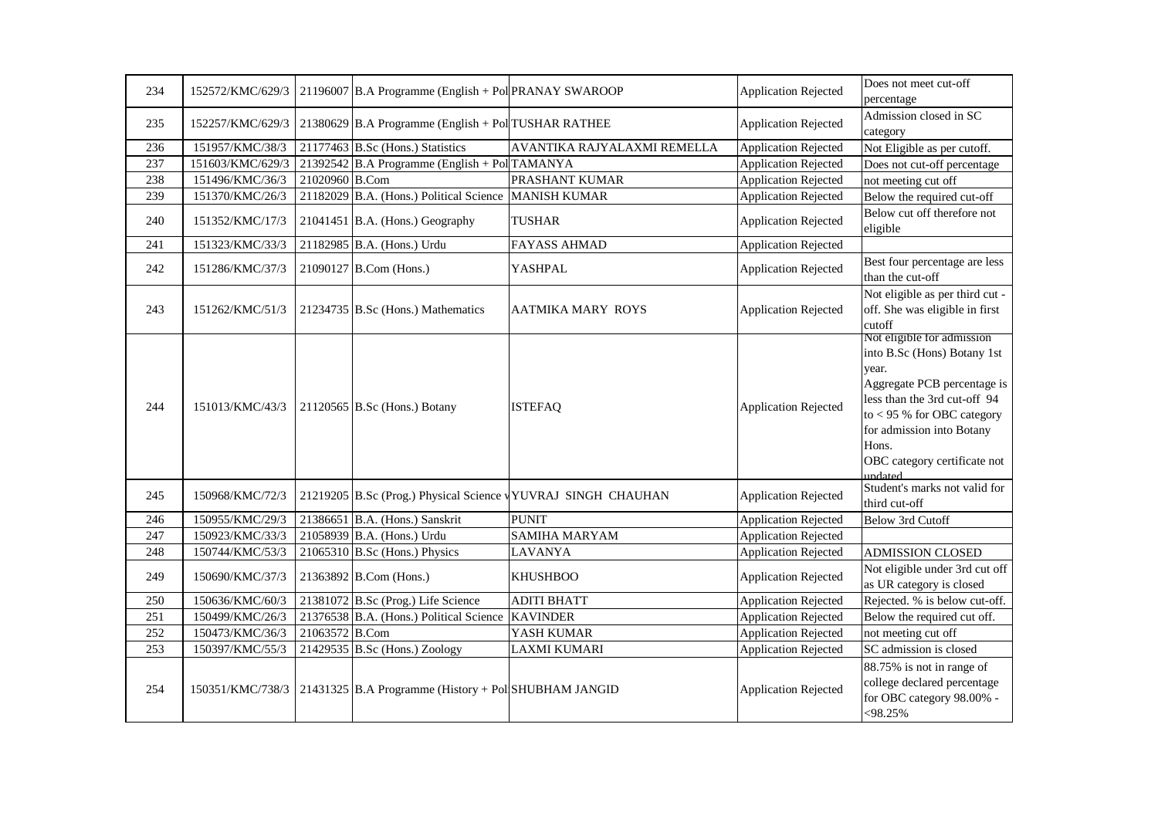| 234              | 152572/KMC/629/3 |                | 21196007 B.A Programme (English + Pol PRANAY SWAROOP |                                                              | <b>Application Rejected</b> | Does not meet cut-off<br>percentage                                                                                                                                                                                                                |
|------------------|------------------|----------------|------------------------------------------------------|--------------------------------------------------------------|-----------------------------|----------------------------------------------------------------------------------------------------------------------------------------------------------------------------------------------------------------------------------------------------|
| 235              | 152257/KMC/629/3 |                | 21380629 B.A Programme (English + Pol TUSHAR RATHEE  |                                                              | Application Rejected        | Admission closed in SC<br>category                                                                                                                                                                                                                 |
| 236              | 151957/KMC/38/3  |                | 21177463 B.Sc (Hons.) Statistics                     | AVANTIKA RAJYALAXMI REMELLA                                  | <b>Application Rejected</b> | Not Eligible as per cutoff.                                                                                                                                                                                                                        |
| 237              | 151603/KMC/629/3 |                | 21392542 B.A Programme (English + Pol TAMANYA        |                                                              | <b>Application Rejected</b> | Does not cut-off percentage                                                                                                                                                                                                                        |
| 238              | 151496/KMC/36/3  | 21020960 B.Com |                                                      | PRASHANT KUMAR                                               | <b>Application Rejected</b> | not meeting cut off                                                                                                                                                                                                                                |
| 239              | 151370/KMC/26/3  |                | 21182029 B.A. (Hons.) Political Science              | <b>MANISH KUMAR</b>                                          | <b>Application Rejected</b> | Below the required cut-off                                                                                                                                                                                                                         |
| 240              | 151352/KMC/17/3  |                | $21041451$ B.A. (Hons.) Geography                    | <b>TUSHAR</b>                                                | <b>Application Rejected</b> | Below cut off therefore not<br>eligible                                                                                                                                                                                                            |
| 241              | 151323/KMC/33/3  |                | 21182985 B.A. (Hons.) Urdu                           | <b>FAYASS AHMAD</b>                                          | <b>Application Rejected</b> |                                                                                                                                                                                                                                                    |
| 242              | 151286/KMC/37/3  |                | 21090127 B.Com (Hons.)                               | <b>YASHPAL</b>                                               | <b>Application Rejected</b> | Best four percentage are less<br>than the cut-off                                                                                                                                                                                                  |
| 243              | 151262/KMC/51/3  |                | 21234735 B.Sc (Hons.) Mathematics                    | AATMIKA MARY ROYS                                            | <b>Application Rejected</b> | Not eligible as per third cut -<br>off. She was eligible in first<br>cutoff                                                                                                                                                                        |
| 244              | 151013/KMC/43/3  |                | 21120565 B.Sc (Hons.) Botany                         | <b>ISTEFAQ</b>                                               | <b>Application Rejected</b> | Not eligible for admission<br>into B.Sc (Hons) Botany 1st<br>year.<br>Aggregate PCB percentage is<br>less than the 3rd cut-off 94<br>to $<$ 95 % for OBC category<br>for admission into Botany<br>Hons.<br>OBC category certificate not<br>undated |
| 245              | 150968/KMC/72/3  |                |                                                      | 21219205 B.Sc (Prog.) Physical Science VYUVRAJ SINGH CHAUHAN | <b>Application Rejected</b> | Student's marks not valid for<br>third cut-off                                                                                                                                                                                                     |
| 246              | 150955/KMC/29/3  |                | 21386651 B.A. (Hons.) Sanskrit                       | <b>PUNIT</b>                                                 | <b>Application Rejected</b> | <b>Below 3rd Cutoff</b>                                                                                                                                                                                                                            |
| 247              | 150923/KMC/33/3  |                | 21058939 B.A. (Hons.) Urdu                           | <b>SAMIHA MARYAM</b>                                         | <b>Application Rejected</b> |                                                                                                                                                                                                                                                    |
| 248              | 150744/KMC/53/3  |                | $21065310$ B.Sc (Hons.) Physics                      | <b>LAVANYA</b>                                               | <b>Application Rejected</b> | <b>ADMISSION CLOSED</b>                                                                                                                                                                                                                            |
| 249              | 150690/KMC/37/3  |                | 21363892 B.Com (Hons.)                               | <b>KHUSHBOO</b>                                              | <b>Application Rejected</b> | Not eligible under 3rd cut off<br>as UR category is closed                                                                                                                                                                                         |
| 250              | 150636/KMC/60/3  |                | 21381072 B.Sc (Prog.) Life Science                   | <b>ADITI BHATT</b>                                           | <b>Application Rejected</b> | Rejected. % is below cut-off.                                                                                                                                                                                                                      |
| $\overline{251}$ | 150499/KMC/26/3  |                | 21376538 B.A. (Hons.) Political Science              | <b>KAVINDER</b>                                              | <b>Application Rejected</b> | Below the required cut off.                                                                                                                                                                                                                        |
| 252              | 150473/KMC/36/3  | 21063572 B.Com |                                                      | YASH KUMAR                                                   | <b>Application Rejected</b> | not meeting cut off                                                                                                                                                                                                                                |
| 253              | 150397/KMC/55/3  |                | 21429535 B.Sc (Hons.) Zoology                        | <b>LAXMI KUMARI</b>                                          | <b>Application Rejected</b> | SC admission is closed                                                                                                                                                                                                                             |
| 254              | 150351/KMC/738/3 |                | 21431325 B.A Programme (History + Pol SHUBHAM JANGID |                                                              | <b>Application Rejected</b> | 88.75% is not in range of<br>college declared percentage<br>for OBC category 98.00% -<br>$< 98.25\%$                                                                                                                                               |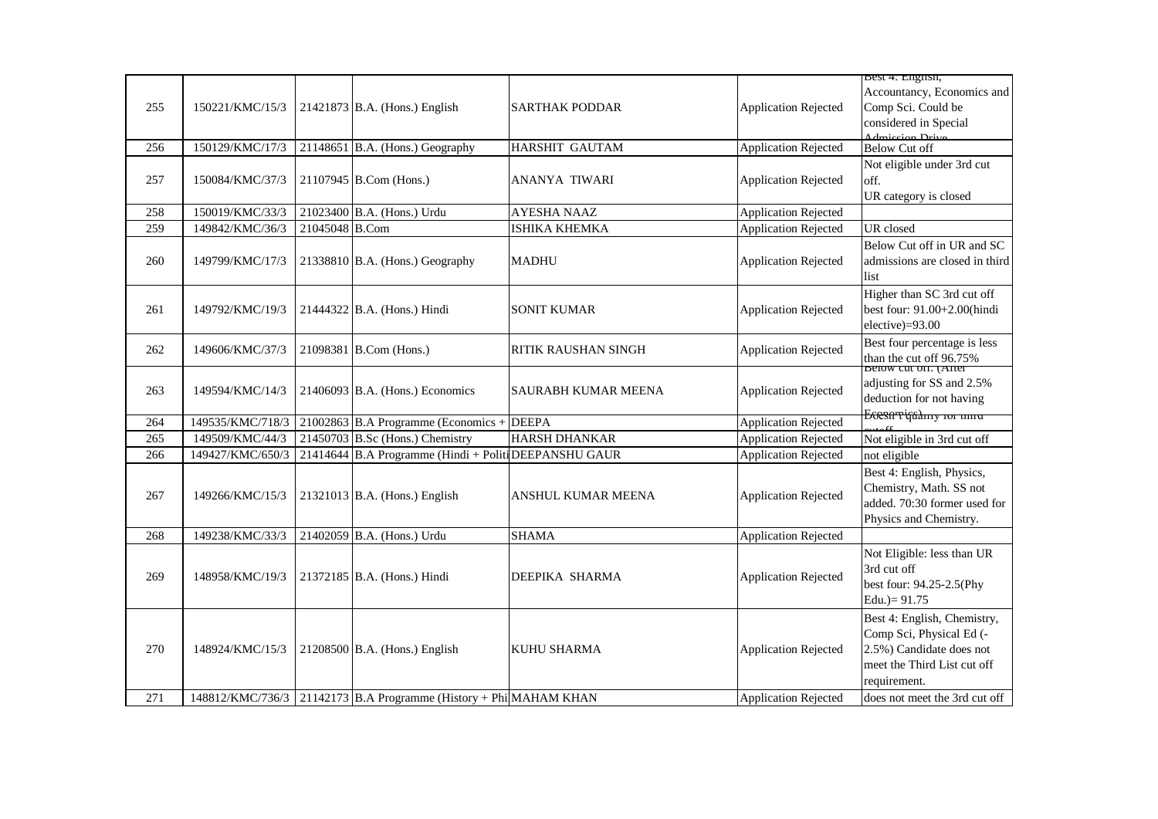|     |                  |                |                                                                   |                            |                             | Best 4: English,                                                                                                                   |
|-----|------------------|----------------|-------------------------------------------------------------------|----------------------------|-----------------------------|------------------------------------------------------------------------------------------------------------------------------------|
| 255 | 150221/KMC/15/3  |                | 21421873 B.A. (Hons.) English                                     | <b>SARTHAK PODDAR</b>      | <b>Application Rejected</b> | Accountancy, Economics and<br>Comp Sci. Could be<br>considered in Special                                                          |
| 256 | 150129/KMC/17/3  |                | 21148651 B.A. (Hons.) Geography                                   | HARSHIT GAUTAM             | <b>Application Rejected</b> | Admission Drive<br><b>Below Cut off</b>                                                                                            |
| 257 | 150084/KMC/37/3  |                | 21107945 B.Com (Hons.)                                            | ANANYA TIWARI              | <b>Application Rejected</b> | Not eligible under 3rd cut<br>off.<br>UR category is closed                                                                        |
| 258 | 150019/KMC/33/3  |                | 21023400 B.A. (Hons.) Urdu                                        | AYESHA NAAZ                | <b>Application Rejected</b> |                                                                                                                                    |
| 259 | 149842/KMC/36/3  | 21045048 B.Com |                                                                   | ISHIKA KHEMKA              | <b>Application Rejected</b> | UR closed                                                                                                                          |
| 260 | 149799/KMC/17/3  |                | 21338810 B.A. (Hons.) Geography                                   | <b>MADHU</b>               | <b>Application Rejected</b> | Below Cut off in UR and SC<br>admissions are closed in third<br>list                                                               |
| 261 | 149792/KMC/19/3  |                | 21444322 B.A. (Hons.) Hindi                                       | <b>SONIT KUMAR</b>         | <b>Application Rejected</b> | Higher than SC 3rd cut off<br>best four: 91.00+2.00(hindi<br>elective)=93.00                                                       |
| 262 | 149606/KMC/37/3  |                | 21098381 B.Com (Hons.)                                            | <b>RITIK RAUSHAN SINGH</b> | <b>Application Rejected</b> | Best four percentage is less<br>than the cut off 96.75%<br>Below cut on. (After                                                    |
| 263 | 149594/KMC/14/3  |                | $21406093$ B.A. (Hons.) Economics                                 | <b>SAURABH KUMAR MEENA</b> | <b>Application Rejected</b> | adjusting for SS and 2.5%<br>deduction for not having                                                                              |
| 264 | 149535/KMC/718/3 |                | $21002863$ B.A Programme (Economics +                             | <b>DEEPA</b>               | <b>Application Rejected</b> | Ecesariquality for the                                                                                                             |
| 265 | 149509/KMC/44/3  |                | 21450703 B.Sc (Hons.) Chemistry                                   | HARSH DHANKAR              | <b>Application Rejected</b> | Not eligible in 3rd cut off                                                                                                        |
| 266 | 149427/KMC/650/3 |                | $21414644$ B.A Programme (Hindi + Politi DEEPANSHU GAUR           |                            | <b>Application Rejected</b> | not eligible                                                                                                                       |
| 267 | 149266/KMC/15/3  |                | $21321013$ B.A. (Hons.) English                                   | ANSHUL KUMAR MEENA         | <b>Application Rejected</b> | Best 4: English, Physics,<br>Chemistry, Math. SS not<br>added. 70:30 former used for<br>Physics and Chemistry.                     |
| 268 | 149238/KMC/33/3  |                | 21402059 B.A. (Hons.) Urdu                                        | <b>SHAMA</b>               | <b>Application Rejected</b> |                                                                                                                                    |
| 269 | 148958/KMC/19/3  |                | 21372185 B.A. (Hons.) Hindi                                       | DEEPIKA SHARMA             | <b>Application Rejected</b> | Not Eligible: less than UR<br>3rd cut off<br>best four: 94.25-2.5(Phy<br>Edu. $)= 91.75$                                           |
| 270 | 148924/KMC/15/3  |                | 21208500 B.A. (Hons.) English                                     | <b>KUHU SHARMA</b>         | <b>Application Rejected</b> | Best 4: English, Chemistry,<br>Comp Sci, Physical Ed (-<br>2.5%) Candidate does not<br>meet the Third List cut off<br>requirement. |
| 271 |                  |                | 148812/KMC/736/3 21142173 B.A Programme (History + Phi MAHAM KHAN |                            | <b>Application Rejected</b> | does not meet the 3rd cut off                                                                                                      |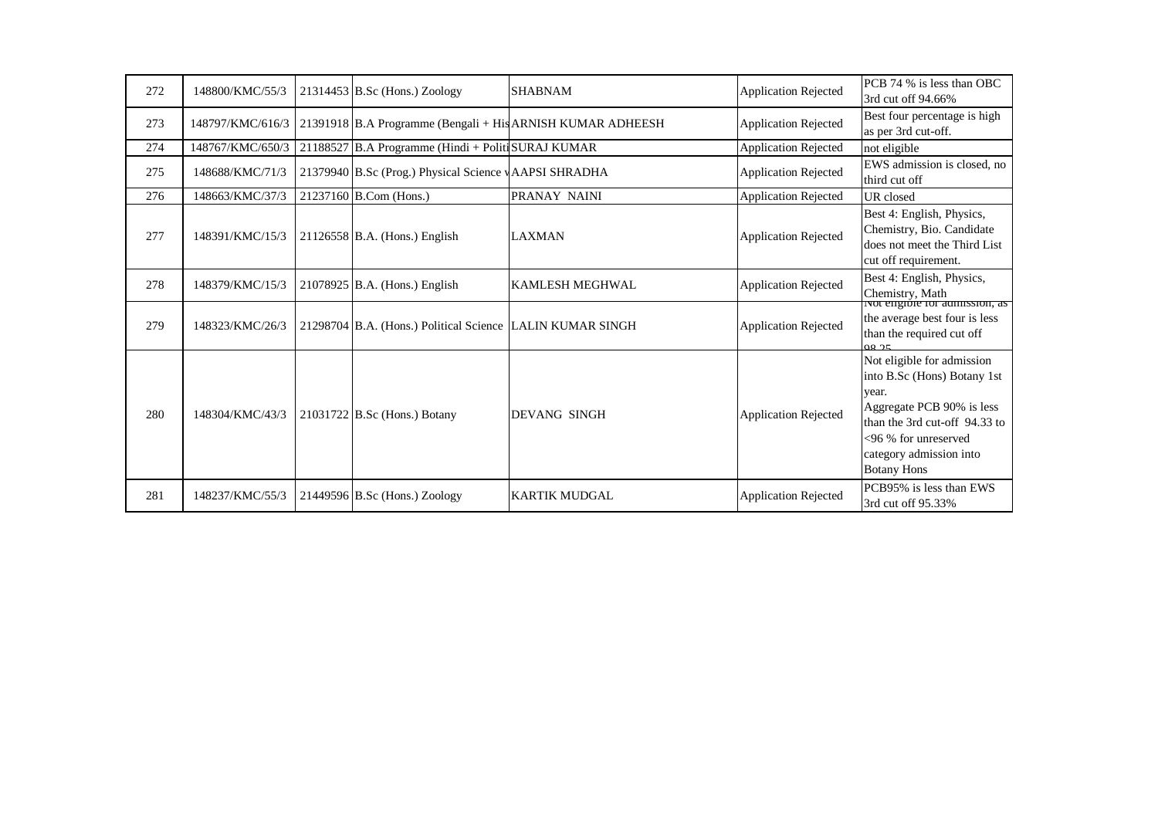| 272 | 148800/KMC/55/3  | $21314453$ B.Sc (Hons.) Zoology                           | <b>SHABNAM</b>                                             | <b>Application Rejected</b> | PCB 74 % is less than OBC<br>3rd cut off 94.66%                                                                                                                                                           |
|-----|------------------|-----------------------------------------------------------|------------------------------------------------------------|-----------------------------|-----------------------------------------------------------------------------------------------------------------------------------------------------------------------------------------------------------|
| 273 | 148797/KMC/616/3 |                                                           | 21391918 B.A Programme (Bengali + His ARNISH KUMAR ADHEESH | <b>Application Rejected</b> | Best four percentage is high<br>as per 3rd cut-off.                                                                                                                                                       |
| 274 | 148767/KMC/650/3 | 21188527 B.A Programme (Hindi + Politi SURAJ KUMAR        |                                                            | <b>Application Rejected</b> | not eligible                                                                                                                                                                                              |
| 275 | 148688/KMC/71/3  | 21379940 B.Sc (Prog.) Physical Science vAAPSI SHRADHA     |                                                            | <b>Application Rejected</b> | EWS admission is closed, no<br>third cut off                                                                                                                                                              |
| 276 | 148663/KMC/37/3  | 21237160 B.Com (Hons.)                                    | PRANAY NAINI                                               | <b>Application Rejected</b> | UR closed                                                                                                                                                                                                 |
| 277 | 148391/KMC/15/3  | 21126558 B.A. (Hons.) English                             | <b>LAXMAN</b>                                              | <b>Application Rejected</b> | Best 4: English, Physics,<br>Chemistry, Bio. Candidate<br>does not meet the Third List<br>cut off requirement.                                                                                            |
| 278 | 148379/KMC/15/3  | 21078925 B.A. (Hons.) English                             | <b>KAMLESH MEGHWAL</b>                                     | <b>Application Rejected</b> | Best 4: English, Physics,<br>Chemistry, Math<br>ivot engible for admission, as                                                                                                                            |
| 279 | 148323/KMC/26/3  | 21298704 B.A. (Hons.) Political Science LALIN KUMAR SINGH |                                                            | <b>Application Rejected</b> | the average best four is less<br>than the required cut off<br>08.25                                                                                                                                       |
| 280 | 148304/KMC/43/3  | $21031722$ B.Sc (Hons.) Botany                            | <b>DEVANG SINGH</b>                                        | <b>Application Rejected</b> | Not eligible for admission<br>into B.Sc (Hons) Botany 1st<br>year.<br>Aggregate PCB 90% is less<br>than the 3rd cut-off 94.33 to<br><96 % for unreserved<br>category admission into<br><b>Botany Hons</b> |
| 281 | 148237/KMC/55/3  | $21449596$ B.Sc (Hons.) Zoology                           | <b>KARTIK MUDGAL</b>                                       | <b>Application Rejected</b> | PCB95% is less than EWS<br>3rd cut off 95.33%                                                                                                                                                             |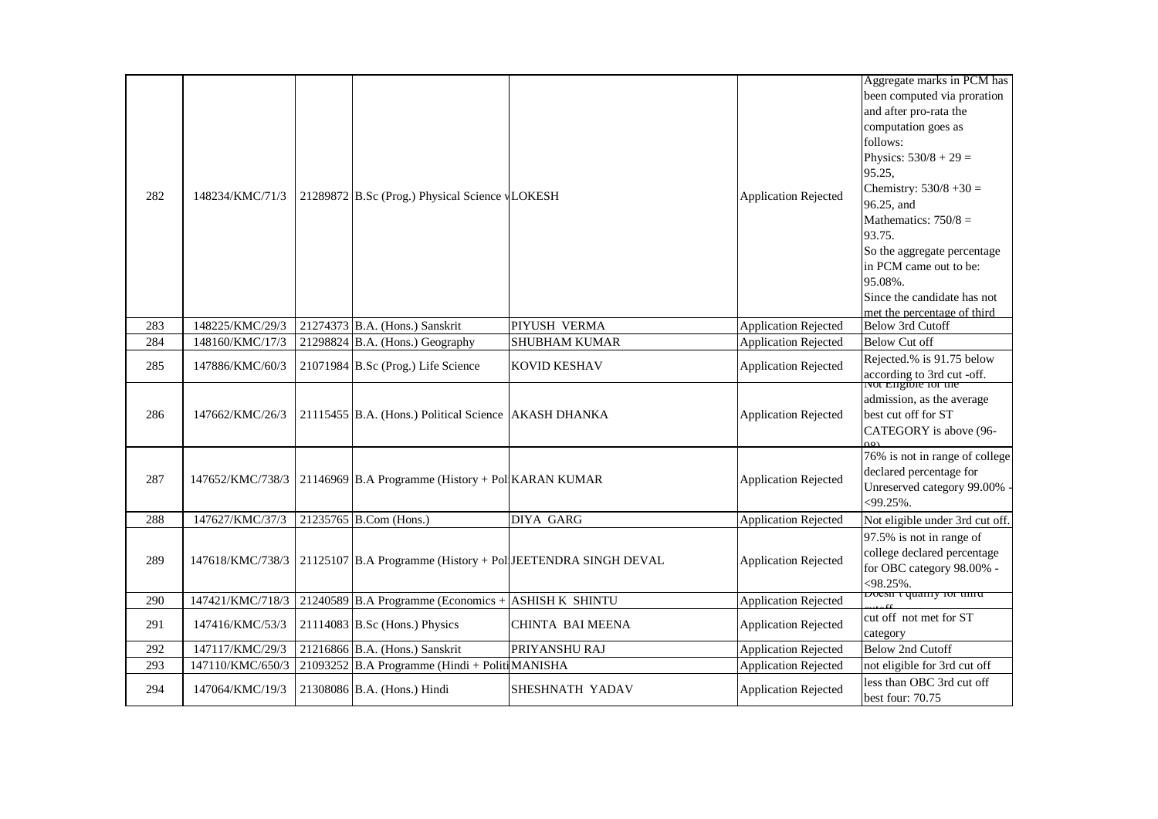| 282 | 148234/KMC/71/3  | 21289872 B.Sc (Prog.) Physical Science vLOKESH                     |                                                             | <b>Application Rejected</b> | Aggregate marks in PCM has<br>been computed via proration<br>and after pro-rata the<br>computation goes as<br>follows:<br>Physics: $530/8 + 29 =$<br>95.25,<br>Chemistry: $530/8 + 30 =$<br>96.25, and<br>Mathematics: $750/8 =$<br>93.75.<br>So the aggregate percentage<br>in PCM came out to be:<br>95.08%.<br>Since the candidate has not<br>met the percentage of third |
|-----|------------------|--------------------------------------------------------------------|-------------------------------------------------------------|-----------------------------|------------------------------------------------------------------------------------------------------------------------------------------------------------------------------------------------------------------------------------------------------------------------------------------------------------------------------------------------------------------------------|
| 283 | 148225/KMC/29/3  | 21274373 B.A. (Hons.) Sanskrit                                     | PIYUSH VERMA                                                | <b>Application Rejected</b> | Below 3rd Cutoff                                                                                                                                                                                                                                                                                                                                                             |
| 284 | 148160/KMC/17/3  | 21298824 B.A. (Hons.) Geography                                    | <b>SHUBHAM KUMAR</b>                                        | <b>Application Rejected</b> | <b>Below Cut off</b>                                                                                                                                                                                                                                                                                                                                                         |
| 285 | 147886/KMC/60/3  | 21071984 B.Sc (Prog.) Life Science                                 | <b>KOVID KESHAV</b>                                         | <b>Application Rejected</b> | Rejected.% is 91.75 below<br>according to 3rd cut -off.<br>Not Engible for the                                                                                                                                                                                                                                                                                               |
| 286 | 147662/KMC/26/3  | 21115455 B.A. (Hons.) Political Science AKASH DHANKA               |                                                             | <b>Application Rejected</b> | admission, as the average<br>best cut off for ST<br>CATEGORY is above (96-                                                                                                                                                                                                                                                                                                   |
| 287 |                  | 147652/KMC/738/3 21146969 B.A Programme (History + Pol KARAN KUMAR |                                                             | <b>Application Rejected</b> | 76% is not in range of college<br>declared percentage for<br>Unreserved category 99.00% -<br>$<$ 99.25%.                                                                                                                                                                                                                                                                     |
| 288 | 147627/KMC/37/3  | 21235765 B.Com (Hons.)                                             | <b>DIYA GARG</b>                                            | <b>Application Rejected</b> | Not eligible under 3rd cut off.                                                                                                                                                                                                                                                                                                                                              |
| 289 | 147618/KMC/738/3 |                                                                    | 21125107 B.A Programme (History + Pol JEETENDRA SINGH DEVAL | <b>Application Rejected</b> | 97.5% is not in range of<br>college declared percentage<br>for OBC category 98.00% -<br>$<$ 98.25%.                                                                                                                                                                                                                                                                          |
| 290 | 147421/KMC/718/3 | 21240589 B.A Programme (Economics +                                | ASHISH K SHINTU                                             | <b>Application Rejected</b> | Doesn't quality for third                                                                                                                                                                                                                                                                                                                                                    |
| 291 | 147416/KMC/53/3  | $21114083$ B.Sc (Hons.) Physics                                    | CHINTA BAI MEENA                                            | <b>Application Rejected</b> | cut off not met for ST<br>category                                                                                                                                                                                                                                                                                                                                           |
| 292 | 147117/KMC/29/3  | 21216866 B.A. (Hons.) Sanskrit                                     | PRIYANSHU RAJ                                               | <b>Application Rejected</b> | <b>Below 2nd Cutoff</b>                                                                                                                                                                                                                                                                                                                                                      |
| 293 | 147110/KMC/650/3 | 21093252 B.A Programme (Hindi + Politi MANISHA                     |                                                             | <b>Application Rejected</b> | not eligible for 3rd cut off                                                                                                                                                                                                                                                                                                                                                 |
| 294 | 147064/KMC/19/3  | 21308086 B.A. (Hons.) Hindi                                        | SHESHNATH YADAV                                             | <b>Application Rejected</b> | less than OBC 3rd cut off<br>best four: 70.75                                                                                                                                                                                                                                                                                                                                |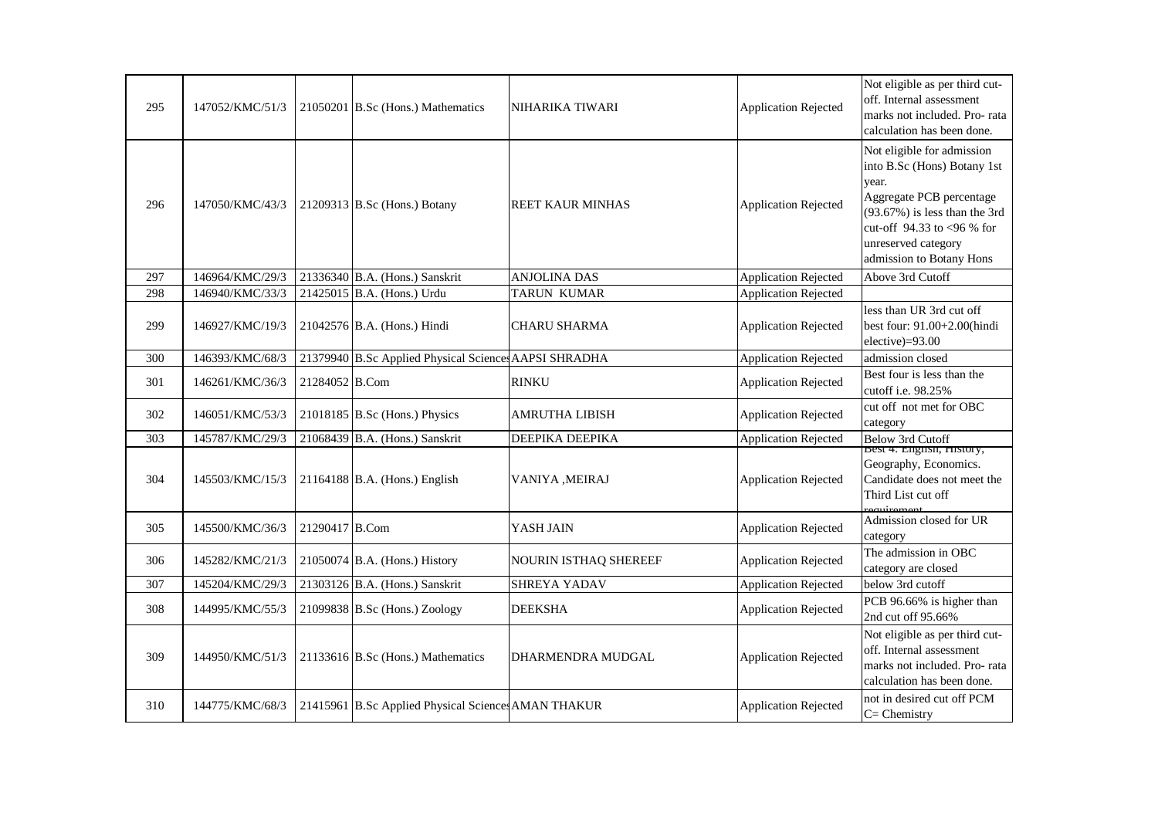| 295 | 147052/KMC/51/3 |                | 21050201 B.Sc (Hons.) Mathematics                    | NIHARIKA TIWARI         | <b>Application Rejected</b> | Not eligible as per third cut-<br>off. Internal assessment<br>marks not included. Pro- rata<br>calculation has been done.                                                                                          |
|-----|-----------------|----------------|------------------------------------------------------|-------------------------|-----------------------------|--------------------------------------------------------------------------------------------------------------------------------------------------------------------------------------------------------------------|
| 296 | 147050/KMC/43/3 |                | 21209313 B.Sc (Hons.) Botany                         | <b>REET KAUR MINHAS</b> | <b>Application Rejected</b> | Not eligible for admission<br>into B.Sc (Hons) Botany 1st<br>year.<br>Aggregate PCB percentage<br>$(93.67%)$ is less than the 3rd<br>cut-off 94.33 to <96 % for<br>unreserved category<br>admission to Botany Hons |
| 297 | 146964/KMC/29/3 |                | 21336340 B.A. (Hons.) Sanskrit                       | <b>ANJOLINA DAS</b>     | <b>Application Rejected</b> | Above 3rd Cutoff                                                                                                                                                                                                   |
| 298 | 146940/KMC/33/3 |                | 21425015 B.A. (Hons.) Urdu                           | TARUN KUMAR             | <b>Application Rejected</b> |                                                                                                                                                                                                                    |
| 299 | 146927/KMC/19/3 |                | 21042576 B.A. (Hons.) Hindi                          | <b>CHARU SHARMA</b>     | <b>Application Rejected</b> | less than UR 3rd cut off<br>best four: 91.00+2.00(hindi<br>elective)=93.00                                                                                                                                         |
| 300 | 146393/KMC/68/3 |                | 21379940 B.Sc Applied Physical Science AAPSI SHRADHA |                         | <b>Application Rejected</b> | admission closed                                                                                                                                                                                                   |
| 301 | 146261/KMC/36/3 | 21284052 B.Com |                                                      | <b>RINKU</b>            | <b>Application Rejected</b> | Best four is less than the<br>cutoff i.e. 98.25%                                                                                                                                                                   |
| 302 | 146051/KMC/53/3 |                | 21018185 B.Sc (Hons.) Physics                        | <b>AMRUTHA LIBISH</b>   | <b>Application Rejected</b> | cut off not met for OBC<br>category                                                                                                                                                                                |
| 303 | 145787/KMC/29/3 |                | 21068439 B.A. (Hons.) Sanskrit                       | DEEPIKA DEEPIKA         | <b>Application Rejected</b> | <b>Below 3rd Cutoff</b>                                                                                                                                                                                            |
| 304 | 145503/KMC/15/3 |                | $21164188$ B.A. (Hons.) English                      | VANIYA , MEIRAJ         | <b>Application Rejected</b> | <b>Best 4: English, History,</b><br>Geography, Economics.<br>Candidate does not meet the<br>Third List cut off                                                                                                     |
| 305 | 145500/KMC/36/3 | 21290417 B.Com |                                                      | YASH JAIN               | <b>Application Rejected</b> | Admission closed for UR<br>category                                                                                                                                                                                |
| 306 | 145282/KMC/21/3 |                | 21050074 B.A. (Hons.) History                        | NOURIN ISTHAQ SHEREEF   | <b>Application Rejected</b> | The admission in OBC<br>category are closed                                                                                                                                                                        |
| 307 | 145204/KMC/29/3 |                | 21303126 B.A. (Hons.) Sanskrit                       | SHREYA YADAV            | <b>Application Rejected</b> | below 3rd cutoff                                                                                                                                                                                                   |
| 308 | 144995/KMC/55/3 |                | 21099838 B.Sc (Hons.) Zoology                        | <b>DEEKSHA</b>          | <b>Application Rejected</b> | PCB 96.66% is higher than<br>2nd cut off 95.66%                                                                                                                                                                    |
| 309 | 144950/KMC/51/3 |                | 21133616 B.Sc (Hons.) Mathematics                    | DHARMENDRA MUDGAL       | <b>Application Rejected</b> | Not eligible as per third cut-<br>off. Internal assessment<br>marks not included. Pro-rata<br>calculation has been done.                                                                                           |
| 310 | 144775/KMC/68/3 |                | 21415961 B.Sc Applied Physical Science AMAN THAKUR   |                         | <b>Application Rejected</b> | not in desired cut off PCM<br>$C =$ Chemistry                                                                                                                                                                      |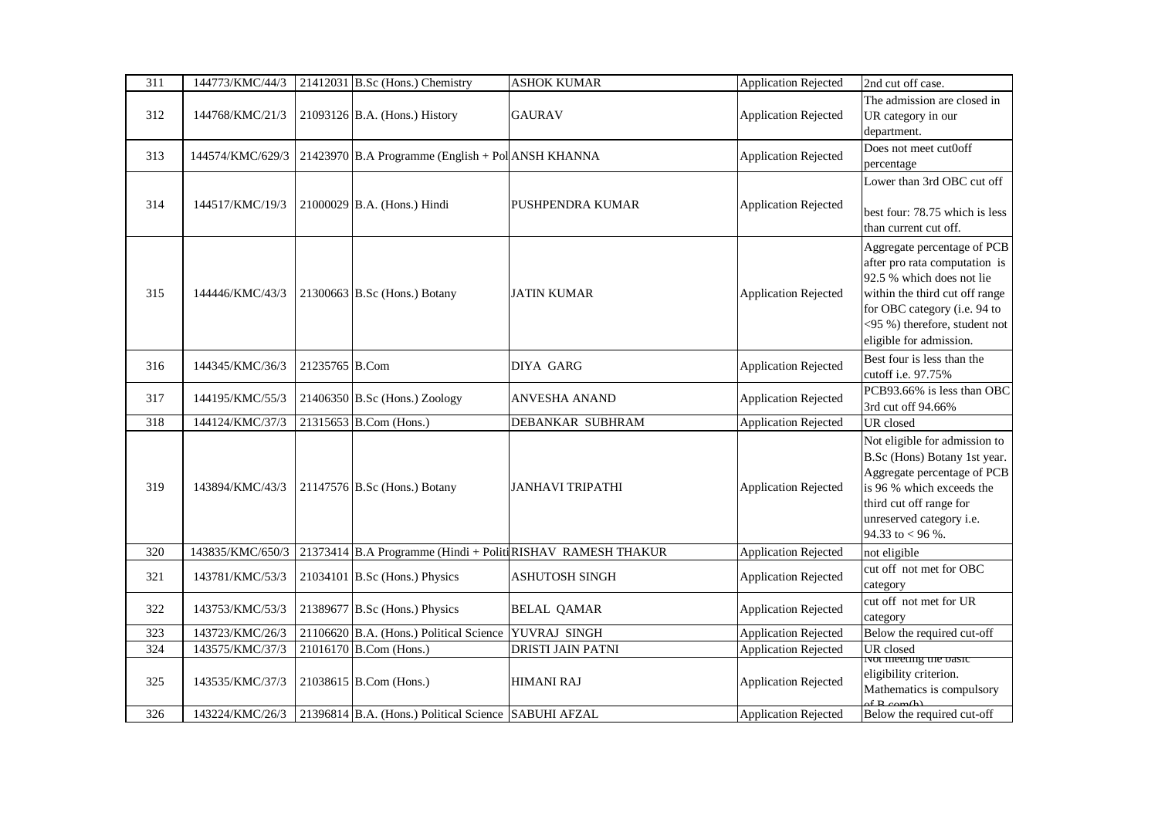| 311 | 144773/KMC/44/3  |                | 21412031 B.Sc (Hons.) Chemistry                      | <b>ASHOK KUMAR</b>                                          | <b>Application Rejected</b> | 2nd cut off case.                                                                                                                                                                                                       |
|-----|------------------|----------------|------------------------------------------------------|-------------------------------------------------------------|-----------------------------|-------------------------------------------------------------------------------------------------------------------------------------------------------------------------------------------------------------------------|
| 312 | 144768/KMC/21/3  |                | 21093126 B.A. (Hons.) History                        | <b>GAURAV</b>                                               | <b>Application Rejected</b> | The admission are closed in<br>UR category in our<br>department.                                                                                                                                                        |
| 313 | 144574/KMC/629/3 |                | 21423970 B.A Programme (English + Pol ANSH KHANNA    |                                                             | <b>Application Rejected</b> | Does not meet cut0off<br>percentage                                                                                                                                                                                     |
| 314 | 144517/KMC/19/3  |                | $21000029$ B.A. (Hons.) Hindi                        | PUSHPENDRA KUMAR                                            | <b>Application Rejected</b> | Lower than 3rd OBC cut off<br>best four: 78.75 which is less<br>than current cut off.                                                                                                                                   |
| 315 | 144446/KMC/43/3  |                | 21300663 B.Sc (Hons.) Botany                         | <b>JATIN KUMAR</b>                                          | <b>Application Rejected</b> | Aggregate percentage of PCB<br>after pro rata computation is<br>92.5 % which does not lie<br>within the third cut off range<br>for OBC category (i.e. 94 to<br><95 %) therefore, student not<br>eligible for admission. |
| 316 | 144345/KMC/36/3  | 21235765 B.Com |                                                      | <b>DIYA GARG</b>                                            | <b>Application Rejected</b> | Best four is less than the<br>cutoff i.e. 97.75%                                                                                                                                                                        |
| 317 | 144195/KMC/55/3  |                | 21406350 B.Sc (Hons.) Zoology                        | <b>ANVESHA ANAND</b>                                        | <b>Application Rejected</b> | PCB93.66% is less than OBC<br>3rd cut off 94.66%                                                                                                                                                                        |
| 318 | 144124/KMC/37/3  |                | 21315653 B.Com (Hons.)                               | DEBANKAR SUBHRAM                                            | <b>Application Rejected</b> | UR closed                                                                                                                                                                                                               |
| 319 | 143894/KMC/43/3  |                | 21147576 B.Sc (Hons.) Botany                         | <b>JANHAVI TRIPATHI</b>                                     | <b>Application Rejected</b> | Not eligible for admission to<br>B.Sc (Hons) Botany 1st year.<br>Aggregate percentage of PCB<br>is 96 % which exceeds the<br>third cut off range for<br>unreserved category i.e.<br>94.33 to < 96 %.                    |
| 320 | 143835/KMC/650/3 |                |                                                      | 21373414 B.A Programme (Hindi + Politi RISHAV RAMESH THAKUR | <b>Application Rejected</b> | not eligible                                                                                                                                                                                                            |
| 321 | 143781/KMC/53/3  |                | 21034101 B.Sc (Hons.) Physics                        | ASHUTOSH SINGH                                              | <b>Application Rejected</b> | cut off not met for OBC<br>category                                                                                                                                                                                     |
| 322 | 143753/KMC/53/3  |                | 21389677 B.Sc (Hons.) Physics                        | <b>BELAL QAMAR</b>                                          | <b>Application Rejected</b> | cut off not met for UR<br>category                                                                                                                                                                                      |
| 323 | 143723/KMC/26/3  |                | 21106620 B.A. (Hons.) Political Science              | YUVRAJ SINGH                                                | <b>Application Rejected</b> | Below the required cut-off                                                                                                                                                                                              |
| 324 | 143575/KMC/37/3  |                | 21016170 B.Com (Hons.)                               | <b>DRISTI JAIN PATNI</b>                                    | <b>Application Rejected</b> | UR closed                                                                                                                                                                                                               |
| 325 | 143535/KMC/37/3  |                | 21038615 B.Com (Hons.)                               | <b>HIMANI RAJ</b>                                           | <b>Application Rejected</b> | ivot meeting the basic<br>eligibility criterion.<br>Mathematics is compulsory                                                                                                                                           |
| 326 | 143224/KMC/26/3  |                | 21396814 B.A. (Hons.) Political Science SABUHI AFZAL |                                                             | <b>Application Rejected</b> | Below the required cut-off                                                                                                                                                                                              |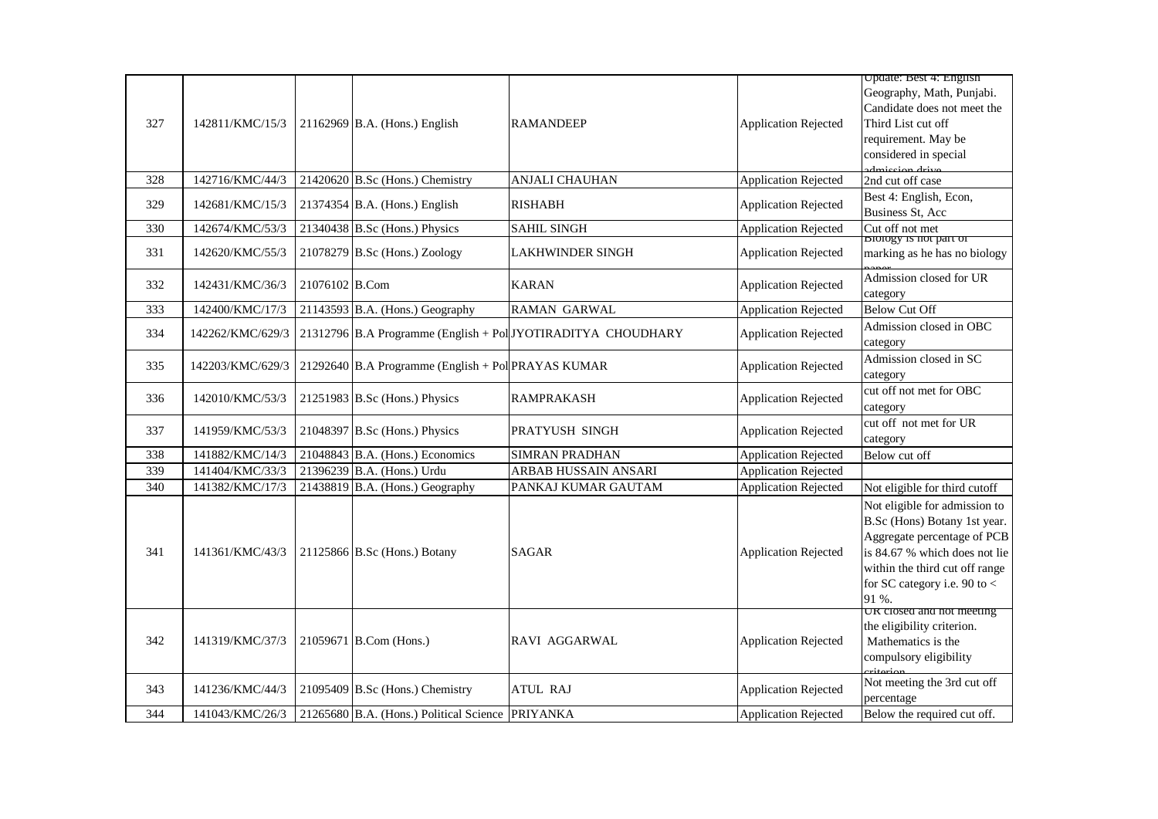|     |                  |                |                                                    |                                                              |                             | Update: Best 4: English                                                                                                                                                                                    |
|-----|------------------|----------------|----------------------------------------------------|--------------------------------------------------------------|-----------------------------|------------------------------------------------------------------------------------------------------------------------------------------------------------------------------------------------------------|
| 327 | 142811/KMC/15/3  |                | 21162969 B.A. (Hons.) English                      | <b>RAMANDEEP</b>                                             | <b>Application Rejected</b> | Geography, Math, Punjabi.<br>Candidate does not meet the<br>Third List cut off<br>requirement. May be<br>considered in special                                                                             |
|     |                  |                |                                                    |                                                              |                             | dmission drive                                                                                                                                                                                             |
| 328 | 142716/KMC/44/3  |                | $21420620$ B.Sc (Hons.) Chemistry                  | <b>ANJALI CHAUHAN</b>                                        | <b>Application Rejected</b> | 2nd cut off case                                                                                                                                                                                           |
| 329 | 142681/KMC/15/3  |                | 21374354 B.A. (Hons.) English                      | <b>RISHABH</b>                                               | <b>Application Rejected</b> | Best 4: English, Econ,<br>Business St, Acc                                                                                                                                                                 |
| 330 | 142674/KMC/53/3  |                | 21340438 B.Sc (Hons.) Physics                      | <b>SAHIL SINGH</b>                                           | <b>Application Rejected</b> | Cut off not met<br><b>DIDDDD</b> IS NOT PAIT OF                                                                                                                                                            |
| 331 | 142620/KMC/55/3  |                | $21078279$ B.Sc (Hons.) Zoology                    | <b>LAKHWINDER SINGH</b>                                      | <b>Application Rejected</b> | marking as he has no biology                                                                                                                                                                               |
| 332 | 142431/KMC/36/3  | 21076102 B.Com |                                                    | <b>KARAN</b>                                                 | <b>Application Rejected</b> | Admission closed for UR<br>category                                                                                                                                                                        |
| 333 | 142400/KMC/17/3  |                | 21143593 B.A. (Hons.) Geography                    | <b>RAMAN GARWAL</b>                                          | <b>Application Rejected</b> | <b>Below Cut Off</b>                                                                                                                                                                                       |
| 334 | 142262/KMC/629/3 |                |                                                    | 21312796 B.A Programme (English + Pol JYOTIRADITYA CHOUDHARY | <b>Application Rejected</b> | Admission closed in OBC<br>category                                                                                                                                                                        |
| 335 | 142203/KMC/629/3 |                | 21292640 B.A Programme (English + Pol PRAYAS KUMAR |                                                              | <b>Application Rejected</b> | Admission closed in SC<br>category                                                                                                                                                                         |
| 336 | 142010/KMC/53/3  |                | 21251983 B.Sc (Hons.) Physics                      | <b>RAMPRAKASH</b>                                            | <b>Application Rejected</b> | cut off not met for OBC<br>category                                                                                                                                                                        |
| 337 | 141959/KMC/53/3  |                | 21048397 B.Sc (Hons.) Physics                      | PRATYUSH SINGH                                               | <b>Application Rejected</b> | cut off not met for UR<br>category                                                                                                                                                                         |
| 338 | 141882/KMC/14/3  |                | 21048843 B.A. (Hons.) Economics                    | SIMRAN PRADHAN                                               | <b>Application Rejected</b> | Below cut off                                                                                                                                                                                              |
| 339 | 141404/KMC/33/3  |                | 21396239 B.A. (Hons.) Urdu                         | ARBAB HUSSAIN ANSARI                                         | <b>Application Rejected</b> |                                                                                                                                                                                                            |
| 340 | 141382/KMC/17/3  |                | 21438819 B.A. (Hons.) Geography                    | PANKAJ KUMAR GAUTAM                                          | <b>Application Rejected</b> | Not eligible for third cutoff                                                                                                                                                                              |
| 341 | 141361/KMC/43/3  |                | 21125866 B.Sc (Hons.) Botany                       | <b>SAGAR</b>                                                 | <b>Application Rejected</b> | Not eligible for admission to<br>B.Sc (Hons) Botany 1st year.<br>Aggregate percentage of PCB<br>is 84.67 % which does not lie<br>within the third cut off range<br>for SC category i.e. 90 to $<$<br>91 %. |
| 342 | 141319/KMC/37/3  |                | 21059671 B.Com (Hons.)                             | RAVI AGGARWAL                                                | <b>Application Rejected</b> | UK closed and not meeting<br>the eligibility criterion.<br>Mathematics is the<br>compulsory eligibility<br>ritorion                                                                                        |
| 343 | 141236/KMC/44/3  |                | $21095409$ B.Sc (Hons.) Chemistry                  | <b>ATUL RAJ</b>                                              | <b>Application Rejected</b> | Not meeting the 3rd cut off<br>percentage                                                                                                                                                                  |
| 344 | 141043/KMC/26/3  |                | 21265680 B.A. (Hons.) Political Science            | <b>PRIYANKA</b>                                              | <b>Application Rejected</b> | Below the required cut off.                                                                                                                                                                                |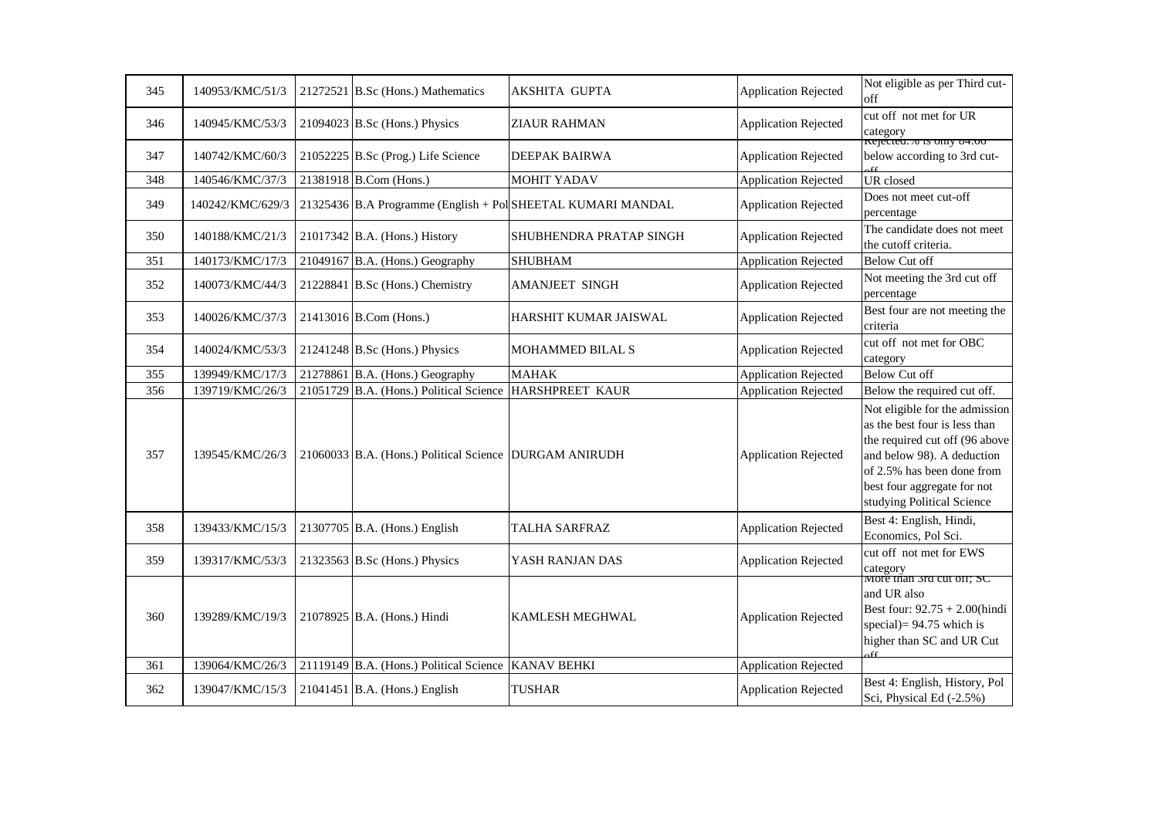| 345 | 140953/KMC/51/3  | 21272521 B.Sc (Hons.) Mathematics                      | AKSHITA GUPTA                                               | Application Rejected        | Not eligible as per Third cut-<br>off                                                                                                                                                                                      |
|-----|------------------|--------------------------------------------------------|-------------------------------------------------------------|-----------------------------|----------------------------------------------------------------------------------------------------------------------------------------------------------------------------------------------------------------------------|
| 346 | 140945/KMC/53/3  | 21094023 B.Sc (Hons.) Physics                          | ZIAUR RAHMAN                                                | <b>Application Rejected</b> | cut off not met for UR<br>category<br>Rejected.% is omy 84.00                                                                                                                                                              |
| 347 | 140742/KMC/60/3  | 21052225 B.Sc (Prog.) Life Science                     | DEEPAK BAIRWA                                               | <b>Application Rejected</b> | below according to 3rd cut-                                                                                                                                                                                                |
| 348 | 140546/KMC/37/3  | 21381918 B.Com (Hons.)                                 | <b>MOHIT YADAV</b>                                          | <b>Application Rejected</b> | <b>UR</b> closed                                                                                                                                                                                                           |
| 349 | 140242/KMC/629/3 |                                                        | 21325436 B.A Programme (English + Pol SHEETAL KUMARI MANDAL | <b>Application Rejected</b> | Does not meet cut-off<br>percentage                                                                                                                                                                                        |
| 350 | 140188/KMC/21/3  | 21017342 B.A. (Hons.) History                          | SHUBHENDRA PRATAP SINGH                                     | <b>Application Rejected</b> | The candidate does not meet<br>the cutoff criteria.                                                                                                                                                                        |
| 351 | 140173/KMC/17/3  | 21049167 B.A. (Hons.) Geography                        | <b>SHUBHAM</b>                                              | <b>Application Rejected</b> | <b>Below Cut off</b>                                                                                                                                                                                                       |
| 352 | 140073/KMC/44/3  | 21228841 B.Sc (Hons.) Chemistry                        | AMANJEET SINGH                                              | <b>Application Rejected</b> | Not meeting the 3rd cut off<br>percentage                                                                                                                                                                                  |
| 353 | 140026/KMC/37/3  | 21413016 B.Com (Hons.)                                 | HARSHIT KUMAR JAISWAL                                       | <b>Application Rejected</b> | Best four are not meeting the<br>criteria                                                                                                                                                                                  |
| 354 | 140024/KMC/53/3  | 21241248 B.Sc (Hons.) Physics                          | MOHAMMED BILAL S                                            | <b>Application Rejected</b> | cut off not met for OBC<br>category                                                                                                                                                                                        |
| 355 | 139949/KMC/17/3  | 21278861 B.A. (Hons.) Geography                        | <b>MAHAK</b>                                                | <b>Application Rejected</b> | <b>Below Cut off</b>                                                                                                                                                                                                       |
| 356 | 139719/KMC/26/3  | 21051729 B.A. (Hons.) Political Science                | HARSHPREET KAUR                                             | <b>Application Rejected</b> | Below the required cut off.                                                                                                                                                                                                |
| 357 | 139545/KMC/26/3  | 21060033 B.A. (Hons.) Political Science DURGAM ANIRUDH |                                                             | <b>Application Rejected</b> | Not eligible for the admission<br>as the best four is less than<br>the required cut off (96 above<br>and below 98). A deduction<br>of 2.5% has been done from<br>best four aggregate for not<br>studying Political Science |
| 358 | 139433/KMC/15/3  | 21307705 B.A. (Hons.) English                          | <b>TALHA SARFRAZ</b>                                        | <b>Application Rejected</b> | Best 4: English, Hindi,<br>Economics, Pol Sci.                                                                                                                                                                             |
| 359 | 139317/KMC/53/3  | 21323563 B.Sc (Hons.) Physics                          | YASH RANJAN DAS                                             | <b>Application Rejected</b> | cut off not met for EWS<br>category<br>More than <i>srd</i> cut off; SC                                                                                                                                                    |
| 360 | 139289/KMC/19/3  | 21078925 B.A. (Hons.) Hindi                            | KAMLESH MEGHWAL                                             | <b>Application Rejected</b> | and UR also<br>Best four: 92.75 + 2.00(hindi<br>special) = $94.75$ which is<br>higher than SC and UR Cut<br><sub>e</sub> er                                                                                                |
| 361 | 139064/KMC/26/3  | 21119149 B.A. (Hons.) Political Science                | <b>KANAV BEHKI</b>                                          | <b>Application Rejected</b> |                                                                                                                                                                                                                            |
| 362 | 139047/KMC/15/3  | $21041451$ B.A. (Hons.) English                        | <b>TUSHAR</b>                                               | <b>Application Rejected</b> | Best 4: English, History, Pol<br>Sci, Physical Ed (-2.5%)                                                                                                                                                                  |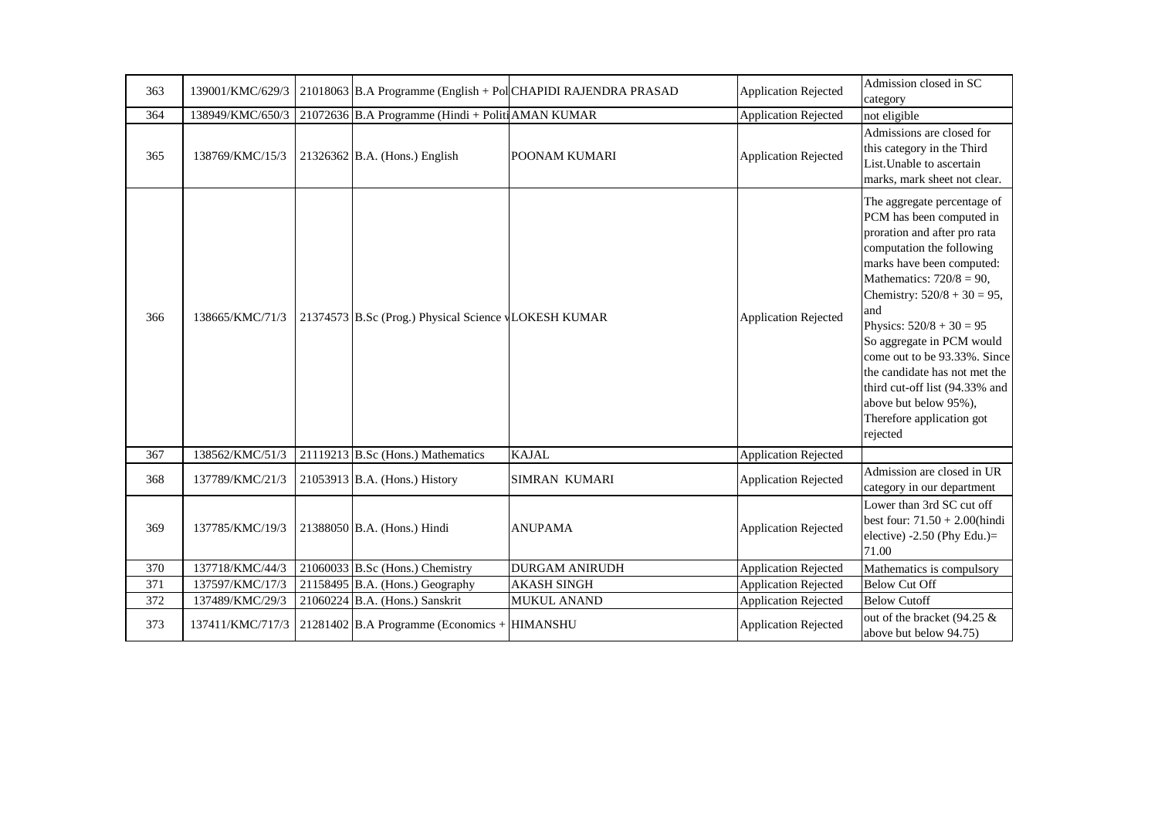| 363 | 139001/KMC/629/3 |                                                      | 21018063 B.A Programme (English + Pol CHAPIDI RAJENDRA PRASAD | <b>Application Rejected</b> | Admission closed in SC<br>category                                                                                                                                                                                                                                                                                                                                                                                                                        |
|-----|------------------|------------------------------------------------------|---------------------------------------------------------------|-----------------------------|-----------------------------------------------------------------------------------------------------------------------------------------------------------------------------------------------------------------------------------------------------------------------------------------------------------------------------------------------------------------------------------------------------------------------------------------------------------|
| 364 | 138949/KMC/650/3 | 21072636 B.A Programme (Hindi + Politi AMAN KUMAR    |                                                               | <b>Application Rejected</b> | not eligible                                                                                                                                                                                                                                                                                                                                                                                                                                              |
| 365 | 138769/KMC/15/3  | $21326362$ B.A. (Hons.) English                      | POONAM KUMARI                                                 | <b>Application Rejected</b> | Admissions are closed for<br>this category in the Third<br>List. Unable to ascertain<br>marks, mark sheet not clear.                                                                                                                                                                                                                                                                                                                                      |
| 366 | 138665/KMC/71/3  | 21374573 B.Sc (Prog.) Physical Science VLOKESH KUMAR |                                                               | <b>Application Rejected</b> | The aggregate percentage of<br>PCM has been computed in<br>proration and after pro rata<br>computation the following<br>marks have been computed:<br>Mathematics: $720/8 = 90$ ,<br>Chemistry: $520/8 + 30 = 95$ ,<br>and<br>Physics: $520/8 + 30 = 95$<br>So aggregate in PCM would<br>come out to be 93.33%. Since<br>the candidate has not met the<br>third cut-off list (94.33% and<br>above but below 95%),<br>Therefore application got<br>rejected |
| 367 | 138562/KMC/51/3  | 21119213 B.Sc (Hons.) Mathematics                    | <b>KAJAL</b>                                                  | <b>Application Rejected</b> |                                                                                                                                                                                                                                                                                                                                                                                                                                                           |
| 368 | 137789/KMC/21/3  | 21053913 B.A. (Hons.) History                        | <b>SIMRAN KUMARI</b>                                          | <b>Application Rejected</b> | Admission are closed in UR<br>category in our department                                                                                                                                                                                                                                                                                                                                                                                                  |
| 369 | 137785/KMC/19/3  | 21388050 B.A. (Hons.) Hindi                          | <b>ANUPAMA</b>                                                | <b>Application Rejected</b> | Lower than 3rd SC cut off<br>best four: $71.50 + 2.00$ (hindi<br>elective) -2.50 (Phy Edu.)=<br>71.00                                                                                                                                                                                                                                                                                                                                                     |
| 370 | 137718/KMC/44/3  | 21060033 B.Sc (Hons.) Chemistry                      | <b>DURGAM ANIRUDH</b>                                         | <b>Application Rejected</b> | Mathematics is compulsory                                                                                                                                                                                                                                                                                                                                                                                                                                 |
| 371 | 137597/KMC/17/3  | 21158495 B.A. (Hons.) Geography                      | <b>AKASH SINGH</b>                                            | <b>Application Rejected</b> | <b>Below Cut Off</b>                                                                                                                                                                                                                                                                                                                                                                                                                                      |
| 372 | 137489/KMC/29/3  | 21060224 B.A. (Hons.) Sanskrit                       | MUKUL ANAND                                                   | <b>Application Rejected</b> | <b>Below Cutoff</b>                                                                                                                                                                                                                                                                                                                                                                                                                                       |
| 373 | 137411/KMC/717/3 | $21281402$ B.A Programme (Economics + HIMANSHU       |                                                               | <b>Application Rejected</b> | out of the bracket (94.25 $&$<br>above but below 94.75)                                                                                                                                                                                                                                                                                                                                                                                                   |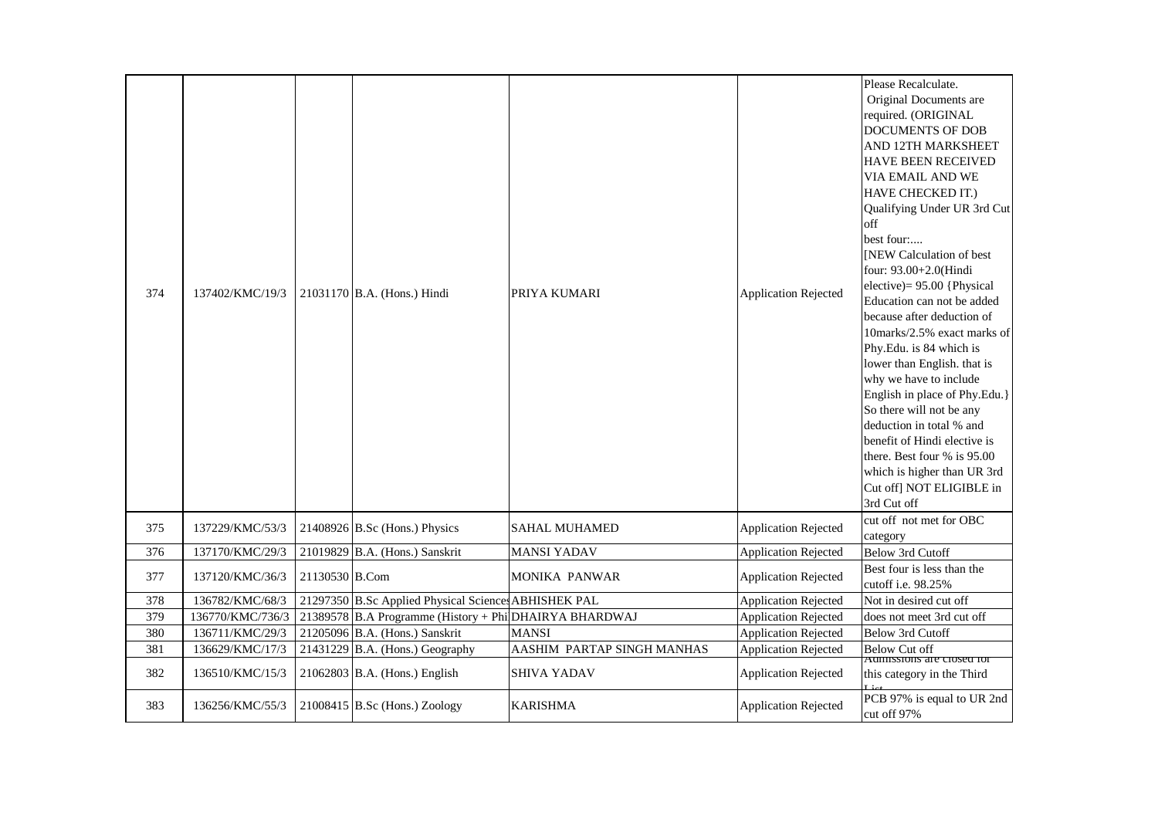| 374 | 137402/KMC/19/3  |                | 21031170 B.A. (Hons.) Hindi                            | PRIYA KUMARI               | <b>Application Rejected</b> | Please Recalculate.<br>Original Documents are<br>required. (ORIGINAL<br><b>DOCUMENTS OF DOB</b><br>AND 12TH MARKSHEET<br>HAVE BEEN RECEIVED<br>VIA EMAIL AND WE<br>HAVE CHECKED IT.)<br>Qualifying Under UR 3rd Cut<br>off<br>best four:<br>[NEW Calculation of best<br>four: 93.00+2.0(Hindi<br>elective) = $95.00$ {Physical<br>Education can not be added<br>because after deduction of<br>10marks/2.5% exact marks of<br>Phy.Edu. is 84 which is<br>lower than English. that is<br>why we have to include<br>English in place of Phy.Edu.}<br>So there will not be any<br>deduction in total % and<br>benefit of Hindi elective is |
|-----|------------------|----------------|--------------------------------------------------------|----------------------------|-----------------------------|----------------------------------------------------------------------------------------------------------------------------------------------------------------------------------------------------------------------------------------------------------------------------------------------------------------------------------------------------------------------------------------------------------------------------------------------------------------------------------------------------------------------------------------------------------------------------------------------------------------------------------------|
|     |                  |                |                                                        |                            |                             | there. Best four % is 95.00<br>which is higher than UR 3rd<br>Cut off] NOT ELIGIBLE in<br>3rd Cut off                                                                                                                                                                                                                                                                                                                                                                                                                                                                                                                                  |
| 375 | 137229/KMC/53/3  |                | 21408926 B.Sc (Hons.) Physics                          | <b>SAHAL MUHAMED</b>       | <b>Application Rejected</b> | cut off not met for OBC<br>category                                                                                                                                                                                                                                                                                                                                                                                                                                                                                                                                                                                                    |
| 376 | 137170/KMC/29/3  |                | 21019829 B.A. (Hons.) Sanskrit                         | <b>MANSI YADAV</b>         | <b>Application Rejected</b> | <b>Below 3rd Cutoff</b>                                                                                                                                                                                                                                                                                                                                                                                                                                                                                                                                                                                                                |
| 377 | 137120/KMC/36/3  | 21130530 B.Com |                                                        | <b>MONIKA PANWAR</b>       | <b>Application Rejected</b> | Best four is less than the<br>cutoff i.e. 98.25%                                                                                                                                                                                                                                                                                                                                                                                                                                                                                                                                                                                       |
| 378 | 136782/KMC/68/3  |                | 21297350 B.Sc Applied Physical Sciences ABHISHEK PAL   |                            | <b>Application Rejected</b> | Not in desired cut off                                                                                                                                                                                                                                                                                                                                                                                                                                                                                                                                                                                                                 |
| 379 | 136770/KMC/736/3 |                | 21389578 B.A Programme (History + Phi DHAIRYA BHARDWAJ |                            | <b>Application Rejected</b> | does not meet 3rd cut off                                                                                                                                                                                                                                                                                                                                                                                                                                                                                                                                                                                                              |
| 380 | 136711/KMC/29/3  |                | 21205096 B.A. (Hons.) Sanskrit                         | <b>MANSI</b>               | <b>Application Rejected</b> | Below 3rd Cutoff                                                                                                                                                                                                                                                                                                                                                                                                                                                                                                                                                                                                                       |
| 381 | 136629/KMC/17/3  |                | 21431229 B.A. (Hons.) Geography                        | AASHIM PARTAP SINGH MANHAS | <b>Application Rejected</b> | <b>Below Cut off</b>                                                                                                                                                                                                                                                                                                                                                                                                                                                                                                                                                                                                                   |
| 382 | 136510/KMC/15/3  |                | $21062803$ B.A. (Hons.) English                        | <b>SHIVA YADAV</b>         | <b>Application Rejected</b> | Aumissions are closed for<br>this category in the Third                                                                                                                                                                                                                                                                                                                                                                                                                                                                                                                                                                                |
| 383 | 136256/KMC/55/3  |                | $21008415$ B.Sc (Hons.) Zoology                        | <b>KARISHMA</b>            | <b>Application Rejected</b> | PCB 97% is equal to UR 2nd<br>cut off 97%                                                                                                                                                                                                                                                                                                                                                                                                                                                                                                                                                                                              |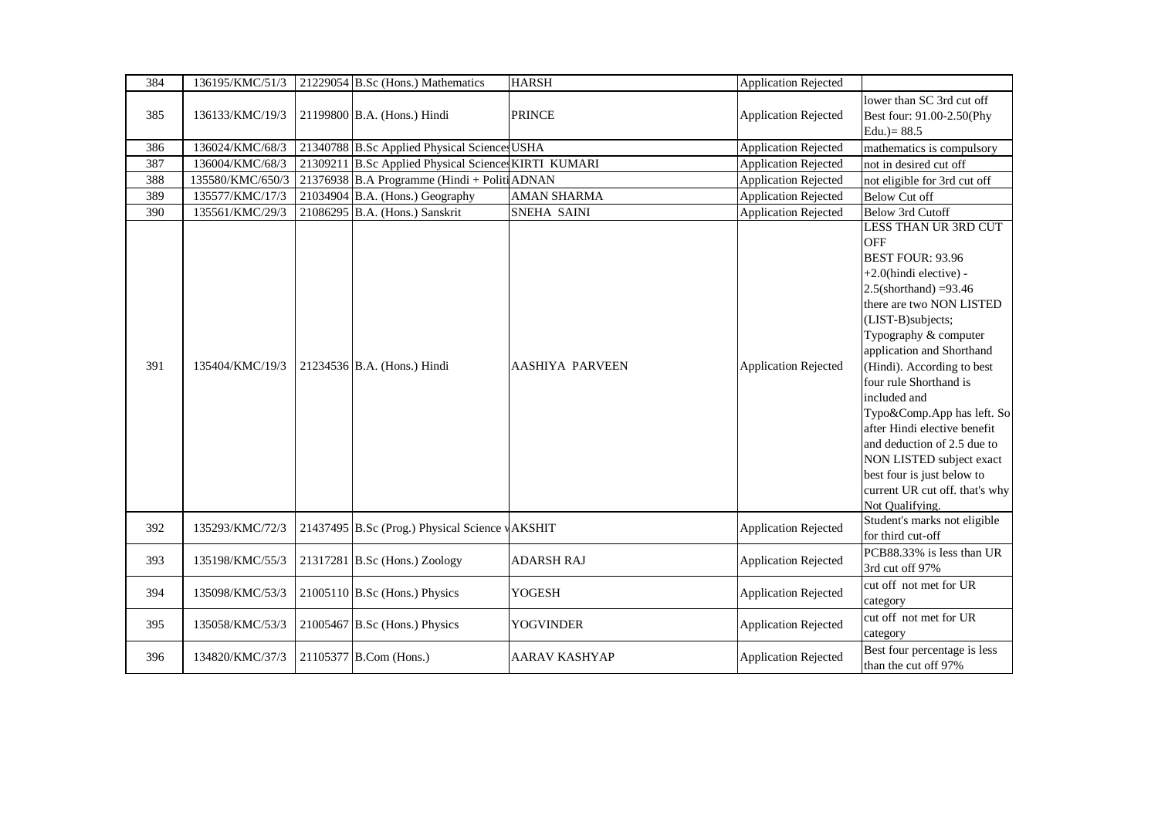| 384 | 136195/KMC/51/3  | 21229054 B.Sc (Hons.) Mathematics                    | <b>HARSH</b>           | <b>Application Rejected</b> |                                                                                                                                                                                                                                                                                                                                                                                                                                                                                                                |
|-----|------------------|------------------------------------------------------|------------------------|-----------------------------|----------------------------------------------------------------------------------------------------------------------------------------------------------------------------------------------------------------------------------------------------------------------------------------------------------------------------------------------------------------------------------------------------------------------------------------------------------------------------------------------------------------|
| 385 | 136133/KMC/19/3  | 21199800 B.A. (Hons.) Hindi                          | <b>PRINCE</b>          | <b>Application Rejected</b> | lower than SC 3rd cut off<br>Best four: 91.00-2.50(Phy<br>Edu. $)= 88.5$                                                                                                                                                                                                                                                                                                                                                                                                                                       |
| 386 | 136024/KMC/68/3  | 21340788 B.Sc Applied Physical Sciences USHA         |                        | <b>Application Rejected</b> | mathematics is compulsory                                                                                                                                                                                                                                                                                                                                                                                                                                                                                      |
| 387 | 136004/KMC/68/3  | 21309211 B.Sc Applied Physical Sciences KIRTI KUMARI |                        | <b>Application Rejected</b> | not in desired cut off                                                                                                                                                                                                                                                                                                                                                                                                                                                                                         |
| 388 | 135580/KMC/650/3 | 21376938 B.A Programme (Hindi + Politi ADNAN         |                        | <b>Application Rejected</b> | not eligible for 3rd cut off                                                                                                                                                                                                                                                                                                                                                                                                                                                                                   |
| 389 | 135577/KMC/17/3  | 21034904 B.A. (Hons.) Geography                      | <b>AMAN SHARMA</b>     | <b>Application Rejected</b> | <b>Below Cut off</b>                                                                                                                                                                                                                                                                                                                                                                                                                                                                                           |
| 390 | 135561/KMC/29/3  | 21086295 B.A. (Hons.) Sanskrit                       | SNEHA SAINI            | <b>Application Rejected</b> | Below 3rd Cutoff                                                                                                                                                                                                                                                                                                                                                                                                                                                                                               |
| 391 | 135404/KMC/19/3  | 21234536 B.A. (Hons.) Hindi                          | <b>AASHIYA PARVEEN</b> | <b>Application Rejected</b> | LESS THAN UR 3RD CUT<br><b>OFF</b><br><b>BEST FOUR: 93.96</b><br>+2.0(hindi elective) -<br>$2.5$ (shorthand) =93.46<br>there are two NON LISTED<br>(LIST-B)subjects;<br>Typography & computer<br>application and Shorthand<br>(Hindi). According to best<br>four rule Shorthand is<br>included and<br>Typo&Comp.App has left. So<br>after Hindi elective benefit<br>and deduction of 2.5 due to<br>NON LISTED subject exact<br>best four is just below to<br>current UR cut off. that's why<br>Not Oualifving. |
| 392 | 135293/KMC/72/3  | 21437495 B.Sc (Prog.) Physical Science vAKSHIT       |                        | <b>Application Rejected</b> | Student's marks not eligible<br>for third cut-off                                                                                                                                                                                                                                                                                                                                                                                                                                                              |
| 393 | 135198/KMC/55/3  | 21317281 B.Sc (Hons.) Zoology                        | <b>ADARSH RAJ</b>      | <b>Application Rejected</b> | PCB88.33% is less than UR<br>3rd cut off 97%                                                                                                                                                                                                                                                                                                                                                                                                                                                                   |
| 394 | 135098/KMC/53/3  | 21005110 B.Sc (Hons.) Physics                        | <b>YOGESH</b>          | <b>Application Rejected</b> | cut off not met for UR<br>category                                                                                                                                                                                                                                                                                                                                                                                                                                                                             |
| 395 | 135058/KMC/53/3  | 21005467 B.Sc (Hons.) Physics                        | <b>YOGVINDER</b>       | <b>Application Rejected</b> | cut off not met for UR<br>category                                                                                                                                                                                                                                                                                                                                                                                                                                                                             |
| 396 | 134820/KMC/37/3  | 21105377 B.Com (Hons.)                               | <b>AARAV KASHYAP</b>   | <b>Application Rejected</b> | Best four percentage is less<br>than the cut off 97%                                                                                                                                                                                                                                                                                                                                                                                                                                                           |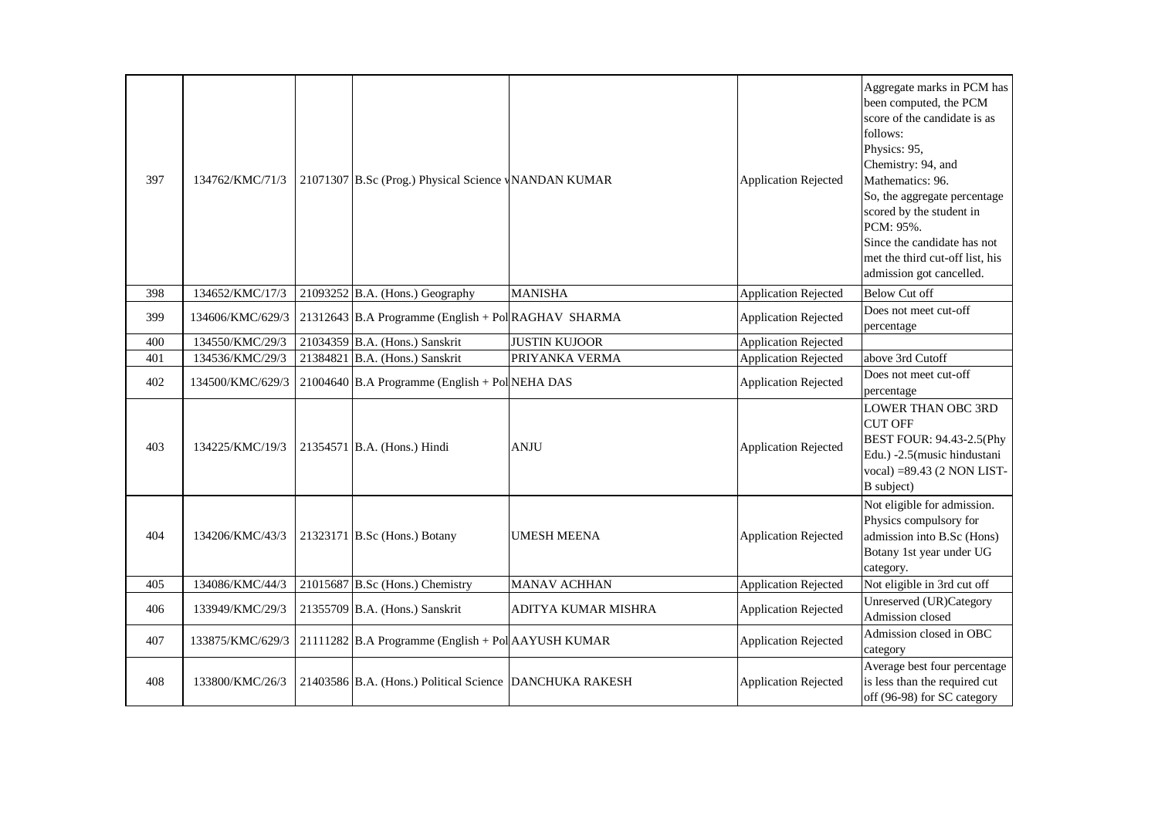| 397 | 134762/KMC/71/3  | 21071307 B.Sc (Prog.) Physical Science WANDAN KUMAR     |                      | <b>Application Rejected</b> | Aggregate marks in PCM has<br>been computed, the PCM<br>score of the candidate is as<br>follows:<br>Physics: 95,<br>Chemistry: 94, and<br>Mathematics: 96.<br>So, the aggregate percentage<br>scored by the student in<br>PCM: 95%.<br>Since the candidate has not<br>met the third cut-off list, his<br>admission got cancelled. |
|-----|------------------|---------------------------------------------------------|----------------------|-----------------------------|-----------------------------------------------------------------------------------------------------------------------------------------------------------------------------------------------------------------------------------------------------------------------------------------------------------------------------------|
| 398 | 134652/KMC/17/3  | $21093252$ B.A. (Hons.) Geography                       | <b>MANISHA</b>       | <b>Application Rejected</b> | <b>Below Cut off</b>                                                                                                                                                                                                                                                                                                              |
| 399 | 134606/KMC/629/3 | 21312643 B.A Programme (English + Pol RAGHAV SHARMA     |                      | <b>Application Rejected</b> | Does not meet cut-off<br>percentage                                                                                                                                                                                                                                                                                               |
| 400 | 134550/KMC/29/3  | 21034359 B.A. (Hons.) Sanskrit                          | <b>JUSTIN KUJOOR</b> | <b>Application Rejected</b> |                                                                                                                                                                                                                                                                                                                                   |
| 401 | 134536/KMC/29/3  | 21384821 B.A. (Hons.) Sanskrit                          | PRIYANKA VERMA       | <b>Application Rejected</b> | above 3rd Cutoff                                                                                                                                                                                                                                                                                                                  |
| 402 | 134500/KMC/629/3 | 21004640 B.A Programme (English + Pol NEHA DAS          |                      | <b>Application Rejected</b> | Does not meet cut-off<br>percentage                                                                                                                                                                                                                                                                                               |
| 403 | 134225/KMC/19/3  | 21354571 B.A. (Hons.) Hindi                             | <b>ANJU</b>          | <b>Application Rejected</b> | <b>LOWER THAN OBC 3RD</b><br><b>CUT OFF</b><br>BEST FOUR: 94.43-2.5(Phy<br>Edu.) -2.5(music hindustani<br>vocal) = 89.43 (2 NON LIST-<br>B subject)                                                                                                                                                                               |
| 404 | 134206/KMC/43/3  | 21323171 B.Sc (Hons.) Botany                            | <b>UMESH MEENA</b>   | <b>Application Rejected</b> | Not eligible for admission.<br>Physics compulsory for<br>admission into B.Sc (Hons)<br>Botany 1st year under UG<br>category.                                                                                                                                                                                                      |
| 405 | 134086/KMC/44/3  | 21015687 B.Sc (Hons.) Chemistry                         | <b>MANAV ACHHAN</b>  | <b>Application Rejected</b> | Not eligible in 3rd cut off                                                                                                                                                                                                                                                                                                       |
| 406 | 133949/KMC/29/3  | 21355709 B.A. (Hons.) Sanskrit                          | ADITYA KUMAR MISHRA  | <b>Application Rejected</b> | Unreserved (UR)Category<br>Admission closed                                                                                                                                                                                                                                                                                       |
| 407 | 133875/KMC/629/3 | 21111282 B.A Programme (English + Pol AAYUSH KUMAR      |                      | <b>Application Rejected</b> | Admission closed in OBC<br>category                                                                                                                                                                                                                                                                                               |
| 408 | 133800/KMC/26/3  | 21403586 B.A. (Hons.) Political Science DANCHUKA RAKESH |                      | <b>Application Rejected</b> | Average best four percentage<br>is less than the required cut<br>off (96-98) for SC category                                                                                                                                                                                                                                      |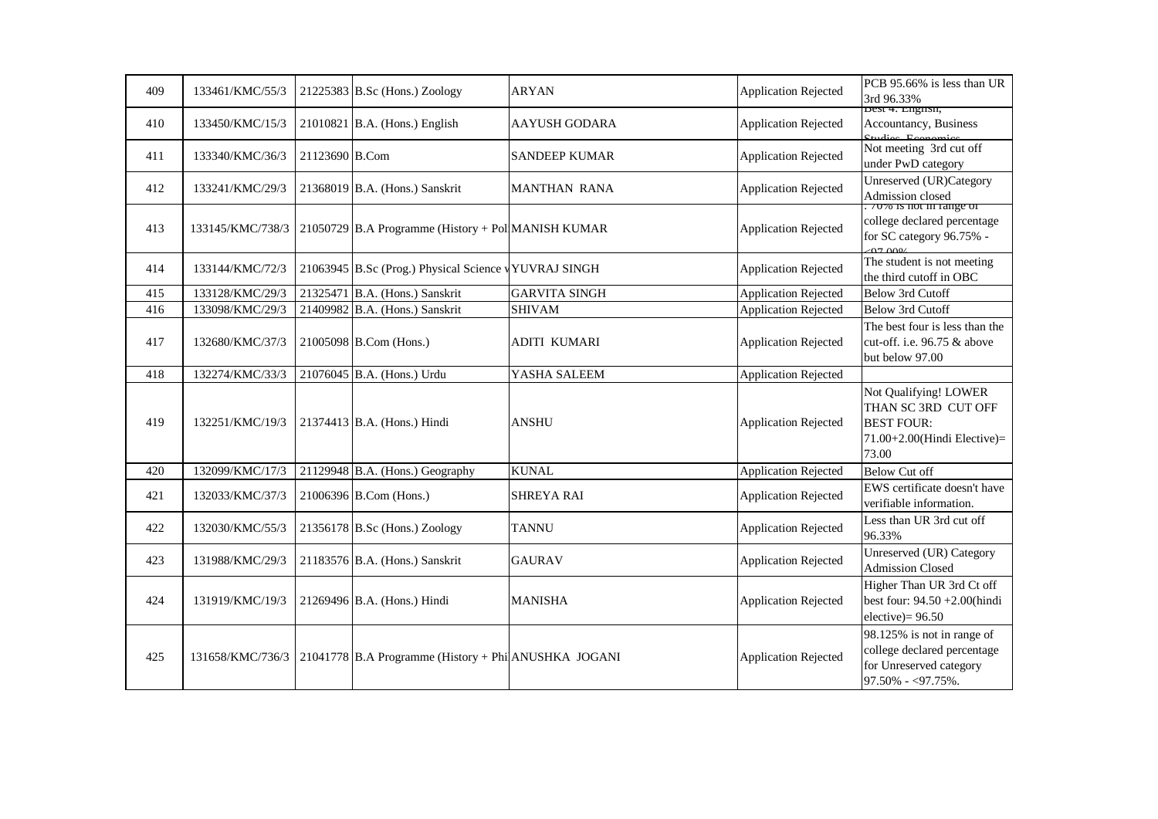| 409 | 133461/KMC/55/3  |                | $21225383$ B.Sc (Hons.) Zoology                      | <b>ARYAN</b>         | <b>Application Rejected</b> | PCB 95.66% is less than UR<br>3rd 96.33%                                                                  |
|-----|------------------|----------------|------------------------------------------------------|----------------------|-----------------------------|-----------------------------------------------------------------------------------------------------------|
| 410 | 133450/KMC/15/3  |                | $21010821$ B.A. (Hons.) English                      | <b>AAYUSH GODARA</b> | <b>Application Rejected</b> | Dest 4: Engilsi,<br>Accountancy, Business<br>$\mathbf{e}_{\text{tridioc}}$ $\mathbf{E}_{\alpha\beta}$     |
| 411 | 133340/KMC/36/3  | 21123690 B.Com |                                                      | <b>SANDEEP KUMAR</b> | <b>Application Rejected</b> | Not meeting 3rd cut off<br>under PwD category                                                             |
| 412 | 133241/KMC/29/3  |                | 21368019 B.A. (Hons.) Sanskrit                       | <b>MANTHAN RANA</b>  | <b>Application Rejected</b> | Unreserved (UR)Category<br>Admission closed                                                               |
| 413 | 133145/KMC/738/3 |                | 21050729 B.A Programme (History + Pol MANISH KUMAR   |                      | <b>Application Rejected</b> | : 70% is not in range or<br>college declared percentage<br>for SC category 96.75% -<br>$-07.000$          |
| 414 | 133144/KMC/72/3  |                | 21063945 B.Sc (Prog.) Physical Science vYUVRAJ SINGH |                      | <b>Application Rejected</b> | The student is not meeting<br>the third cutoff in OBC                                                     |
| 415 | 133128/KMC/29/3  |                | 21325471 B.A. (Hons.) Sanskrit                       | <b>GARVITA SINGH</b> | <b>Application Rejected</b> | <b>Below 3rd Cutoff</b>                                                                                   |
| 416 | 133098/KMC/29/3  |                | 21409982 B.A. (Hons.) Sanskrit                       | <b>SHIVAM</b>        | <b>Application Rejected</b> | Below 3rd Cutoff                                                                                          |
| 417 | 132680/KMC/37/3  |                | 21005098 B.Com (Hons.)                               | <b>ADITI KUMARI</b>  | <b>Application Rejected</b> | The best four is less than the<br>cut-off. i.e. 96.75 & above<br>but below 97.00                          |
| 418 | 132274/KMC/33/3  |                | 21076045 B.A. (Hons.) Urdu                           | YASHA SALEEM         | <b>Application Rejected</b> |                                                                                                           |
| 419 | 132251/KMC/19/3  |                | 21374413 B.A. (Hons.) Hindi                          | <b>ANSHU</b>         | <b>Application Rejected</b> | Not Qualifying! LOWER<br>THAN SC 3RD CUT OFF<br><b>BEST FOUR:</b><br>71.00+2.00(Hindi Elective)=<br>73.00 |
| 420 | 132099/KMC/17/3  |                | 21129948 B.A. (Hons.) Geography                      | <b>KUNAL</b>         | <b>Application Rejected</b> | <b>Below Cut off</b>                                                                                      |
| 421 | 132033/KMC/37/3  |                | 21006396 B.Com (Hons.)                               | <b>SHREYA RAI</b>    | <b>Application Rejected</b> | EWS certificate doesn't have<br>verifiable information.                                                   |
| 422 | 132030/KMC/55/3  |                | $21356178$ B.Sc (Hons.) Zoology                      | <b>TANNU</b>         | <b>Application Rejected</b> | Less than UR 3rd cut off<br>96.33%                                                                        |
| 423 | 131988/KMC/29/3  |                | 21183576 B.A. (Hons.) Sanskrit                       | <b>GAURAV</b>        | <b>Application Rejected</b> | Unreserved (UR) Category<br><b>Admission Closed</b>                                                       |
| 424 | 131919/KMC/19/3  |                | 21269496 B.A. (Hons.) Hindi                          | <b>MANISHA</b>       | <b>Application Rejected</b> | Higher Than UR 3rd Ct off<br>best four: $94.50 + 2.00$ (hindi<br>$electric = 96.50$                       |
| 425 | 131658/KMC/736/3 |                | 21041778 B.A Programme (History + Phi ANUSHKA JOGANI |                      | <b>Application Rejected</b> | 98.125% is not in range of<br>college declared percentage<br>for Unreserved category<br>97.50% - <97.75%. |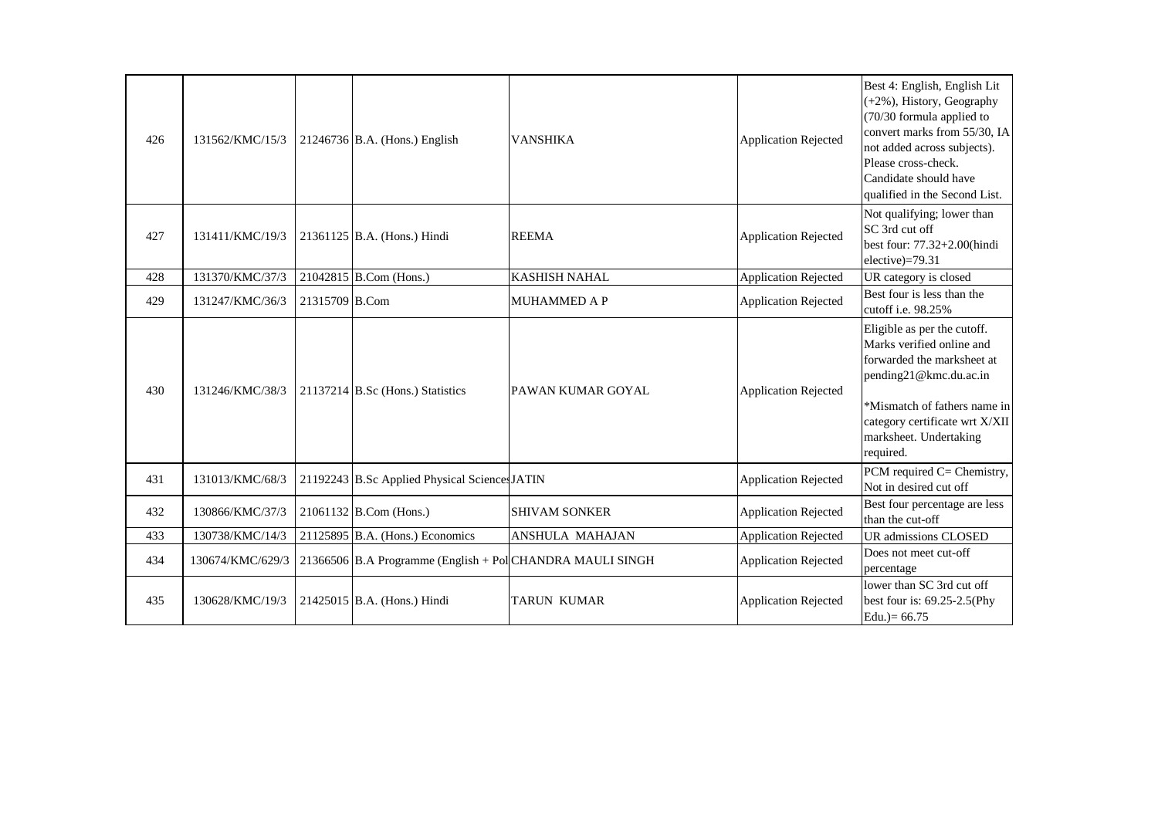| 426 | 131562/KMC/15/3  |                | 21246736 B.A. (Hons.) English                             | <b>VANSHIKA</b>        | <b>Application Rejected</b> | Best 4: English, English Lit<br>(+2%), History, Geography<br>(70/30 formula applied to<br>convert marks from 55/30, IA<br>not added across subjects).<br>Please cross-check.<br>Candidate should have<br>qualified in the Second List. |
|-----|------------------|----------------|-----------------------------------------------------------|------------------------|-----------------------------|----------------------------------------------------------------------------------------------------------------------------------------------------------------------------------------------------------------------------------------|
| 427 | 131411/KMC/19/3  |                | 21361125 B.A. (Hons.) Hindi                               | <b>REEMA</b>           | <b>Application Rejected</b> | Not qualifying; lower than<br>SC 3rd cut off<br>best four: 77.32+2.00(hindi<br>elective)=79.31                                                                                                                                         |
| 428 | 131370/KMC/37/3  |                | 21042815 B.Com (Hons.)                                    | <b>KASHISH NAHAL</b>   | <b>Application Rejected</b> | UR category is closed                                                                                                                                                                                                                  |
| 429 | 131247/KMC/36/3  | 21315709 B.Com |                                                           | <b>MUHAMMED A P</b>    | <b>Application Rejected</b> | Best four is less than the<br>cutoff i.e. 98.25%                                                                                                                                                                                       |
| 430 | 131246/KMC/38/3  |                | 21137214 B.Sc (Hons.) Statistics                          | PAWAN KUMAR GOYAL      | <b>Application Rejected</b> | Eligible as per the cutoff.<br>Marks verified online and<br>forwarded the marksheet at<br>pending21@kmc.du.ac.in<br>*Mismatch of fathers name in<br>category certificate wrt X/XII<br>marksheet. Undertaking<br>required.              |
| 431 | 131013/KMC/68/3  |                | 21192243 B.Sc Applied Physical Sciences JATIN             |                        | <b>Application Rejected</b> | PCM required C= Chemistry,<br>Not in desired cut off                                                                                                                                                                                   |
| 432 | 130866/KMC/37/3  |                | 21061132 B.Com (Hons.)                                    | <b>SHIVAM SONKER</b>   | <b>Application Rejected</b> | Best four percentage are less<br>than the cut-off                                                                                                                                                                                      |
| 433 | 130738/KMC/14/3  |                | 21125895 B.A. (Hons.) Economics                           | <b>ANSHULA MAHAJAN</b> | <b>Application Rejected</b> | UR admissions CLOSED                                                                                                                                                                                                                   |
| 434 | 130674/KMC/629/3 |                | 21366506 B.A Programme (English + Pol CHANDRA MAULI SINGH |                        | <b>Application Rejected</b> | Does not meet cut-off<br>percentage                                                                                                                                                                                                    |
| 435 | 130628/KMC/19/3  |                | 21425015 B.A. (Hons.) Hindi                               | <b>TARUN KUMAR</b>     | <b>Application Rejected</b> | lower than SC 3rd cut off<br>best four is: 69.25-2.5(Phy<br>Edu. $= 66.75$                                                                                                                                                             |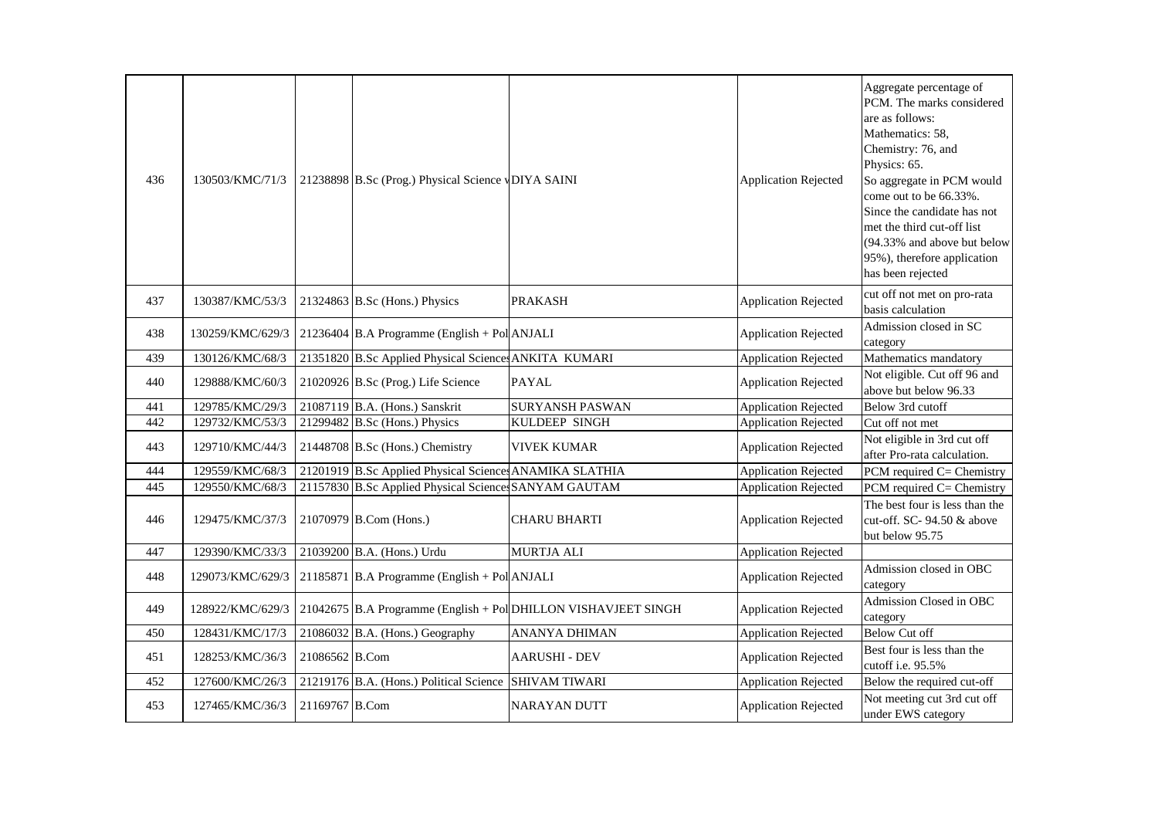| 436 | 130503/KMC/71/3  |                | 21238898 B.Sc (Prog.) Physical Science vDIYA SAINI     |                                                                | <b>Application Rejected</b> | Aggregate percentage of<br>PCM. The marks considered<br>are as follows:<br>Mathematics: 58,<br>Chemistry: 76, and<br>Physics: 65.<br>So aggregate in PCM would<br>come out to be 66.33%.<br>Since the candidate has not<br>met the third cut-off list<br>(94.33% and above but below<br>95%), therefore application<br>has been rejected |
|-----|------------------|----------------|--------------------------------------------------------|----------------------------------------------------------------|-----------------------------|------------------------------------------------------------------------------------------------------------------------------------------------------------------------------------------------------------------------------------------------------------------------------------------------------------------------------------------|
| 437 | 130387/KMC/53/3  |                | 21324863 B.Sc (Hons.) Physics                          | <b>PRAKASH</b>                                                 | <b>Application Rejected</b> | cut off not met on pro-rata<br>basis calculation                                                                                                                                                                                                                                                                                         |
| 438 | 130259/KMC/629/3 |                | $21236404$ B.A Programme (English + Pol ANJALI         |                                                                | <b>Application Rejected</b> | Admission closed in SC<br>category                                                                                                                                                                                                                                                                                                       |
| 439 | 130126/KMC/68/3  |                | 21351820 B.Sc Applied Physical Sciences ANKITA KUMARI  |                                                                | <b>Application Rejected</b> | Mathematics mandatory                                                                                                                                                                                                                                                                                                                    |
| 440 | 129888/KMC/60/3  |                | 21020926 B.Sc (Prog.) Life Science                     | <b>PAYAL</b>                                                   | <b>Application Rejected</b> | Not eligible. Cut off 96 and<br>above but below 96.33                                                                                                                                                                                                                                                                                    |
| 441 | 129785/KMC/29/3  |                | 21087119 B.A. (Hons.) Sanskrit                         | <b>SURYANSH PASWAN</b>                                         | <b>Application Rejected</b> | Below 3rd cutoff                                                                                                                                                                                                                                                                                                                         |
| 442 | 129732/KMC/53/3  |                | 21299482 B.Sc (Hons.) Physics                          | <b>KULDEEP SINGH</b>                                           | <b>Application Rejected</b> | Cut off not met                                                                                                                                                                                                                                                                                                                          |
| 443 | 129710/KMC/44/3  |                | 21448708 B.Sc (Hons.) Chemistry                        | <b>VIVEK KUMAR</b>                                             | <b>Application Rejected</b> | Not eligible in 3rd cut off<br>after Pro-rata calculation.                                                                                                                                                                                                                                                                               |
| 444 | 129559/KMC/68/3  |                | 21201919 B.Sc Applied Physical Science ANAMIKA SLATHIA |                                                                | <b>Application Rejected</b> | PCM required C= Chemistry                                                                                                                                                                                                                                                                                                                |
| 445 | 129550/KMC/68/3  |                | 21157830 B.Sc Applied Physical Science SANYAM GAUTAM   |                                                                | <b>Application Rejected</b> | PCM required C= Chemistry                                                                                                                                                                                                                                                                                                                |
| 446 | 129475/KMC/37/3  |                | 21070979 B.Com (Hons.)                                 | <b>CHARU BHARTI</b>                                            | <b>Application Rejected</b> | The best four is less than the<br>cut-off. SC- 94.50 & above<br>but below 95.75                                                                                                                                                                                                                                                          |
| 447 | 129390/KMC/33/3  |                | 21039200 B.A. (Hons.) Urdu                             | <b>MURTJA ALI</b>                                              | <b>Application Rejected</b> |                                                                                                                                                                                                                                                                                                                                          |
| 448 | 129073/KMC/629/3 |                | 21185871 B.A Programme (English + Pol ANJALI           |                                                                | <b>Application Rejected</b> | Admission closed in OBC<br>category                                                                                                                                                                                                                                                                                                      |
| 449 | 128922/KMC/629/3 |                |                                                        | 21042675 B.A Programme (English + Pol DHILLON VISHAVJEET SINGH | <b>Application Rejected</b> | Admission Closed in OBC<br>category                                                                                                                                                                                                                                                                                                      |
| 450 | 128431/KMC/17/3  |                | 21086032 B.A. (Hons.) Geography                        | <b>ANANYA DHIMAN</b>                                           | <b>Application Rejected</b> | <b>Below Cut off</b>                                                                                                                                                                                                                                                                                                                     |
| 451 | 128253/KMC/36/3  | 21086562 B.Com |                                                        | <b>AARUSHI - DEV</b>                                           | <b>Application Rejected</b> | Best four is less than the<br>cutoff i.e. 95.5%                                                                                                                                                                                                                                                                                          |
| 452 | 127600/KMC/26/3  |                | 21219176 B.A. (Hons.) Political Science                | <b>SHIVAM TIWARI</b>                                           | <b>Application Rejected</b> | Below the required cut-off                                                                                                                                                                                                                                                                                                               |
| 453 | 127465/KMC/36/3  | 21169767 B.Com |                                                        | <b>NARAYAN DUTT</b>                                            | <b>Application Rejected</b> | Not meeting cut 3rd cut off<br>under EWS category                                                                                                                                                                                                                                                                                        |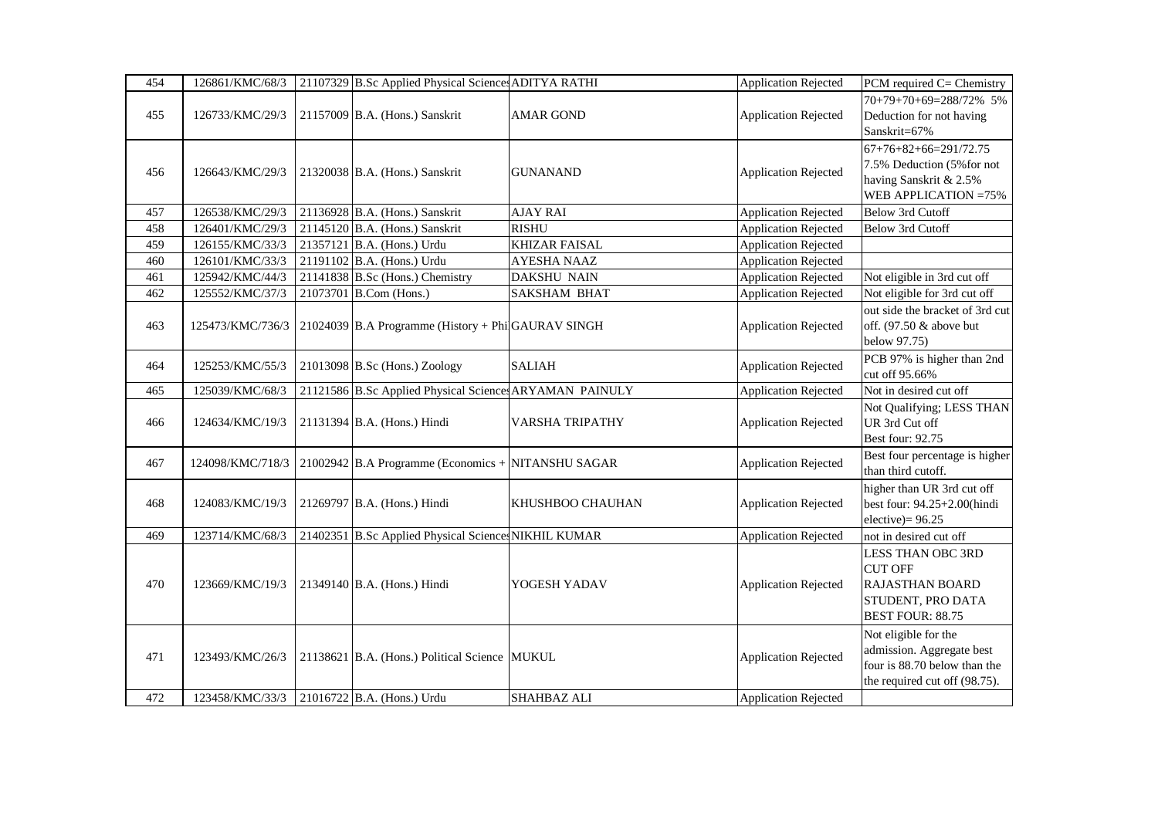| 454 | 126861/KMC/68/3  | 21107329 B.Sc Applied Physical Sciences ADITYA RATHI    |                      | <b>Application Rejected</b> | PCM required C= Chemistry       |
|-----|------------------|---------------------------------------------------------|----------------------|-----------------------------|---------------------------------|
|     |                  |                                                         |                      |                             | 70+79+70+69=288/72% 5%          |
| 455 | 126733/KMC/29/3  | 21157009 B.A. (Hons.) Sanskrit                          | <b>AMAR GOND</b>     | <b>Application Rejected</b> | Deduction for not having        |
|     |                  |                                                         |                      |                             | Sanskrit=67%                    |
|     |                  |                                                         |                      |                             | $67+76+82+66=291/72.75$         |
|     |                  |                                                         |                      |                             | 7.5% Deduction (5% for not      |
| 456 | 126643/KMC/29/3  | 21320038 B.A. (Hons.) Sanskrit                          | <b>GUNANAND</b>      | <b>Application Rejected</b> | having Sanskrit & 2.5%          |
|     |                  |                                                         |                      |                             | WEB APPLICATION = 75%           |
| 457 | 126538/KMC/29/3  | 21136928 B.A. (Hons.) Sanskrit                          | <b>AJAY RAI</b>      | <b>Application Rejected</b> | <b>Below 3rd Cutoff</b>         |
| 458 | 126401/KMC/29/3  | 21145120 B.A. (Hons.) Sanskrit                          | <b>RISHU</b>         | <b>Application Rejected</b> | Below 3rd Cutoff                |
| 459 | 126155/KMC/33/3  | 21357121 B.A. (Hons.) Urdu                              | <b>KHIZAR FAISAL</b> | <b>Application Rejected</b> |                                 |
| 460 | 126101/KMC/33/3  | 21191102 B.A. (Hons.) Urdu                              | <b>AYESHA NAAZ</b>   | <b>Application Rejected</b> |                                 |
| 461 | 125942/KMC/44/3  | 21141838 B.Sc (Hons.) Chemistry                         | DAKSHU NAIN          | <b>Application Rejected</b> | Not eligible in 3rd cut off     |
| 462 | 125552/KMC/37/3  | 21073701 B.Com (Hons.)                                  | SAKSHAM BHAT         | <b>Application Rejected</b> | Not eligible for 3rd cut off    |
|     |                  |                                                         |                      |                             | out side the bracket of 3rd cut |
| 463 | 125473/KMC/736/3 | 21024039 B.A Programme (History + Phi GAURAV SINGH      |                      | <b>Application Rejected</b> | off. (97.50 & above but         |
|     |                  |                                                         |                      |                             | below 97.75)                    |
| 464 | 125253/KMC/55/3  | 21013098 B.Sc (Hons.) Zoology                           | <b>SALIAH</b>        | <b>Application Rejected</b> | PCB 97% is higher than 2nd      |
|     |                  |                                                         |                      |                             | cut off 95.66%                  |
| 465 | 125039/KMC/68/3  | 21121586 B.Sc Applied Physical Sciences ARYAMAN PAINULY |                      | <b>Application Rejected</b> | Not in desired cut off          |
|     |                  |                                                         |                      |                             | Not Qualifying; LESS THAN       |
| 466 | 124634/KMC/19/3  | 21131394 B.A. (Hons.) Hindi                             | VARSHA TRIPATHY      | <b>Application Rejected</b> | UR 3rd Cut off                  |
|     |                  |                                                         |                      |                             | Best four: 92.75                |
| 467 | 124098/KMC/718/3 | $21002942$ B.A Programme (Economics + NITANSHU SAGAR    |                      | <b>Application Rejected</b> | Best four percentage is higher  |
|     |                  |                                                         |                      |                             | than third cutoff.              |
|     |                  |                                                         |                      |                             | higher than UR 3rd cut off      |
| 468 | 124083/KMC/19/3  | 21269797 B.A. (Hons.) Hindi                             | KHUSHBOO CHAUHAN     | <b>Application Rejected</b> | best four: 94.25+2.00(hindi     |
|     |                  |                                                         |                      |                             | $electric = 96.25$              |
| 469 | 123714/KMC/68/3  | 21402351 B.Sc Applied Physical Sciences NIKHIL KUMAR    |                      | <b>Application Rejected</b> | not in desired cut off          |
|     |                  |                                                         |                      |                             | <b>LESS THAN OBC 3RD</b>        |
|     |                  |                                                         |                      |                             | <b>CUT OFF</b>                  |
| 470 | 123669/KMC/19/3  | 21349140 B.A. (Hons.) Hindi                             | YOGESH YADAV         | <b>Application Rejected</b> | RAJASTHAN BOARD                 |
|     |                  |                                                         |                      |                             | STUDENT, PRO DATA               |
|     |                  |                                                         |                      |                             | <b>BEST FOUR: 88.75</b>         |
|     |                  |                                                         |                      |                             | Not eligible for the            |
| 471 | 123493/KMC/26/3  | 21138621 B.A. (Hons.) Political Science MUKUL           |                      | <b>Application Rejected</b> | admission. Aggregate best       |
|     |                  |                                                         |                      |                             | four is 88.70 below than the    |
|     |                  |                                                         |                      |                             | the required cut off (98.75).   |
| 472 | 123458/KMC/33/3  | 21016722 B.A. (Hons.) Urdu                              | <b>SHAHBAZ ALI</b>   | Application Rejected        |                                 |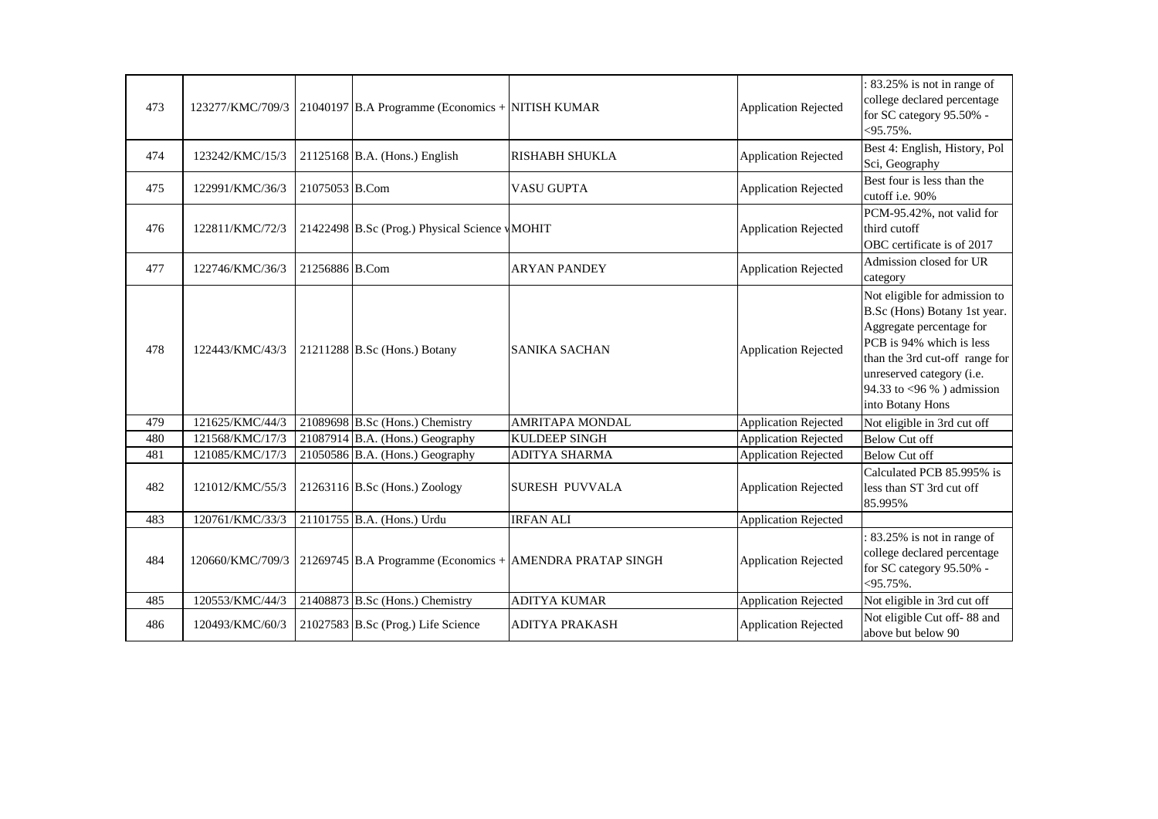| 473 |                  |                | 123277/KMC/709/3   21040197 B.A Programme (Economics + NITISH KUMAR |                                                          | <b>Application Rejected</b> | : 83.25% is not in range of<br>college declared percentage<br>for SC category 95.50% -<br>$< 95.75\%$ .                                                                                                                               |
|-----|------------------|----------------|---------------------------------------------------------------------|----------------------------------------------------------|-----------------------------|---------------------------------------------------------------------------------------------------------------------------------------------------------------------------------------------------------------------------------------|
| 474 | 123242/KMC/15/3  |                | $21125168$ B.A. (Hons.) English                                     | <b>RISHABH SHUKLA</b>                                    | <b>Application Rejected</b> | Best 4: English, History, Pol<br>Sci, Geography                                                                                                                                                                                       |
| 475 | 122991/KMC/36/3  | 21075053 B.Com |                                                                     | VASU GUPTA                                               | <b>Application Rejected</b> | Best four is less than the<br>cutoff i.e. 90%                                                                                                                                                                                         |
| 476 | 122811/KMC/72/3  |                | 21422498 B.Sc (Prog.) Physical Science vMOHIT                       |                                                          | <b>Application Rejected</b> | PCM-95.42%, not valid for<br>third cutoff<br>OBC certificate is of 2017                                                                                                                                                               |
| 477 | 122746/KMC/36/3  | 21256886 B.Com |                                                                     | <b>ARYAN PANDEY</b>                                      | <b>Application Rejected</b> | Admission closed for UR<br>category                                                                                                                                                                                                   |
| 478 | 122443/KMC/43/3  |                | 21211288 B.Sc (Hons.) Botany                                        | <b>SANIKA SACHAN</b>                                     | <b>Application Rejected</b> | Not eligible for admission to<br>B.Sc (Hons) Botany 1st year.<br>Aggregate percentage for<br>PCB is 94% which is less<br>than the 3rd cut-off range for<br>unreserved category (i.e.<br>94.33 to <96 %) admission<br>into Botany Hons |
| 479 | 121625/KMC/44/3  |                | 21089698 B.Sc (Hons.) Chemistry                                     | <b>AMRITAPA MONDAL</b>                                   | <b>Application Rejected</b> | Not eligible in 3rd cut off                                                                                                                                                                                                           |
| 480 | 121568/KMC/17/3  |                | $21087914$ B.A. (Hons.) Geography                                   | <b>KULDEEP SINGH</b>                                     | <b>Application Rejected</b> | <b>Below Cut off</b>                                                                                                                                                                                                                  |
| 481 | 121085/KMC/17/3  |                | $21050586$ B.A. (Hons.) Geography                                   | ADITYA SHARMA                                            | <b>Application Rejected</b> | <b>Below Cut off</b>                                                                                                                                                                                                                  |
| 482 | 121012/KMC/55/3  |                | $21263116$ B.Sc (Hons.) Zoology                                     | <b>SURESH PUVVALA</b>                                    | <b>Application Rejected</b> | Calculated PCB 85.995% is<br>less than ST 3rd cut off<br>85.995%                                                                                                                                                                      |
| 483 | 120761/KMC/33/3  |                | 21101755 B.A. (Hons.) Urdu                                          | <b>IRFAN ALI</b>                                         | <b>Application Rejected</b> |                                                                                                                                                                                                                                       |
| 484 | 120660/KMC/709/3 |                |                                                                     | 21269745 B.A Programme (Economics + AMENDRA PRATAP SINGH | <b>Application Rejected</b> | 83.25% is not in range of<br>college declared percentage<br>for SC category 95.50% -<br>$< 95.75\%$ .                                                                                                                                 |
| 485 | 120553/KMC/44/3  |                | 21408873 B.Sc (Hons.) Chemistry                                     | <b>ADITYA KUMAR</b>                                      | <b>Application Rejected</b> | Not eligible in 3rd cut off                                                                                                                                                                                                           |
| 486 | 120493/KMC/60/3  |                | 21027583 B.Sc (Prog.) Life Science                                  | <b>ADITYA PRAKASH</b>                                    | <b>Application Rejected</b> | Not eligible Cut off-88 and<br>above but below 90                                                                                                                                                                                     |